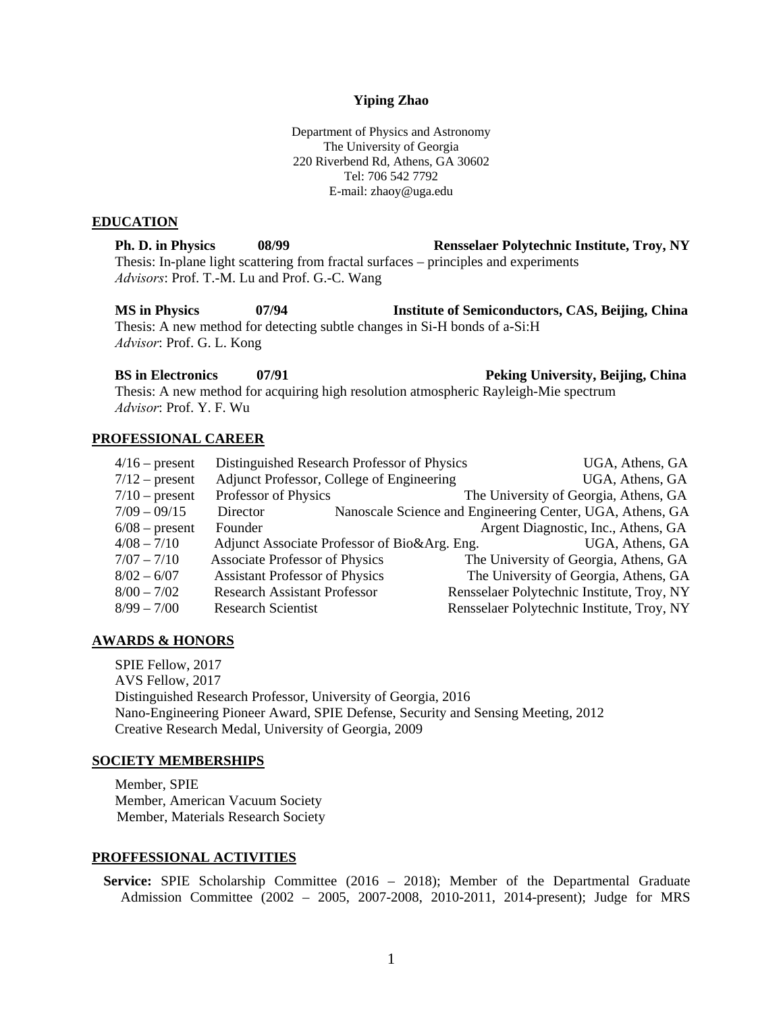#### **Yiping Zhao**

Department of Physics and Astronomy The University of Georgia 220 Riverbend Rd, Athens, GA 30602 Tel: 706 542 7792 E-mail: zhaoy@uga.edu

#### **EDUCATION**

**Ph. D. in Physics 08/99 Rensselaer Polytechnic Institute, Troy, NY**  Thesis: In-plane light scattering from fractal surfaces – principles and experiments *Advisors*: Prof. T.-M. Lu and Prof. G.-C. Wang

**MS in Physics 07/94 Institute of Semiconductors, CAS, Beijing, China**  Thesis: A new method for detecting subtle changes in Si-H bonds of a-Si:H *Advisor*: Prof. G. L. Kong

**BS in Electronics 07/91 Peking University, Beijing, China**  Thesis: A new method for acquiring high resolution atmospheric Rayleigh-Mie spectrum *Advisor*: Prof. Y. F. Wu

### **PROFESSIONAL CAREER**

| $4/16$ – present | Distinguished Research Professor of Physics  | UGA, Athens, GA                                           |
|------------------|----------------------------------------------|-----------------------------------------------------------|
| $7/12$ – present | Adjunct Professor, College of Engineering    | UGA, Athens, GA                                           |
| $7/10$ – present | Professor of Physics                         | The University of Georgia, Athens, GA                     |
| $7/09 - 09/15$   | Director                                     | Nanoscale Science and Engineering Center, UGA, Athens, GA |
| $6/08$ – present | Founder                                      | Argent Diagnostic, Inc., Athens, GA                       |
| $4/08 - 7/10$    | Adjunct Associate Professor of Bio&Arg. Eng. | UGA, Athens, GA                                           |
| $7/07 - 7/10$    | <b>Associate Professor of Physics</b>        | The University of Georgia, Athens, GA                     |
| $8/02 - 6/07$    | <b>Assistant Professor of Physics</b>        | The University of Georgia, Athens, GA                     |
| $8/00 - 7/02$    | <b>Research Assistant Professor</b>          | Rensselaer Polytechnic Institute, Troy, NY                |
| $8/99 - 7/00$    | <b>Research Scientist</b>                    | Rensselaer Polytechnic Institute, Troy, NY                |

### **AWARDS & HONORS**

SPIE Fellow, 2017 AVS Fellow, 2017 Distinguished Research Professor, University of Georgia, 2016 Nano-Engineering Pioneer Award, SPIE Defense, Security and Sensing Meeting, 2012 Creative Research Medal, University of Georgia, 2009

#### **SOCIETY MEMBERSHIPS**

Member, SPIE Member, American Vacuum Society Member, Materials Research Society

#### **PROFFESSIONAL ACTIVITIES**

**Service:** SPIE Scholarship Committee (2016 – 2018); Member of the Departmental Graduate Admission Committee (2002 – 2005, 2007-2008, 2010-2011, 2014-present); Judge for MRS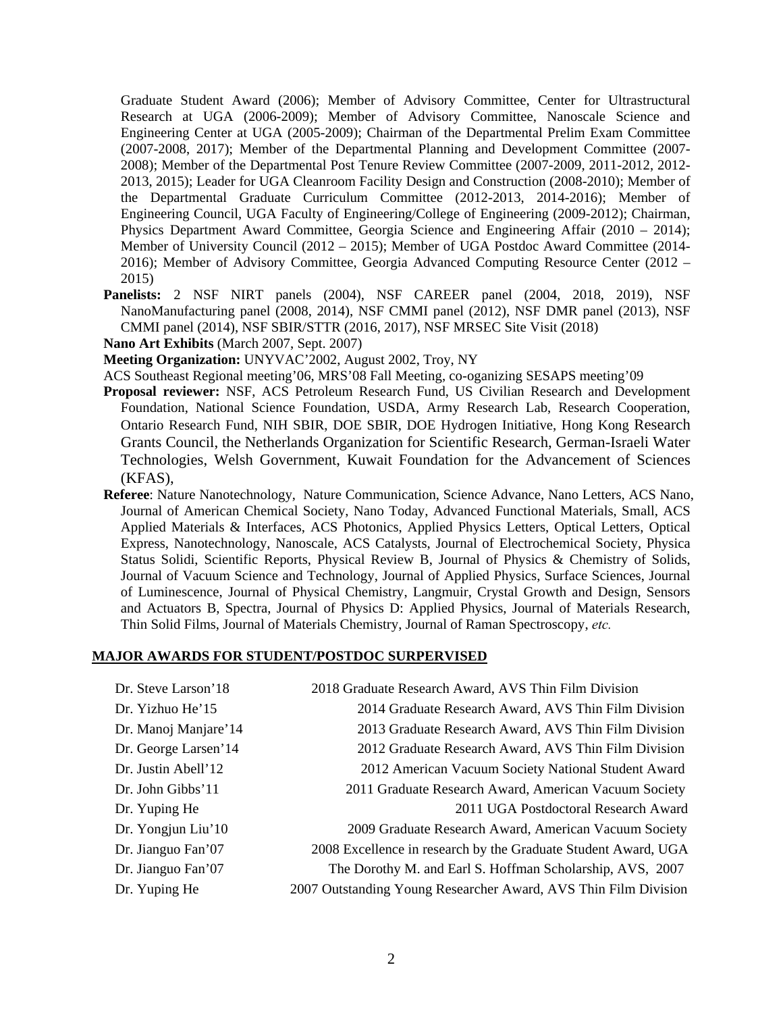Graduate Student Award (2006); Member of Advisory Committee, Center for Ultrastructural Research at UGA (2006-2009); Member of Advisory Committee, Nanoscale Science and Engineering Center at UGA (2005-2009); Chairman of the Departmental Prelim Exam Committee (2007-2008, 2017); Member of the Departmental Planning and Development Committee (2007- 2008); Member of the Departmental Post Tenure Review Committee (2007-2009, 2011-2012, 2012- 2013, 2015); Leader for UGA Cleanroom Facility Design and Construction (2008-2010); Member of the Departmental Graduate Curriculum Committee (2012-2013, 2014-2016); Member of Engineering Council, UGA Faculty of Engineering/College of Engineering (2009-2012); Chairman, Physics Department Award Committee, Georgia Science and Engineering Affair (2010 – 2014); Member of University Council (2012 – 2015); Member of UGA Postdoc Award Committee (2014- 2016); Member of Advisory Committee, Georgia Advanced Computing Resource Center (2012 – 2015)

- **Panelists:** 2 NSF NIRT panels (2004), NSF CAREER panel (2004, 2018, 2019), NSF NanoManufacturing panel (2008, 2014), NSF CMMI panel (2012), NSF DMR panel (2013), NSF CMMI panel (2014), NSF SBIR/STTR (2016, 2017), NSF MRSEC Site Visit (2018)
- **Nano Art Exhibits** (March 2007, Sept. 2007)

**Meeting Organization:** UNYVAC'2002, August 2002, Troy, NY

ACS Southeast Regional meeting'06, MRS'08 Fall Meeting, co-oganizing SESAPS meeting'09

- **Proposal reviewer:** NSF, ACS Petroleum Research Fund, US Civilian Research and Development Foundation, National Science Foundation, USDA, Army Research Lab, Research Cooperation, Ontario Research Fund, NIH SBIR, DOE SBIR, DOE Hydrogen Initiative, Hong Kong Research Grants Council, the Netherlands Organization for Scientific Research, German-Israeli Water Technologies, Welsh Government, Kuwait Foundation for the Advancement of Sciences (KFAS),
- **Referee**: Nature Nanotechnology, Nature Communication, Science Advance, Nano Letters, ACS Nano, Journal of American Chemical Society, Nano Today, Advanced Functional Materials, Small, ACS Applied Materials & Interfaces, ACS Photonics, Applied Physics Letters, Optical Letters, Optical Express, Nanotechnology, Nanoscale, ACS Catalysts, Journal of Electrochemical Society, Physica Status Solidi, Scientific Reports, Physical Review B, Journal of Physics & Chemistry of Solids, Journal of Vacuum Science and Technology, Journal of Applied Physics, Surface Sciences, Journal of Luminescence, Journal of Physical Chemistry, Langmuir, Crystal Growth and Design, Sensors and Actuators B, Spectra, Journal of Physics D: Applied Physics, Journal of Materials Research, Thin Solid Films, Journal of Materials Chemistry, Journal of Raman Spectroscopy, *etc.*

#### **MAJOR AWARDS FOR STUDENT/POSTDOC SURPERVISED**

| Dr. Steve Larson'18   | 2018 Graduate Research Award, AVS Thin Film Division            |
|-----------------------|-----------------------------------------------------------------|
| Dr. Yizhuo He'15      | 2014 Graduate Research Award, AVS Thin Film Division            |
| Dr. Manoj Manjare' 14 | 2013 Graduate Research Award, AVS Thin Film Division            |
| Dr. George Larsen'14  | 2012 Graduate Research Award, AVS Thin Film Division            |
| Dr. Justin Abell'12   | 2012 American Vacuum Society National Student Award             |
| Dr. John Gibbs' 11    | 2011 Graduate Research Award, American Vacuum Society           |
| Dr. Yuping He         | 2011 UGA Postdoctoral Research Award                            |
| Dr. Yongjun Liu'10    | 2009 Graduate Research Award, American Vacuum Society           |
| Dr. Jianguo Fan'07    | 2008 Excellence in research by the Graduate Student Award, UGA  |
| Dr. Jianguo Fan'07    | The Dorothy M. and Earl S. Hoffman Scholarship, AVS, 2007       |
| Dr. Yuping He         | 2007 Outstanding Young Researcher Award, AVS Thin Film Division |
|                       |                                                                 |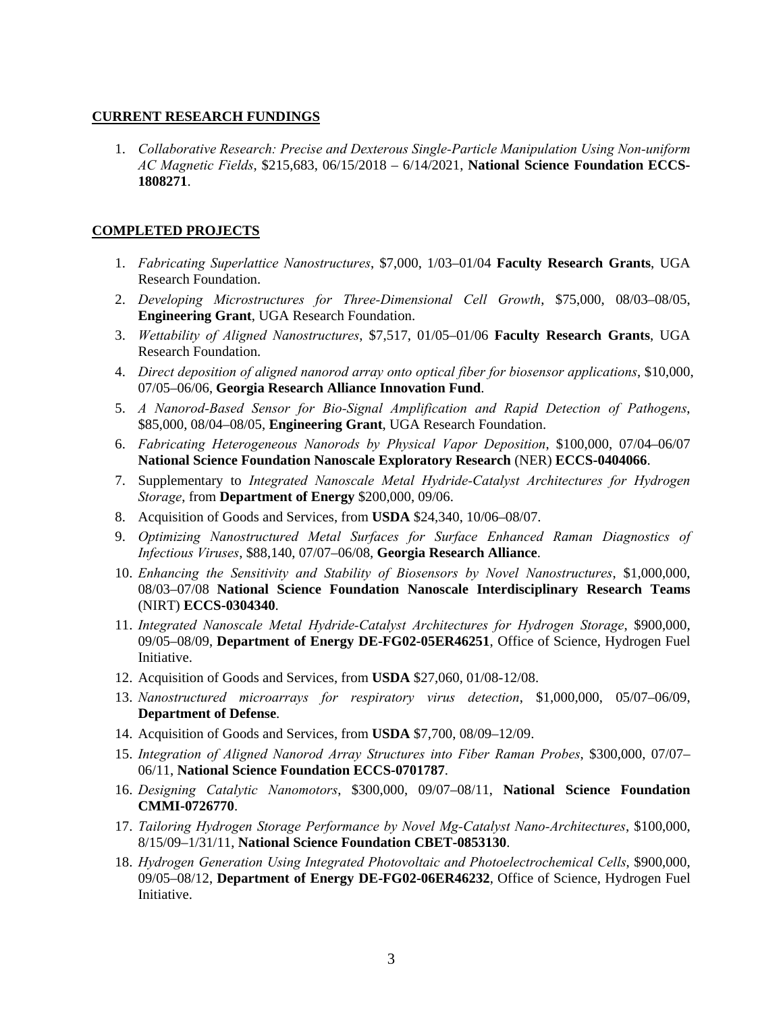## **CURRENT RESEARCH FUNDINGS**

1. *Collaborative Research: Precise and Dexterous Single-Particle Manipulation Using Non-uniform AC Magnetic Fields*, \$215,683, 06/15/2018 – 6/14/2021, **National Science Foundation ECCS-1808271**.

# **COMPLETED PROJECTS**

- 1. *Fabricating Superlattice Nanostructures*, \$7,000, 1/03–01/04 **Faculty Research Grants**, UGA Research Foundation.
- 2. *Developing Microstructures for Three-Dimensional Cell Growth*, \$75,000, 08/03–08/05, **Engineering Grant**, UGA Research Foundation.
- 3. *Wettability of Aligned Nanostructures*, \$7,517, 01/05–01/06 **Faculty Research Grants**, UGA Research Foundation.
- 4. *Direct deposition of aligned nanorod array onto optical fiber for biosensor applications*, \$10,000, 07/05–06/06, **Georgia Research Alliance Innovation Fund**.
- 5. *A Nanorod-Based Sensor for Bio-Signal Amplification and Rapid Detection of Pathogens*, \$85,000, 08/04–08/05, **Engineering Grant**, UGA Research Foundation.
- 6. *Fabricating Heterogeneous Nanorods by Physical Vapor Deposition*, \$100,000, 07/04–06/07 **National Science Foundation Nanoscale Exploratory Research** (NER) **ECCS-0404066**.
- 7. Supplementary to *Integrated Nanoscale Metal Hydride-Catalyst Architectures for Hydrogen Storage*, from **Department of Energy** \$200,000, 09/06.
- 8. Acquisition of Goods and Services, from **USDA** \$24,340, 10/06–08/07.
- 9. *Optimizing Nanostructured Metal Surfaces for Surface Enhanced Raman Diagnostics of Infectious Viruses*, \$88,140, 07/07–06/08, **Georgia Research Alliance**.
- 10. *Enhancing the Sensitivity and Stability of Biosensors by Novel Nanostructures*, \$1,000,000, 08/03–07/08 **National Science Foundation Nanoscale Interdisciplinary Research Teams** (NIRT) **ECCS-0304340**.
- 11. *Integrated Nanoscale Metal Hydride-Catalyst Architectures for Hydrogen Storage*, \$900,000, 09/05–08/09, **Department of Energy DE-FG02-05ER46251**, Office of Science, Hydrogen Fuel Initiative.
- 12. Acquisition of Goods and Services, from **USDA** \$27,060, 01/08-12/08.
- 13. *Nanostructured microarrays for respiratory virus detection*, \$1,000,000, 05/07–06/09, **Department of Defense**.
- 14. Acquisition of Goods and Services, from **USDA** \$7,700, 08/09–12/09.
- 15. *Integration of Aligned Nanorod Array Structures into Fiber Raman Probes*, \$300,000, 07/07– 06/11, **National Science Foundation ECCS-0701787**.
- 16. *Designing Catalytic Nanomotors*, \$300,000, 09/07–08/11, **National Science Foundation CMMI-0726770**.
- 17. *Tailoring Hydrogen Storage Performance by Novel Mg-Catalyst Nano-Architectures*, \$100,000, 8/15/09–1/31/11, **National Science Foundation CBET-0853130**.
- 18. *Hydrogen Generation Using Integrated Photovoltaic and Photoelectrochemical Cells*, \$900,000, 09/05–08/12, **Department of Energy DE-FG02-06ER46232**, Office of Science, Hydrogen Fuel Initiative.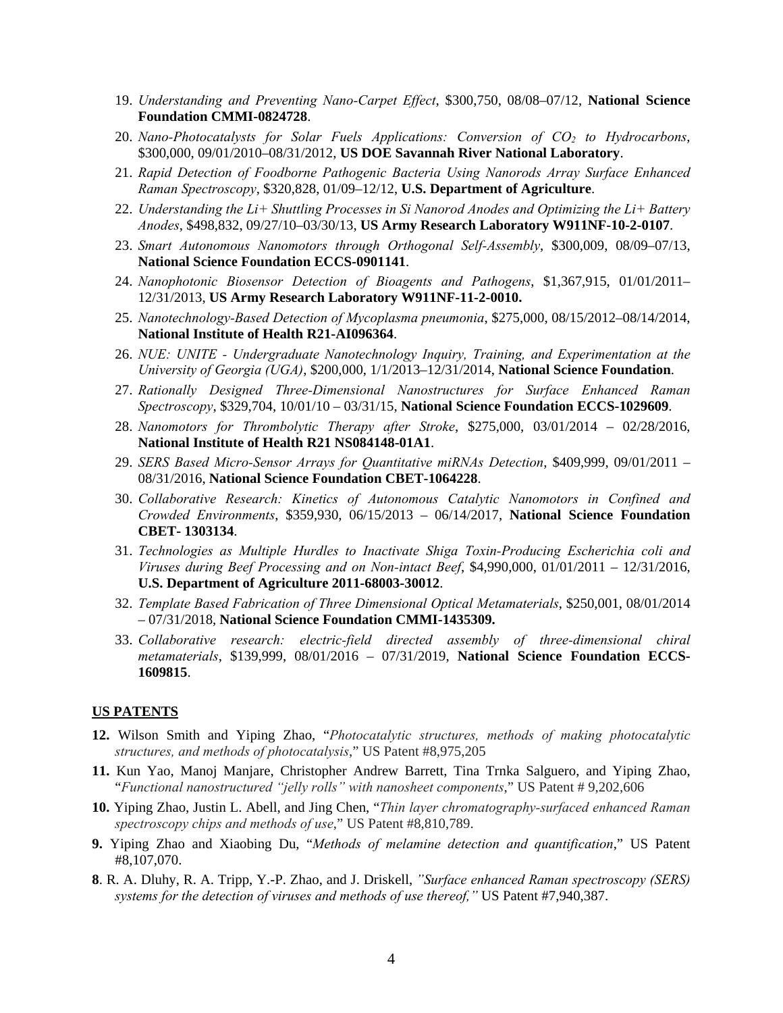- 19. *Understanding and Preventing Nano-Carpet Effect*, \$300,750, 08/08–07/12, **National Science Foundation CMMI-0824728**.
- 20. *Nano-Photocatalysts for Solar Fuels Applications: Conversion of CO2 to Hydrocarbons*, \$300,000, 09/01/2010–08/31/2012, **US DOE Savannah River National Laboratory**.
- 21. *Rapid Detection of Foodborne Pathogenic Bacteria Using Nanorods Array Surface Enhanced Raman Spectroscopy*, \$320,828, 01/09–12/12, **U.S. Department of Agriculture**.
- 22. *Understanding the Li+ Shuttling Processes in Si Nanorod Anodes and Optimizing the Li+ Battery Anodes*, \$498,832, 09/27/10–03/30/13, **US Army Research Laboratory W911NF-10-2-0107**.
- 23. *Smart Autonomous Nanomotors through Orthogonal Self-Assembly*, \$300,009, 08/09–07/13, **National Science Foundation ECCS-0901141**.
- 24. *Nanophotonic Biosensor Detection of Bioagents and Pathogens*, \$1,367,915, 01/01/2011– 12/31/2013, **US Army Research Laboratory W911NF-11-2-0010.**
- 25. *Nanotechnology-Based Detection of Mycoplasma pneumonia*, \$275,000, 08/15/2012–08/14/2014, **National Institute of Health R21-AI096364**.
- 26. *NUE: UNITE Undergraduate Nanotechnology Inquiry, Training, and Experimentation at the University of Georgia (UGA)*, \$200,000, 1/1/2013–12/31/2014, **National Science Foundation**.
- 27. *Rationally Designed Three-Dimensional Nanostructures for Surface Enhanced Raman Spectroscopy*, \$329,704, 10/01/10 – 03/31/15, **National Science Foundation ECCS-1029609**.
- 28. *Nanomotors for Thrombolytic Therapy after Stroke*, \$275,000, 03/01/2014 02/28/2016, **National Institute of Health R21 NS084148-01A1**.
- 29. *SERS Based Micro-Sensor Arrays for Quantitative miRNAs Detection*, \$409,999, 09/01/2011 08/31/2016, **National Science Foundation CBET-1064228**.
- 30. *Collaborative Research: Kinetics of Autonomous Catalytic Nanomotors in Confined and Crowded Environments*, \$359,930, 06/15/2013 – 06/14/2017, **National Science Foundation CBET- 1303134**.
- 31. *Technologies as Multiple Hurdles to Inactivate Shiga Toxin-Producing Escherichia coli and Viruses during Beef Processing and on Non-intact Beef*, \$4,990,000, 01/01/2011 – 12/31/2016, **U.S. Department of Agriculture 2011-68003-30012**.
- 32. *Template Based Fabrication of Three Dimensional Optical Metamaterials*, \$250,001, 08/01/2014 – 07/31/2018, **National Science Foundation CMMI-1435309.**
- 33. *Collaborative research: electric-field directed assembly of three-dimensional chiral metamaterials*, \$139,999, 08/01/2016 – 07/31/2019, **National Science Foundation ECCS-1609815**.

### **US PATENTS**

- **12.** Wilson Smith and Yiping Zhao, "*Photocatalytic structures, methods of making photocatalytic structures, and methods of photocatalysis*," US Patent #8,975,205
- **11.** Kun Yao, Manoj Manjare, Christopher Andrew Barrett, Tina Trnka Salguero, and Yiping Zhao, "*Functional nanostructured "jelly rolls" with nanosheet components*," US Patent # 9,202,606
- **10.** Yiping Zhao, Justin L. Abell, and Jing Chen, "*Thin layer chromatography-surfaced enhanced Raman spectroscopy chips and methods of use*," US Patent #8,810,789.
- **9.** Yiping Zhao and Xiaobing Du, "*Methods of melamine detection and quantification*," US Patent #8,107,070.
- **8**. R. A. Dluhy, R. A. Tripp, Y.-P. Zhao, and J. Driskell, *"Surface enhanced Raman spectroscopy (SERS) systems for the detection of viruses and methods of use thereof,"* US Patent #7,940,387.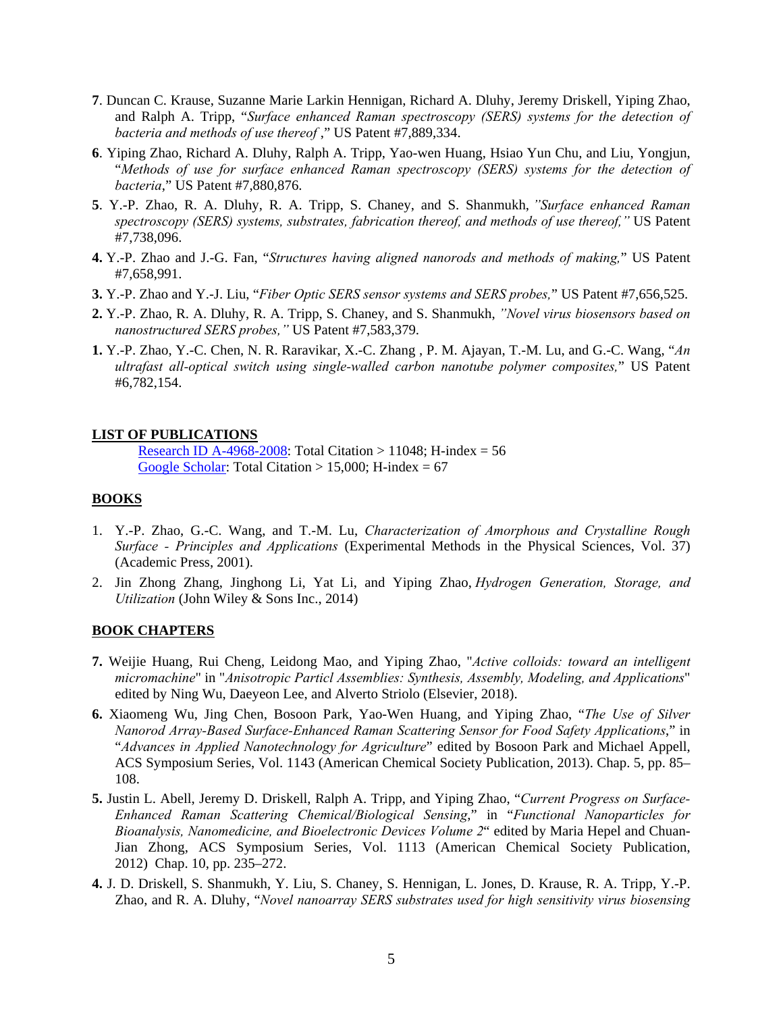- **7**. Duncan C. Krause, Suzanne Marie Larkin Hennigan, Richard A. Dluhy, Jeremy Driskell, Yiping Zhao, and Ralph A. Tripp, "*Surface enhanced Raman spectroscopy (SERS) systems for the detection of bacteria and methods of use thereof* ," US Patent #7,889,334.
- **6**. Yiping Zhao, Richard A. Dluhy, Ralph A. Tripp, Yao-wen Huang, Hsiao Yun Chu, and Liu, Yongjun, "*Methods of use for surface enhanced Raman spectroscopy (SERS) systems for the detection of bacteria*," US Patent #7,880,876.
- **5**. Y.-P. Zhao, R. A. Dluhy, R. A. Tripp, S. Chaney, and S. Shanmukh, *"Surface enhanced Raman spectroscopy (SERS) systems, substrates, fabrication thereof, and methods of use thereof,"* US Patent #7,738,096.
- **4.** Y.-P. Zhao and J.-G. Fan, "*Structures having aligned nanorods and methods of making,*" US Patent #7,658,991.
- **3.** Y.-P. Zhao and Y.-J. Liu, "*Fiber Optic SERS sensor systems and SERS probes,*" US Patent #7,656,525.
- **2.** Y.-P. Zhao, R. A. Dluhy, R. A. Tripp, S. Chaney, and S. Shanmukh, *"Novel virus biosensors based on nanostructured SERS probes,"* US Patent #7,583,379.
- **1.** Y.-P. Zhao, Y.-C. Chen, N. R. Raravikar, X.-C. Zhang , P. M. Ajayan, T.-M. Lu, and G.-C. Wang, "*An ultrafast all-optical switch using single-walled carbon nanotube polymer composites,*" US Patent #6,782,154.

## **LIST OF PUBLICATIONS**

Research ID A-4968-2008: Total Citation > 11048; H-index =  $56$ Google Scholar: Total Citation  $> 15,000$ ; H-index = 67

## **BOOKS**

- 1. Y.-P. Zhao, G.-C. Wang, and T.-M. Lu, *Characterization of Amorphous and Crystalline Rough Surface - Principles and Applications* (Experimental Methods in the Physical Sciences, Vol. 37) (Academic Press, 2001).
- 2. Jin Zhong Zhang, Jinghong Li, Yat Li, and Yiping Zhao, *Hydrogen Generation, Storage, and Utilization* (John Wiley & Sons Inc., 2014)

### **BOOK CHAPTERS**

- **7.** Weijie Huang, Rui Cheng, Leidong Mao, and Yiping Zhao, "*Active colloids: toward an intelligent micromachine*" in "*Anisotropic Particl Assemblies: Synthesis, Assembly, Modeling, and Applications*" edited by Ning Wu, Daeyeon Lee, and Alverto Striolo (Elsevier, 2018).
- **6.** Xiaomeng Wu, Jing Chen, Bosoon Park, Yao-Wen Huang, and Yiping Zhao, "*The Use of Silver Nanorod Array-Based Surface-Enhanced Raman Scattering Sensor for Food Safety Applications*," in "*Advances in Applied Nanotechnology for Agriculture*" edited by Bosoon Park and Michael Appell, ACS Symposium Series, Vol. 1143 (American Chemical Society Publication, 2013). Chap. 5, pp. 85– 108.
- **5.** Justin L. Abell, Jeremy D. Driskell, Ralph A. Tripp, and Yiping Zhao, "*Current Progress on Surface-Enhanced Raman Scattering Chemical/Biological Sensing*," in "*Functional Nanoparticles for Bioanalysis, Nanomedicine, and Bioelectronic Devices Volume 2*" edited by Maria Hepel and Chuan-Jian Zhong, ACS Symposium Series, Vol. 1113 (American Chemical Society Publication, 2012) Chap. 10, pp. 235–272.
- **4.** J. D. Driskell, S. Shanmukh, Y. Liu, S. Chaney, S. Hennigan, L. Jones, D. Krause, R. A. Tripp, Y.-P. Zhao, and R. A. Dluhy, "*Novel nanoarray SERS substrates used for high sensitivity virus biosensing*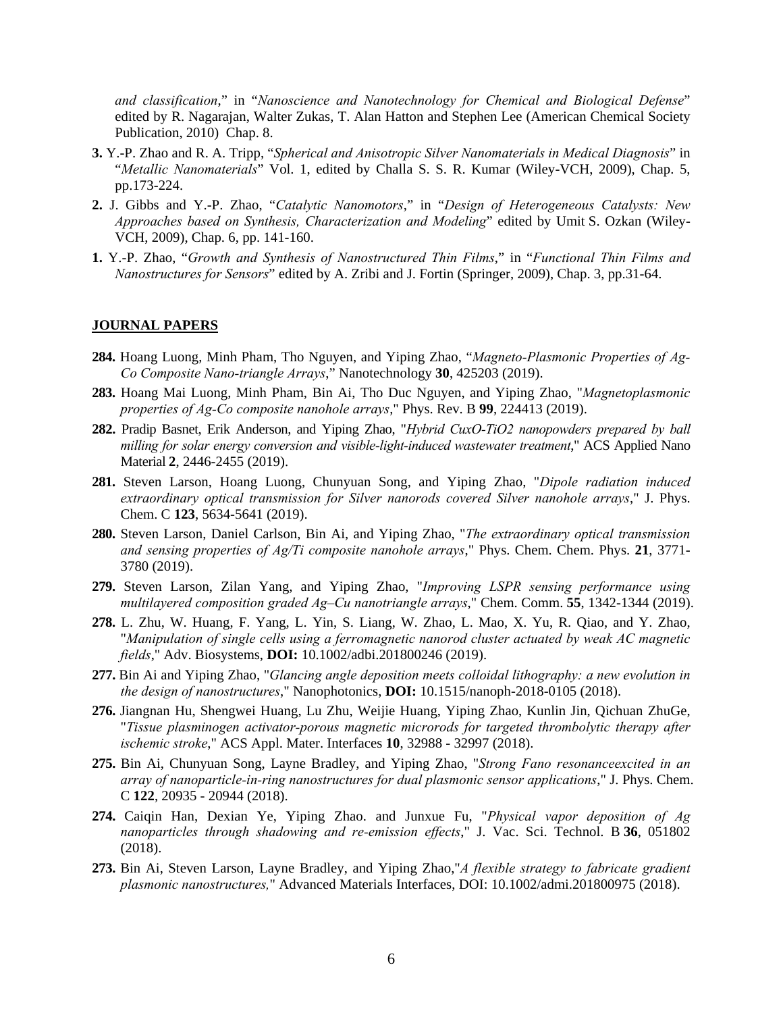*and classification*," in "*Nanoscience and Nanotechnology for Chemical and Biological Defense*" edited by R. Nagarajan, Walter Zukas, T. Alan Hatton and Stephen Lee (American Chemical Society Publication, 2010) Chap. 8.

- **3.** Y.-P. Zhao and R. A. Tripp, "*Spherical and Anisotropic Silver Nanomaterials in Medical Diagnosis*" in "*Metallic Nanomaterials*" Vol. 1, edited by Challa S. S. R. Kumar (Wiley-VCH, 2009), Chap. 5, pp.173-224.
- **2.** J. Gibbs and Y.-P. Zhao, "*Catalytic Nanomotors*," in "*Design of Heterogeneous Catalysts: New Approaches based on Synthesis, Characterization and Modeling*" edited by Umit S. Ozkan (Wiley-VCH, 2009), Chap. 6, pp. 141-160.
- **1.** Y.-P. Zhao, "*Growth and Synthesis of Nanostructured Thin Films*," in "*Functional Thin Films and Nanostructures for Sensors*" edited by A. Zribi and J. Fortin (Springer, 2009), Chap. 3, pp.31-64.

## **JOURNAL PAPERS**

- **284.** Hoang Luong, Minh Pham, Tho Nguyen, and Yiping Zhao, "*Magneto-Plasmonic Properties of Ag-Co Composite Nano-triangle Arrays*," Nanotechnology **30**, 425203 (2019).
- **283.** Hoang Mai Luong, Minh Pham, Bin Ai, Tho Duc Nguyen, and Yiping Zhao, "*Magnetoplasmonic properties of Ag-Co composite nanohole arrays*," Phys. Rev. B **99**, 224413 (2019).
- **282.** Pradip Basnet, Erik Anderson, and Yiping Zhao, "*Hybrid CuxO-TiO2 nanopowders prepared by ball milling for solar energy conversion and visible-light-induced wastewater treatment*," ACS Applied Nano Material **2**, 2446-2455 (2019).
- **281.** Steven Larson, Hoang Luong, Chunyuan Song, and Yiping Zhao, "*Dipole radiation induced extraordinary optical transmission for Silver nanorods covered Silver nanohole arrays*," J. Phys. Chem. C **123**, 5634-5641 (2019).
- **280.** Steven Larson, Daniel Carlson, Bin Ai, and Yiping Zhao, "*The extraordinary optical transmission and sensing properties of Ag/Ti composite nanohole arrays*," Phys. Chem. Chem. Phys. **21**, 3771- 3780 (2019).
- **279.** Steven Larson, Zilan Yang, and Yiping Zhao, "*Improving LSPR sensing performance using multilayered composition graded Ag–Cu nanotriangle arrays*," Chem. Comm. **55**, 1342-1344 (2019).
- **278.** L. Zhu, W. Huang, F. Yang, L. Yin, S. Liang, W. Zhao, L. Mao, X. Yu, R. Qiao, and Y. Zhao, "*Manipulation of single cells using a ferromagnetic nanorod cluster actuated by weak AC magnetic fields*," Adv. Biosystems, **DOI:** 10.1002/adbi.201800246 (2019).
- **277.** Bin Ai and Yiping Zhao, "*Glancing angle deposition meets colloidal lithography: a new evolution in the design of nanostructures*," Nanophotonics, **DOI:** 10.1515/nanoph-2018-0105 (2018).
- **276.** Jiangnan Hu, Shengwei Huang, Lu Zhu, Weijie Huang, Yiping Zhao, Kunlin Jin, Qichuan ZhuGe, "*Tissue plasminogen activator-porous magnetic microrods for targeted thrombolytic therapy after ischemic stroke*," ACS Appl. Mater. Interfaces **10**, 32988 - 32997 (2018).
- **275.** Bin Ai, Chunyuan Song, Layne Bradley, and Yiping Zhao, "*Strong Fano resonanceexcited in an array of nanoparticle-in-ring nanostructures for dual plasmonic sensor applications*," J. Phys. Chem. C **122**, 20935 - 20944 (2018).
- **274.** Caiqin Han, Dexian Ye, Yiping Zhao. and Junxue Fu, "*Physical vapor deposition of Ag nanoparticles through shadowing and re-emission effects*," J. Vac. Sci. Technol. B **36**, 051802 (2018).
- **273.** Bin Ai, Steven Larson, Layne Bradley, and Yiping Zhao,"*A flexible strategy to fabricate gradient plasmonic nanostructures,*" Advanced Materials Interfaces, DOI: 10.1002/admi.201800975 (2018).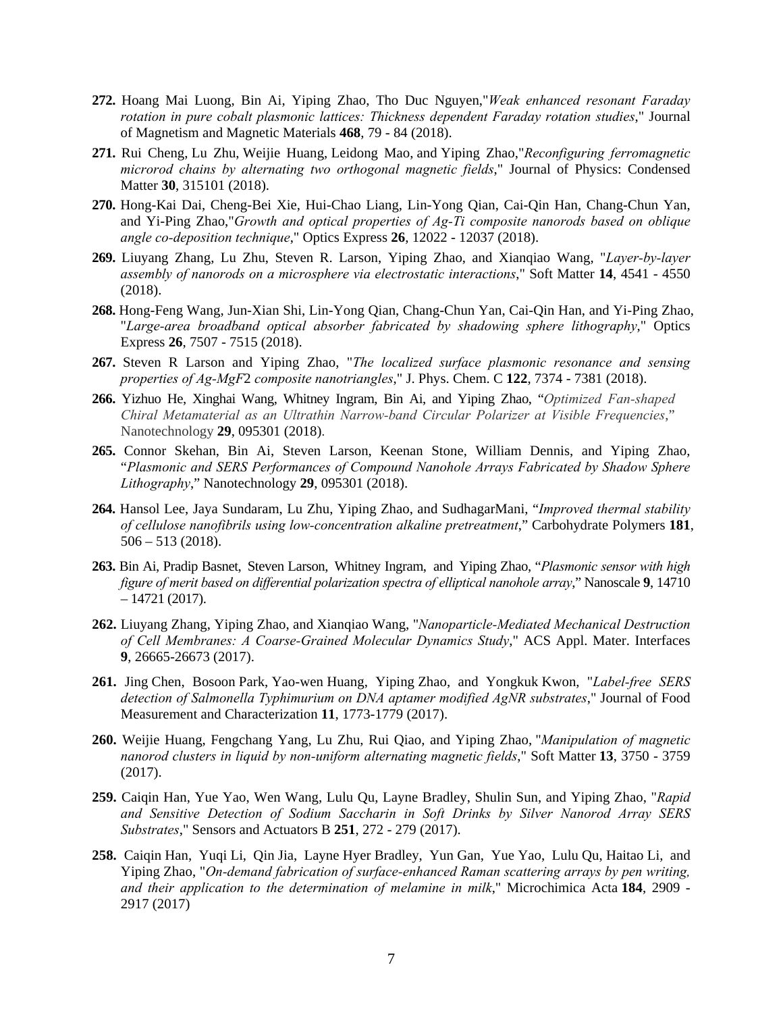- **272.** Hoang Mai Luong, Bin Ai, Yiping Zhao, Tho Duc Nguyen,"*Weak enhanced resonant Faraday rotation in pure cobalt plasmonic lattices: Thickness dependent Faraday rotation studies*," Journal of Magnetism and Magnetic Materials **468**, 79 - 84 (2018).
- **271.** Rui Cheng, Lu Zhu, Weijie Huang, Leidong Mao, and Yiping Zhao,"*Reconfiguring ferromagnetic microrod chains by alternating two orthogonal magnetic fields*," Journal of Physics: Condensed Matter **30**, 315101 (2018).
- **270.** Hong-Kai Dai, Cheng-Bei Xie, Hui-Chao Liang, Lin-Yong Qian, Cai-Qin Han, Chang-Chun Yan, and Yi-Ping Zhao,"*Growth and optical properties of Ag-Ti composite nanorods based on oblique angle co-deposition technique*," Optics Express **26**, 12022 - 12037 (2018).
- **269.** Liuyang Zhang, Lu Zhu, Steven R. Larson, Yiping Zhao, and Xianqiao Wang, "*Layer-by-layer assembly of nanorods on a microsphere via electrostatic interactions*," Soft Matter **14**, 4541 - 4550 (2018).
- **268.** Hong-Feng Wang, Jun-Xian Shi, Lin-Yong Qian, Chang-Chun Yan, Cai-Qin Han, and Yi-Ping Zhao, "*Large-area broadband optical absorber fabricated by shadowing sphere lithography*," Optics Express **26**, 7507 - 7515 (2018).
- **267.** Steven R Larson and Yiping Zhao, "*The localized surface plasmonic resonance and sensing properties of Ag-MgF*2 *composite nanotriangles*," J. Phys. Chem. C **122**, 7374 - 7381 (2018).
- **266.** Yizhuo He, Xinghai Wang, Whitney Ingram, Bin Ai, and Yiping Zhao, "*Optimized Fan-shaped Chiral Metamaterial as an Ultrathin Narrow-band Circular Polarizer at Visible Frequencies*," Nanotechnology **29**, 095301 (2018).
- **265.** Connor Skehan, Bin Ai, Steven Larson, Keenan Stone, William Dennis, and Yiping Zhao, "*Plasmonic and SERS Performances of Compound Nanohole Arrays Fabricated by Shadow Sphere Lithography*," Nanotechnology **29**, 095301 (2018).
- **264.** Hansol Lee, Jaya Sundaram, Lu Zhu, Yiping Zhao, and SudhagarMani, "*Improved thermal stability of cellulose nanofibrils using low-concentration alkaline pretreatment*," Carbohydrate Polymers **181**, 506 – 513 (2018).
- **263.** Bin Ai, Pradip Basnet, Steven Larson, Whitney Ingram, and Yiping Zhao, "*Plasmonic sensor with high figure of merit based on differential polarization spectra of elliptical nanohole array*," Nanoscale **9**, 14710  $-14721(2017)$ .
- **262.** Liuyang Zhang, Yiping Zhao, and Xianqiao Wang, "*Nanoparticle-Mediated Mechanical Destruction of Cell Membranes: A Coarse-Grained Molecular Dynamics Study*," ACS Appl. Mater. Interfaces **9**, 26665-26673 (2017).
- **261.** Jing Chen, Bosoon Park, Yao-wen Huang, Yiping Zhao, and Yongkuk Kwon, "*Label-free SERS detection of Salmonella Typhimurium on DNA aptamer modified AgNR substrates*," Journal of Food Measurement and Characterization **11**, 1773-1779 (2017).
- **260.** Weijie Huang, Fengchang Yang, Lu Zhu, Rui Qiao, and Yiping Zhao, "*Manipulation of magnetic nanorod clusters in liquid by non-uniform alternating magnetic fields*," Soft Matter **13**, 3750 - 3759 (2017).
- **259.** Caiqin Han, Yue Yao, Wen Wang, Lulu Qu, Layne Bradley, Shulin Sun, and Yiping Zhao, "*Rapid and Sensitive Detection of Sodium Saccharin in Soft Drinks by Silver Nanorod Array SERS Substrates*," Sensors and Actuators B **251**, 272 - 279 (2017).
- **258.** Caiqin Han, Yuqi Li, Qin Jia, Layne Hyer Bradley, Yun Gan, Yue Yao, Lulu Qu, Haitao Li, and Yiping Zhao, "*On-demand fabrication of surface-enhanced Raman scattering arrays by pen writing, and their application to the determination of melamine in milk*," Microchimica Acta **184**, 2909 - 2917 (2017)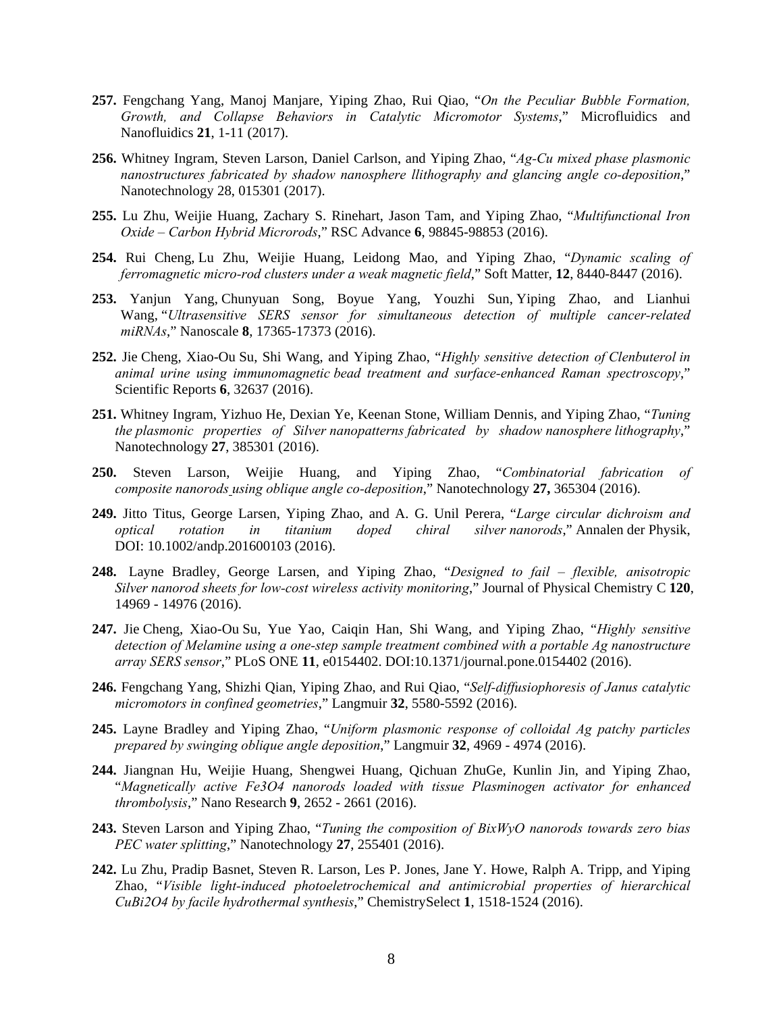- **257.** Fengchang Yang, Manoj Manjare, Yiping Zhao, Rui Qiao, "*On the Peculiar Bubble Formation, Growth, and Collapse Behaviors in Catalytic Micromotor Systems*," Microfluidics and Nanofluidics **21**, 1-11 (2017).
- **256.** Whitney Ingram, Steven Larson, Daniel Carlson, and Yiping Zhao, "*Ag-Cu mixed phase plasmonic nanostructures fabricated by shadow nanosphere llithography and glancing angle co-deposition*," Nanotechnology 28, 015301 (2017).
- **255.** Lu Zhu, Weijie Huang, Zachary S. Rinehart, Jason Tam, and Yiping Zhao, "*Multifunctional Iron Oxide – Carbon Hybrid Microrods*," RSC Advance **6**, 98845-98853 (2016).
- **254.** Rui Cheng, Lu Zhu, Weijie Huang, Leidong Mao, and Yiping Zhao, "*Dynamic scaling of ferromagnetic micro-rod clusters under a weak magnetic field*," Soft Matter, **12**, 8440-8447 (2016).
- **253.** Yanjun Yang, Chunyuan Song, Boyue Yang, Youzhi Sun, Yiping Zhao, and Lianhui Wang, "*Ultrasensitive SERS sensor for simultaneous detection of multiple cancer-related miRNAs*," Nanoscale **8**, 17365-17373 (2016).
- **252.** Jie Cheng, Xiao-Ou Su, Shi Wang, and Yiping Zhao, "*Highly sensitive detection of Clenbuterol in animal urine using immunomagnetic bead treatment and surface-enhanced Raman spectroscopy*," Scientific Reports **6**, 32637 (2016).
- **251.** Whitney Ingram, Yizhuo He, Dexian Ye, Keenan Stone, William Dennis, and Yiping Zhao, "*Tuning the plasmonic properties of Silver nanopatterns fabricated by shadow nanosphere lithography*," Nanotechnology **27**, 385301 (2016).
- **250.** Steven Larson, Weijie Huang, and Yiping Zhao, "*Combinatorial fabrication of composite nanorods using oblique angle co-deposition*," Nanotechnology **27,** 365304 (2016).
- **249.** Jitto Titus, George Larsen, Yiping Zhao, and A. G. Unil Perera, "*Large circular dichroism and optical rotation in titanium doped chiral silver nanorods*," Annalen der Physik, DOI: 10.1002/andp.201600103 (2016).
- **248.** Layne Bradley, George Larsen, and Yiping Zhao, "*Designed to fail flexible, anisotropic Silver nanorod sheets for low-cost wireless activity monitoring*," Journal of Physical Chemistry C **120**, 14969 - 14976 (2016).
- **247.** Jie Cheng, Xiao-Ou Su, Yue Yao, Caiqin Han, Shi Wang, and Yiping Zhao, "*Highly sensitive detection of Melamine using a one-step sample treatment combined with a portable Ag nanostructure array SERS sensor*," PLoS ONE **11**, e0154402. DOI:10.1371/journal.pone.0154402 (2016).
- **246.** Fengchang Yang, Shizhi Qian, Yiping Zhao, and Rui Qiao, "*Self-diffusiophoresis of Janus catalytic micromotors in confined geometries*," Langmuir **32**, 5580-5592 (2016).
- **245.** Layne Bradley and Yiping Zhao, "*Uniform plasmonic response of colloidal Ag patchy particles prepared by swinging oblique angle deposition*," Langmuir **32**, 4969 - 4974 (2016).
- **244.** Jiangnan Hu, Weijie Huang, Shengwei Huang, Qichuan ZhuGe, Kunlin Jin, and Yiping Zhao, "*Magnetically active Fe3O4 nanorods loaded with tissue Plasminogen activator for enhanced thrombolysis*," Nano Research **9**, 2652 - 2661 (2016).
- **243.** Steven Larson and Yiping Zhao, "*Tuning the composition of BixWyO nanorods towards zero bias PEC water splitting*," Nanotechnology **27**, 255401 (2016).
- **242.** Lu Zhu, Pradip Basnet, Steven R. Larson, Les P. Jones, Jane Y. Howe, Ralph A. Tripp, and Yiping Zhao, "*Visible light-induced photoeletrochemical and antimicrobial properties of hierarchical CuBi2O4 by facile hydrothermal synthesis*," ChemistrySelect **1**, 1518-1524 (2016).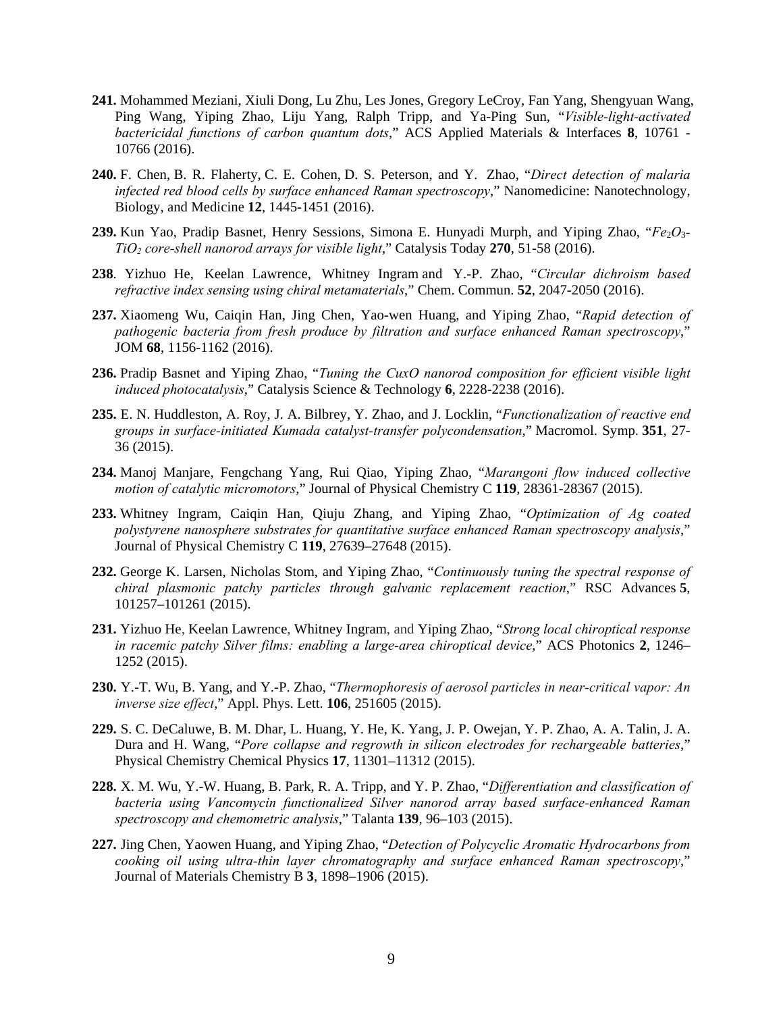- **241.** Mohammed Meziani, Xiuli Dong, Lu Zhu, Les Jones, Gregory LeCroy, Fan Yang, Shengyuan Wang, Ping Wang, Yiping Zhao, Liju Yang, Ralph Tripp, and Ya-Ping Sun, "*Visible-light-activated bactericidal functions of carbon quantum dots*," ACS Applied Materials & Interfaces **8**, 10761 - 10766 (2016).
- **240.** F. Chen, B. R. Flaherty, C. E. Cohen, D. S. Peterson, and Y. Zhao, "*Direct detection of malaria infected red blood cells by surface enhanced Raman spectroscopy*," Nanomedicine: Nanotechnology, Biology, and Medicine **12**, 1445-1451 (2016).
- 239. Kun Yao, Pradip Basnet, Henry Sessions, Simona E. Hunyadi Murph, and Yiping Zhao, " $Fe<sub>2</sub>O<sub>3</sub>$ -*TiO2 core-shell nanorod arrays for visible light*," Catalysis Today **270**, 51-58 (2016).
- **238**. Yizhuo He, Keelan Lawrence, Whitney Ingram and Y.-P. Zhao, "*Circular dichroism based refractive index sensing using chiral metamaterials*," Chem. Commun. **52**, 2047-2050 (2016).
- **237.** Xiaomeng Wu, Caiqin Han, Jing Chen, Yao-wen Huang, and Yiping Zhao, "*Rapid detection of pathogenic bacteria from fresh produce by filtration and surface enhanced Raman spectroscopy*," JOM **68**, 1156-1162 (2016).
- **236.** Pradip Basnet and Yiping Zhao, "*Tuning the CuxO nanorod composition for efficient visible light induced photocatalysis*," Catalysis Science & Technology **6**, 2228-2238 (2016).
- **235.** E. N. Huddleston, A. Roy, J. A. Bilbrey, Y. Zhao, and J. Locklin, "*Functionalization of reactive end groups in surface-initiated Kumada catalyst-transfer polycondensation*," Macromol. Symp. **351**, 27- 36 (2015).
- **234.** Manoj Manjare, Fengchang Yang, Rui Qiao, Yiping Zhao, "*Marangoni flow induced collective motion of catalytic micromotors*," Journal of Physical Chemistry C **119**, 28361-28367 (2015).
- **233.** Whitney Ingram, Caiqin Han, Qiuju Zhang, and Yiping Zhao, "*Optimization of Ag coated polystyrene nanosphere substrates for quantitative surface enhanced Raman spectroscopy analysis*," Journal of Physical Chemistry C **119**, 27639–27648 (2015).
- **232.** George K. Larsen, Nicholas Stom, and Yiping Zhao, "*Continuously tuning the spectral response of chiral plasmonic patchy particles through galvanic replacement reaction*," RSC Advances **5**, 101257–101261 (2015).
- **231.** Yizhuo He, Keelan Lawrence, Whitney Ingram, and Yiping Zhao, "*Strong local chiroptical response in racemic patchy Silver films: enabling a large-area chiroptical device*," ACS Photonics **2**, 1246– 1252 (2015).
- **230.** Y.-T. Wu, B. Yang, and Y.-P. Zhao, "*Thermophoresis of aerosol particles in near-critical vapor: An inverse size effect*," Appl. Phys. Lett. **106**, 251605 (2015).
- **229.** S. C. DeCaluwe, B. M. Dhar, L. Huang, Y. He, K. Yang, J. P. Owejan, Y. P. Zhao, A. A. Talin, J. A. Dura and H. Wang, "*Pore collapse and regrowth in silicon electrodes for rechargeable batteries*," Physical Chemistry Chemical Physics **17**, 11301–11312 (2015).
- **228.** X. M. Wu, Y.-W. Huang, B. Park, R. A. Tripp, and Y. P. Zhao, "*Differentiation and classification of bacteria using Vancomycin functionalized Silver nanorod array based surface-enhanced Raman spectroscopy and chemometric analysis*," Talanta **139**, 96–103 (2015).
- **227.** Jing Chen, Yaowen Huang, and Yiping Zhao, "*Detection of Polycyclic Aromatic Hydrocarbons from cooking oil using ultra-thin layer chromatography and surface enhanced Raman spectroscopy*," Journal of Materials Chemistry B **3**, 1898–1906 (2015).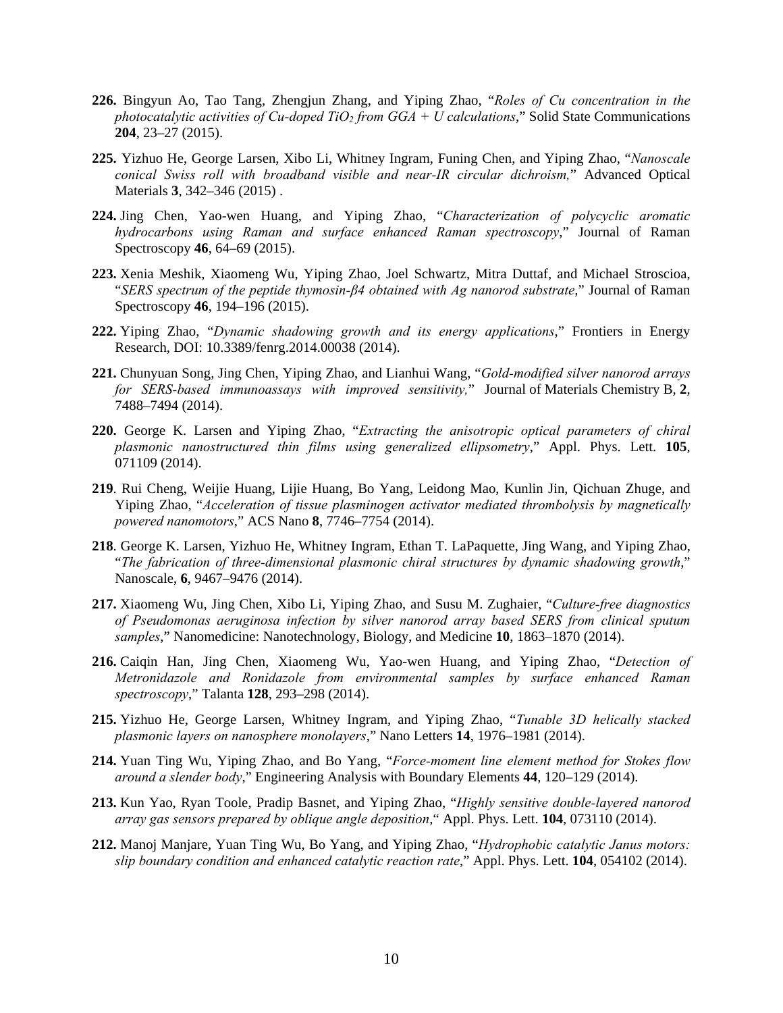- **226.** Bingyun Ao, Tao Tang, Zhengjun Zhang, and Yiping Zhao, "*Roles of Cu concentration in the photocatalytic activities of Cu-doped TiO2 from GGA + U calculations*," Solid State Communications **204**, 23–27 (2015).
- **225.** Yizhuo He, George Larsen, Xibo Li, Whitney Ingram, Funing Chen, and Yiping Zhao, "*Nanoscale conical Swiss roll with broadband visible and near-IR circular dichroism,*" Advanced Optical Materials **3**, 342–346 (2015) .
- **224.** Jing Chen, Yao-wen Huang, and Yiping Zhao, "*Characterization of polycyclic aromatic hydrocarbons using Raman and surface enhanced Raman spectroscopy*," Journal of Raman Spectroscopy **46**, 64–69 (2015).
- **223.** Xenia Meshik, Xiaomeng Wu, Yiping Zhao, Joel Schwartz, Mitra Duttaf, and Michael Stroscioa, "*SERS spectrum of the peptide thymosin-β4 obtained with Ag nanorod substrate*," Journal of Raman Spectroscopy **46**, 194–196 (2015).
- **222.** Yiping Zhao, "*Dynamic shadowing growth and its energy applications*," Frontiers in Energy Research, DOI: 10.3389/fenrg.2014.00038 (2014).
- **221.** Chunyuan Song, Jing Chen, Yiping Zhao, and Lianhui Wang, "*Gold-modified silver nanorod arrays for SERS-based immunoassays with improved sensitivity,*" Journal of Materials Chemistry B, **2**, 7488–7494 (2014).
- **220.** George K. Larsen and Yiping Zhao, "*Extracting the anisotropic optical parameters of chiral plasmonic nanostructured thin films using generalized ellipsometry*," Appl. Phys. Lett. **105**, 071109 (2014).
- **219**. Rui Cheng, Weijie Huang, Lijie Huang, Bo Yang, Leidong Mao, Kunlin Jin, Qichuan Zhuge, and Yiping Zhao, "*Acceleration of tissue plasminogen activator mediated thrombolysis by magnetically powered nanomotors*," ACS Nano **8**, 7746–7754 (2014).
- **218**. George K. Larsen, Yizhuo He, Whitney Ingram, Ethan T. LaPaquette, Jing Wang, and Yiping Zhao, "*The fabrication of three-dimensional plasmonic chiral structures by dynamic shadowing growth*," Nanoscale, **6**, 9467–9476 (2014).
- **217.** Xiaomeng Wu, Jing Chen, Xibo Li, Yiping Zhao, and Susu M. Zughaier, "*Culture-free diagnostics of Pseudomonas aeruginosa infection by silver nanorod array based SERS from clinical sputum samples*," Nanomedicine: Nanotechnology, Biology, and Medicine **10**, 1863–1870 (2014).
- **216.** Caiqin Han, Jing Chen, Xiaomeng Wu, Yao-wen Huang, and Yiping Zhao, "*Detection of Metronidazole and Ronidazole from environmental samples by surface enhanced Raman spectroscopy*," Talanta **128**, 293–298 (2014).
- **215.** Yizhuo He, George Larsen, Whitney Ingram, and Yiping Zhao, "*Tunable 3D helically stacked plasmonic layers on nanosphere monolayers*," Nano Letters **14**, 1976–1981 (2014).
- **214.** Yuan Ting Wu, Yiping Zhao, and Bo Yang, "*Force-moment line element method for Stokes flow around a slender body*," Engineering Analysis with Boundary Elements **44**, 120–129 (2014).
- **213.** Kun Yao, Ryan Toole, Pradip Basnet, and Yiping Zhao, "*Highly sensitive double-layered nanorod array gas sensors prepared by oblique angle deposition*," Appl. Phys. Lett. **104**, 073110 (2014).
- **212.** Manoj Manjare, Yuan Ting Wu, Bo Yang, and Yiping Zhao, "*Hydrophobic catalytic Janus motors: slip boundary condition and enhanced catalytic reaction rate*," Appl. Phys. Lett. **104**, 054102 (2014).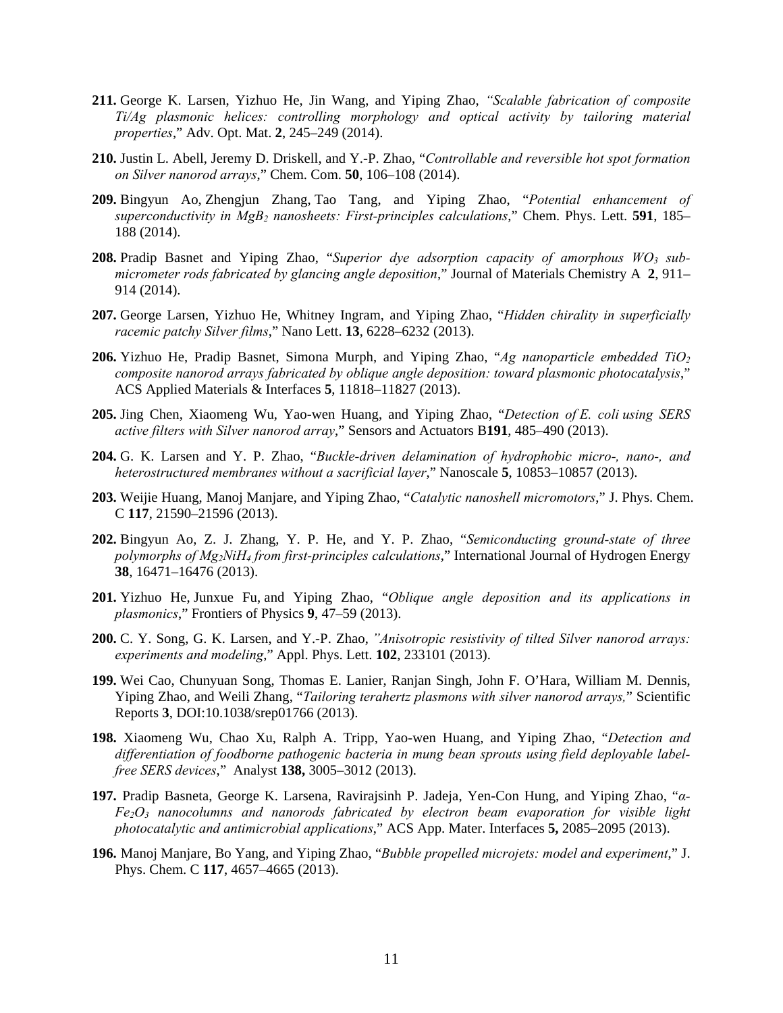- **211.** George K. Larsen, Yizhuo He, Jin Wang, and Yiping Zhao, *"Scalable fabrication of composite Ti/Ag plasmonic helices: controlling morphology and optical activity by tailoring material properties*," Adv. Opt. Mat. **2**, 245–249 (2014).
- **210.** Justin L. Abell, Jeremy D. Driskell, and Y.-P. Zhao, "*Controllable and reversible hot spot formation on Silver nanorod arrays*," Chem. Com. **50**, 106–108 (2014).
- **209.** Bingyun Ao, Zhengjun Zhang, Tao Tang, and Yiping Zhao, "*Potential enhancement of superconductivity in MgB2 nanosheets: First-principles calculations*," Chem. Phys. Lett. **591**, 185– 188 (2014).
- **208.** Pradip Basnet and Yiping Zhao, "*Superior dye adsorption capacity of amorphous WO3 submicrometer rods fabricated by glancing angle deposition*," Journal of Materials Chemistry A **2**, 911– 914 (2014).
- **207.** George Larsen, Yizhuo He, Whitney Ingram, and Yiping Zhao, "*Hidden chirality in superficially racemic patchy Silver films*," Nano Lett. **13**, 6228–6232 (2013).
- **206.** Yizhuo He, Pradip Basnet, Simona Murph, and Yiping Zhao, "*Ag nanoparticle embedded TiO2 composite nanorod arrays fabricated by oblique angle deposition: toward plasmonic photocatalysis*," ACS Applied Materials & Interfaces **5**, 11818–11827 (2013).
- **205.** Jing Chen, Xiaomeng Wu, Yao-wen Huang, and Yiping Zhao, "*Detection of E. coli using SERS active filters with Silver nanorod array*," Sensors and Actuators B**191**, 485–490 (2013).
- **204.** G. K. Larsen and Y. P. Zhao, "*Buckle-driven delamination of hydrophobic micro-, nano-, and heterostructured membranes without a sacrificial layer*," Nanoscale **5**, 10853–10857 (2013).
- **203.** Weijie Huang, Manoj Manjare, and Yiping Zhao, "*Catalytic nanoshell micromotors*," J. Phys. Chem. C **117**, 21590–21596 (2013).
- **202.** Bingyun Ao, Z. J. Zhang, Y. P. He, and Y. P. Zhao, "*Semiconducting ground-state of three polymorphs of Mg2NiH4 from first-principles calculations*," International Journal of Hydrogen Energy **38**, 16471–16476 (2013).
- **201.** Yizhuo He, Junxue Fu, and Yiping Zhao, "*Oblique angle deposition and its applications in plasmonics*," Frontiers of Physics **9**, 47–59 (2013).
- **200.** C. Y. Song, G. K. Larsen, and Y.-P. Zhao, *"Anisotropic resistivity of tilted Silver nanorod arrays: experiments and modeling*," Appl. Phys. Lett. **102**, 233101 (2013).
- **199.** Wei Cao, Chunyuan Song, Thomas E. Lanier, Ranjan Singh, John F. O'Hara, William M. Dennis, Yiping Zhao, and Weili Zhang, "*Tailoring terahertz plasmons with silver nanorod arrays,*" Scientific Reports **3**, DOI:10.1038/srep01766 (2013).
- **198.** Xiaomeng Wu, Chao Xu, Ralph A. Tripp, Yao-wen Huang, and Yiping Zhao, "*Detection and differentiation of foodborne pathogenic bacteria in mung bean sprouts using field deployable labelfree SERS devices*," Analyst **138,** 3005–3012 (2013).
- **197.** Pradip Basneta, George K. Larsena, Ravirajsinh P. Jadeja, Yen-Con Hung, and Yiping Zhao, "*α-Fe2O3 nanocolumns and nanorods fabricated by electron beam evaporation for visible light photocatalytic and antimicrobial applications*," ACS App. Mater. Interfaces **5,** 2085–2095 (2013).
- **196.** Manoj Manjare, Bo Yang, and Yiping Zhao, "*Bubble propelled microjets: model and experiment*," J. Phys. Chem. C **117**, 4657–4665 (2013).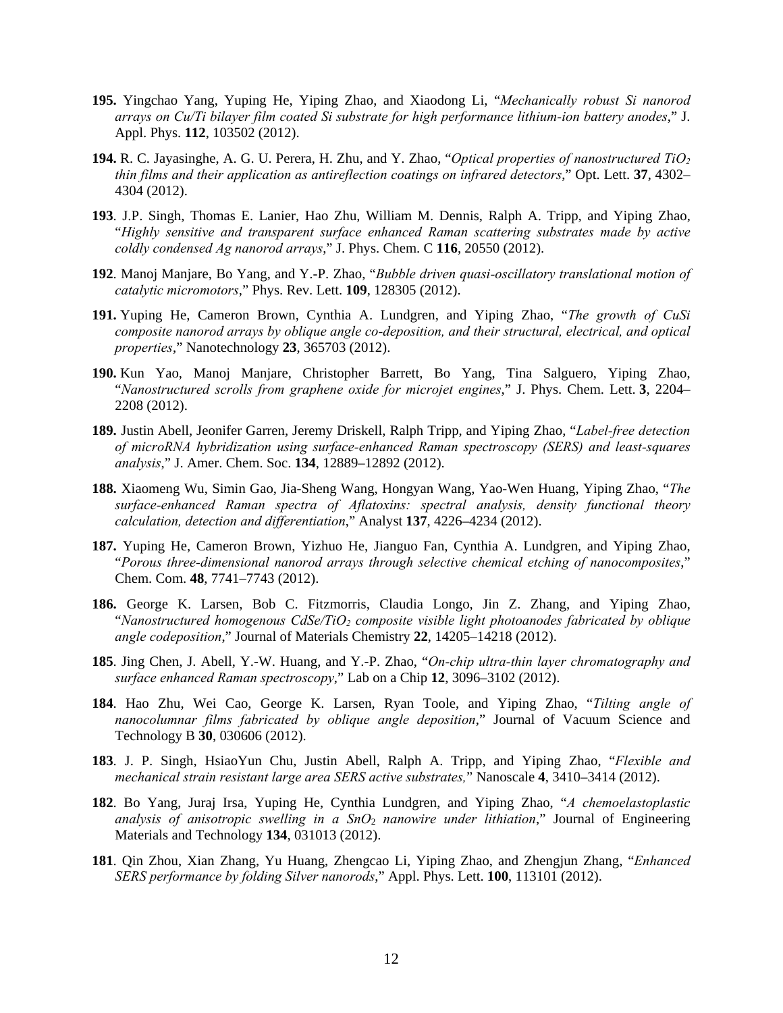- **195.** Yingchao Yang, Yuping He, Yiping Zhao, and Xiaodong Li, "*Mechanically robust Si nanorod arrays on Cu/Ti bilayer film coated Si substrate for high performance lithium-ion battery anodes*," J. Appl. Phys. **112**, 103502 (2012).
- **194.** R. C. Jayasinghe, A. G. U. Perera, H. Zhu, and Y. Zhao, "*Optical properties of nanostructured TiO2 thin films and their application as antireflection coatings on infrared detectors*," Opt. Lett. **37**, 4302– 4304 (2012).
- **193**. J.P. Singh, Thomas E. Lanier, Hao Zhu, William M. Dennis, Ralph A. Tripp, and Yiping Zhao, "*Highly sensitive and transparent surface enhanced Raman scattering substrates made by active coldly condensed Ag nanorod arrays*," J. Phys. Chem. C **116**, 20550 (2012).
- **192**. Manoj Manjare, Bo Yang, and Y.-P. Zhao, "*Bubble driven quasi-oscillatory translational motion of catalytic micromotors*," Phys. Rev. Lett. **109**, 128305 (2012).
- **191.** Yuping He, Cameron Brown, Cynthia A. Lundgren, and Yiping Zhao, "*The growth of CuSi composite nanorod arrays by oblique angle co-deposition, and their structural, electrical, and optical properties*," Nanotechnology **23**, 365703 (2012).
- **190.** Kun Yao, Manoj Manjare, Christopher Barrett, Bo Yang, Tina Salguero, Yiping Zhao, "*Nanostructured scrolls from graphene oxide for microjet engines*," J. Phys. Chem. Lett. **3**, 2204– 2208 (2012).
- **189.** Justin Abell, Jeonifer Garren, Jeremy Driskell, Ralph Tripp, and Yiping Zhao, "*Label-free detection of microRNA hybridization using surface-enhanced Raman spectroscopy (SERS) and least-squares analysis*," J. Amer. Chem. Soc. **134**, 12889–12892 (2012).
- **188.** Xiaomeng Wu, Simin Gao, Jia-Sheng Wang, Hongyan Wang, Yao-Wen Huang, Yiping Zhao, "*The surface-enhanced Raman spectra of Aflatoxins: spectral analysis, density functional theory calculation, detection and differentiation*," Analyst **137**, 4226–4234 (2012).
- **187.** Yuping He, Cameron Brown, Yizhuo He, Jianguo Fan, Cynthia A. Lundgren, and Yiping Zhao, "*Porous three-dimensional nanorod arrays through selective chemical etching of nanocomposites*," Chem. Com. **48**, 7741–7743 (2012).
- **186.** George K. Larsen, Bob C. Fitzmorris, Claudia Longo, Jin Z. Zhang, and Yiping Zhao, "*Nanostructured homogenous CdSe/TiO2 composite visible light photoanodes fabricated by oblique angle codeposition*," Journal of Materials Chemistry **22**, 14205–14218 (2012).
- **185**. Jing Chen, J. Abell, Y.-W. Huang, and Y.-P. Zhao, "*On-chip ultra-thin layer chromatography and surface enhanced Raman spectroscopy*," Lab on a Chip **12**, 3096–3102 (2012).
- **184**. Hao Zhu, Wei Cao, George K. Larsen, Ryan Toole, and Yiping Zhao, "*Tilting angle of nanocolumnar films fabricated by oblique angle deposition*," Journal of Vacuum Science and Technology B **30**, 030606 (2012).
- **183**. J. P. Singh, HsiaoYun Chu, Justin Abell, Ralph A. Tripp, and Yiping Zhao, "*Flexible and mechanical strain resistant large area SERS active substrates,*" Nanoscale **4**, 3410–3414 (2012).
- **182**. Bo Yang, Juraj Irsa, Yuping He, Cynthia Lundgren, and Yiping Zhao, "*A chemoelastoplastic analysis of anisotropic swelling in a SnO*2 *nanowire under lithiation*," Journal of Engineering Materials and Technology **134**, 031013 (2012).
- **181**. Qin Zhou, Xian Zhang, Yu Huang, Zhengcao Li, Yiping Zhao, and Zhengjun Zhang, "*Enhanced SERS performance by folding Silver nanorods*," Appl. Phys. Lett. **100**, 113101 (2012).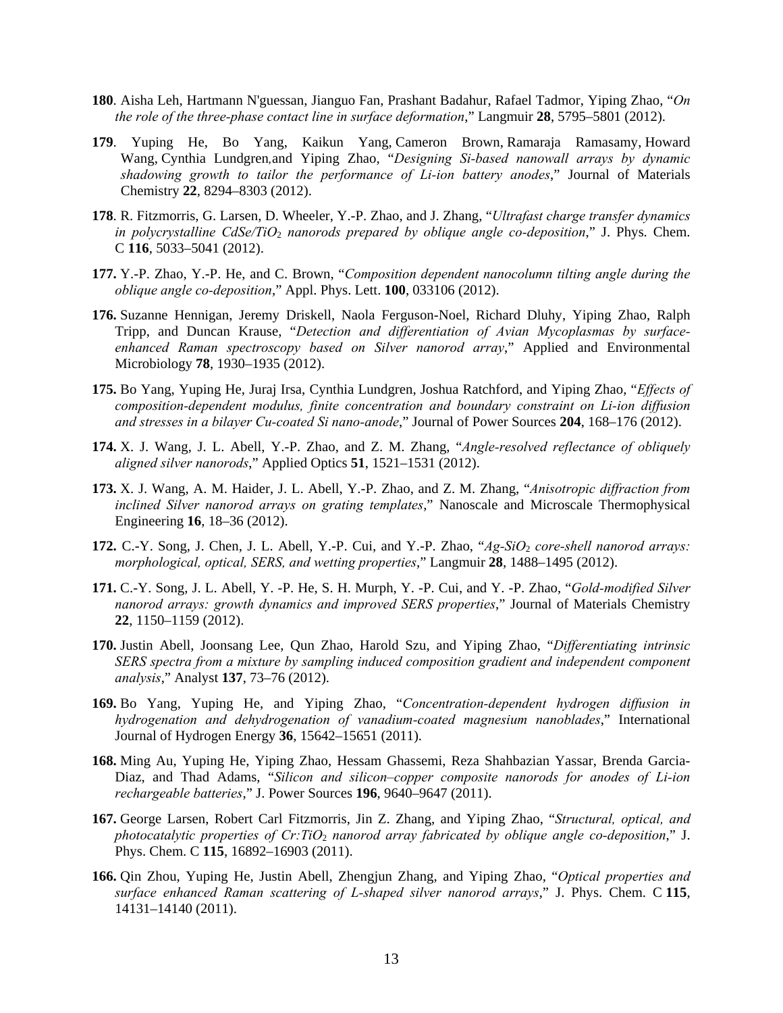- **180**. Aisha Leh, Hartmann N'guessan, Jianguo Fan, Prashant Badahur, Rafael Tadmor, Yiping Zhao, "*On the role of the three-phase contact line in surface deformation*," Langmuir **28**, 5795–5801 (2012).
- **179**. Yuping He, Bo Yang, Kaikun Yang, Cameron Brown, Ramaraja Ramasamy, Howard Wang, Cynthia Lundgren*,*and Yiping Zhao, "*Designing Si-based nanowall arrays by dynamic shadowing growth to tailor the performance of Li-ion battery anodes*," Journal of Materials Chemistry **22**, 8294–8303 (2012).
- **178**. R. Fitzmorris, G. Larsen, D. Wheeler, Y.-P. Zhao, and J. Zhang, "*Ultrafast charge transfer dynamics in polycrystalline CdSe/TiO*2 *nanorods prepared by oblique angle co-deposition*," J. Phys. Chem. C **116**, 5033–5041 (2012).
- **177.** Y.-P. Zhao, Y.-P. He, and C. Brown, "*Composition dependent nanocolumn tilting angle during the oblique angle co-deposition*," Appl. Phys. Lett. **100**, 033106 (2012).
- **176.** Suzanne Hennigan, Jeremy Driskell, Naola Ferguson-Noel, Richard Dluhy, Yiping Zhao, Ralph Tripp, and Duncan Krause, "*Detection and differentiation of Avian Mycoplasmas by surfaceenhanced Raman spectroscopy based on Silver nanorod array*," Applied and Environmental Microbiology **78**, 1930–1935 (2012).
- **175.** Bo Yang, Yuping He, Juraj Irsa, Cynthia Lundgren, Joshua Ratchford, and Yiping Zhao, "*Effects of composition-dependent modulus, finite concentration and boundary constraint on Li-ion diffusion and stresses in a bilayer Cu-coated Si nano-anode*," Journal of Power Sources **204**, 168–176 (2012).
- **174.** X. J. Wang, J. L. Abell, Y.-P. Zhao, and Z. M. Zhang, "*Angle-resolved reflectance of obliquely aligned silver nanorods*," Applied Optics **51**, 1521–1531 (2012).
- **173.** X. J. Wang, A. M. Haider, J. L. Abell, Y.-P. Zhao, and Z. M. Zhang, "*Anisotropic diffraction from inclined Silver nanorod arrays on grating templates*," Nanoscale and Microscale Thermophysical Engineering **16**, 18–36 (2012).
- **172.** C.-Y. Song, J. Chen, J. L. Abell, Y.-P. Cui, and Y.-P. Zhao, "*Ag-SiO*2 *core-shell nanorod arrays: morphological, optical, SERS, and wetting properties*," Langmuir **28**, 1488–1495 (2012).
- **171.** C.-Y. Song, J. L. Abell, Y. -P. He, S. H. Murph, Y. -P. Cui, and Y. -P. Zhao, "*Gold-modified Silver nanorod arrays: growth dynamics and improved SERS properties*," Journal of Materials Chemistry **22**, 1150–1159 (2012).
- **170.** Justin Abell, Joonsang Lee, Qun Zhao, Harold Szu, and Yiping Zhao, "*Differentiating intrinsic SERS spectra from a mixture by sampling induced composition gradient and independent component analysis*," Analyst **137**, 73–76 (2012).
- **169.** Bo Yang, Yuping He, and Yiping Zhao, "*Concentration-dependent hydrogen diffusion in hydrogenation and dehydrogenation of vanadium-coated magnesium nanoblades*," International Journal of Hydrogen Energy **36**, 15642–15651 (2011).
- **168.** Ming Au, Yuping He, Yiping Zhao, Hessam Ghassemi, Reza Shahbazian Yassar, Brenda Garcia-Diaz, and Thad Adams, "*Silicon and silicon–copper composite nanorods for anodes of Li-ion rechargeable batteries*," J. Power Sources **196**, 9640–9647 (2011).
- **167.** George Larsen, Robert Carl Fitzmorris, Jin Z. Zhang, and Yiping Zhao, "*Structural, optical, and photocatalytic properties of Cr:TiO*2 *nanorod array fabricated by oblique angle co-deposition*," J. Phys. Chem. C **115**, 16892–16903 (2011).
- **166.** Qin Zhou, Yuping He, Justin Abell, Zhengjun Zhang, and Yiping Zhao, "*Optical properties and surface enhanced Raman scattering of L-shaped silver nanorod arrays*," J. Phys. Chem. C **115**, 14131–14140 (2011).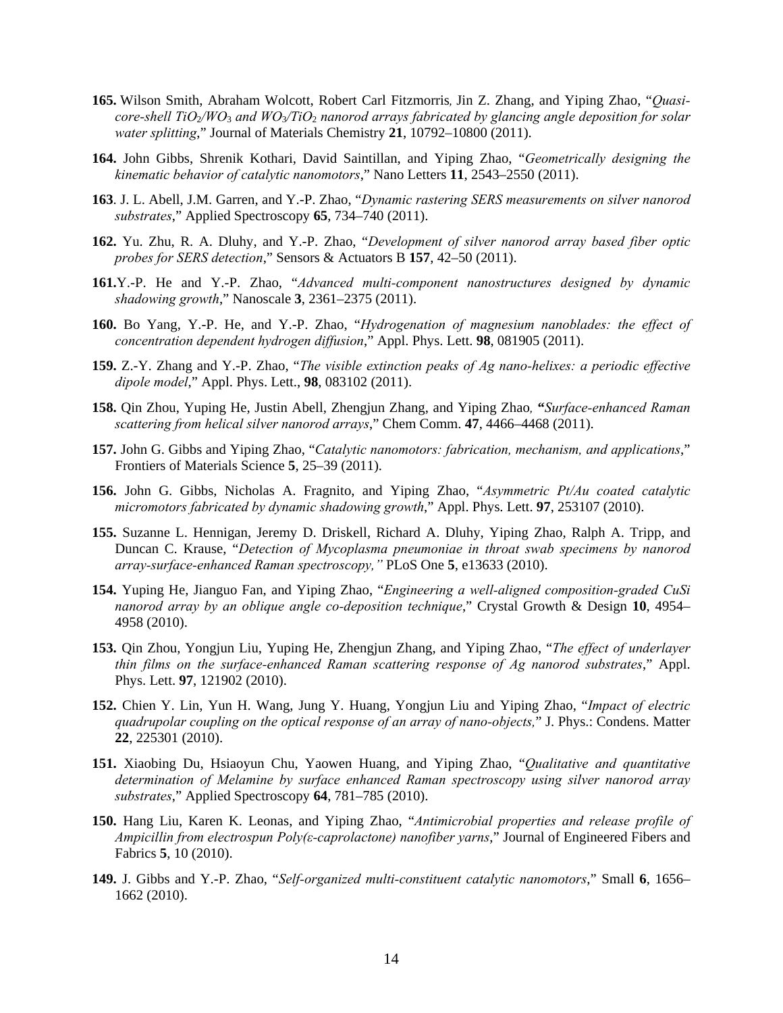- **165.** Wilson Smith, Abraham Wolcott, Robert Carl Fitzmorris*,* Jin Z. Zhang, and Yiping Zhao, "*Quasicore-shell TiO*2*/WO*3 *and WO*3*/TiO*2 *nanorod arrays fabricated by glancing angle deposition for solar water splitting*," Journal of Materials Chemistry **21**, 10792–10800 (2011).
- **164.** John Gibbs, Shrenik Kothari, David Saintillan, and Yiping Zhao, "*Geometrically designing the kinematic behavior of catalytic nanomotors*," Nano Letters **11**, 2543–2550 (2011).
- **163**. J. L. Abell, J.M. Garren, and Y.-P. Zhao, "*Dynamic rastering SERS measurements on silver nanorod substrates*," Applied Spectroscopy **65**, 734–740 (2011).
- **162.** Yu. Zhu, R. A. Dluhy, and Y.-P. Zhao, "*Development of silver nanorod array based fiber optic probes for SERS detection*," Sensors & Actuators B **157**, 42–50 (2011).
- **161.**Y.-P. He and Y.-P. Zhao, "*Advanced multi-component nanostructures designed by dynamic shadowing growth*," Nanoscale **3**, 2361–2375 (2011).
- **160.** Bo Yang, Y.-P. He, and Y.-P. Zhao, "*Hydrogenation of magnesium nanoblades: the effect of concentration dependent hydrogen diffusion*," Appl. Phys. Lett. **98**, 081905 (2011).
- **159.** Z.-Y. Zhang and Y.-P. Zhao, "*The visible extinction peaks of Ag nano-helixes: a periodic effective dipole model*," Appl. Phys. Lett., **98**, 083102 (2011).
- **158.** Qin Zhou, Yuping He, Justin Abell, Zhengjun Zhang, and Yiping Zhao*,* **"***Surface-enhanced Raman scattering from helical silver nanorod arrays*," Chem Comm. **47**, 4466–4468 (2011).
- **157.** John G. Gibbs and Yiping Zhao, "*Catalytic nanomotors: fabrication, mechanism, and applications*," Frontiers of Materials Science **5**, 25–39 (2011).
- **156.** John G. Gibbs, Nicholas A. Fragnito, and Yiping Zhao, "*Asymmetric Pt/Au coated catalytic micromotors fabricated by dynamic shadowing growth*," Appl. Phys. Lett. **97**, 253107 (2010).
- **155.** Suzanne L. Hennigan, Jeremy D. Driskell, Richard A. Dluhy, Yiping Zhao, Ralph A. Tripp, and Duncan C. Krause, "*Detection of Mycoplasma pneumoniae in throat swab specimens by nanorod array-surface-enhanced Raman spectroscopy,"* PLoS One **5**, e13633 (2010).
- **154.** Yuping He, Jianguo Fan, and Yiping Zhao, "*Engineering a well-aligned composition-graded CuSi nanorod array by an oblique angle co-deposition technique*," Crystal Growth & Design **10**, 4954– 4958 (2010).
- **153.** Qin Zhou, Yongjun Liu, Yuping He, Zhengjun Zhang, and Yiping Zhao, "*The effect of underlayer thin films on the surface-enhanced Raman scattering response of Ag nanorod substrates*," Appl. Phys. Lett. **97**, 121902 (2010).
- **152.** Chien Y. Lin, Yun H. Wang, Jung Y. Huang, Yongjun Liu and Yiping Zhao, "*Impact of electric quadrupolar coupling on the optical response of an array of nano-objects,*" J. Phys.: Condens. Matter **22**, 225301 (2010).
- **151.** Xiaobing Du, Hsiaoyun Chu, Yaowen Huang, and Yiping Zhao, "*Qualitative and quantitative determination of Melamine by surface enhanced Raman spectroscopy using silver nanorod array substrates*," Applied Spectroscopy **64**, 781–785 (2010).
- **150.** Hang Liu, Karen K. Leonas, and Yiping Zhao, "*Antimicrobial properties and release profile of Ampicillin from electrospun Poly(ε-caprolactone) nanofiber yarns*," Journal of Engineered Fibers and Fabrics **5**, 10 (2010).
- **149.** J. Gibbs and Y.-P. Zhao, "*Self-organized multi-constituent catalytic nanomotors*," Small **6**, 1656– 1662 (2010).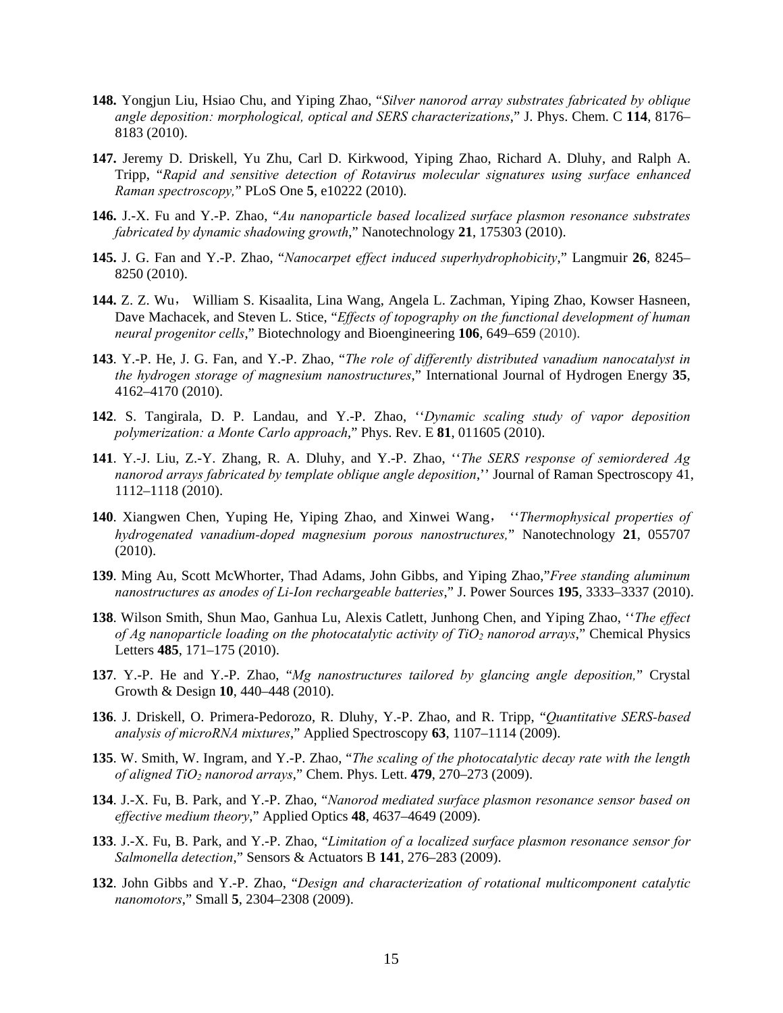- **148.** Yongjun Liu, Hsiao Chu, and Yiping Zhao, "*Silver nanorod array substrates fabricated by oblique angle deposition: morphological, optical and SERS characterizations*," J. Phys. Chem. C **114**, 8176– 8183 (2010).
- **147.** Jeremy D. Driskell, Yu Zhu, Carl D. Kirkwood, Yiping Zhao, Richard A. Dluhy, and Ralph A. Tripp, "*Rapid and sensitive detection of Rotavirus molecular signatures using surface enhanced Raman spectroscopy,*" PLoS One **5**, e10222 (2010).
- **146.** J.-X. Fu and Y.-P. Zhao, "*Au nanoparticle based localized surface plasmon resonance substrates fabricated by dynamic shadowing growth*," Nanotechnology **21**, 175303 (2010).
- **145.** J. G. Fan and Y.-P. Zhao, "*Nanocarpet effect induced superhydrophobicity*," Langmuir **26**, 8245– 8250 (2010).
- **144.** Z. Z. Wu, William S. Kisaalita, Lina Wang, Angela L. Zachman, Yiping Zhao, Kowser Hasneen, Dave Machacek, and Steven L. Stice, "*Effects of topography on the functional development of human neural progenitor cells*," Biotechnology and Bioengineering **106**, 649–659 (2010).
- **143**. Y.-P. He, J. G. Fan, and Y.-P. Zhao, "*The role of differently distributed vanadium nanocatalyst in the hydrogen storage of magnesium nanostructures*," International Journal of Hydrogen Energy **35**, 4162–4170 (2010).
- **142**. S. Tangirala, D. P. Landau, and Y.-P. Zhao, ''*Dynamic scaling study of vapor deposition polymerization: a Monte Carlo approach*," Phys. Rev. E **81**, 011605 (2010).
- **141**. Y.-J. Liu, Z.-Y. Zhang, R. A. Dluhy, and Y.-P. Zhao, ''*The SERS response of semiordered Ag nanorod arrays fabricated by template oblique angle deposition*,'' Journal of Raman Spectroscopy 41, 1112–1118 (2010).
- **140**. Xiangwen Chen, Yuping He, Yiping Zhao, and Xinwei Wang, ''*Thermophysical properties of hydrogenated vanadium-doped magnesium porous nanostructures,*" Nanotechnology **21**, 055707 (2010).
- **139**. Ming Au, Scott McWhorter, Thad Adams, John Gibbs, and Yiping Zhao,"*Free standing aluminum nanostructures as anodes of Li-Ion rechargeable batteries*," J. Power Sources **195**, 3333–3337 (2010).
- **138**. Wilson Smith, Shun Mao, Ganhua Lu, Alexis Catlett, Junhong Chen, and Yiping Zhao, ''*The effect of Ag nanoparticle loading on the photocatalytic activity of TiO2 nanorod arrays*," Chemical Physics Letters **485**, 171–175 (2010).
- **137**. Y.-P. He and Y.-P. Zhao, "*Mg nanostructures tailored by glancing angle deposition,*" Crystal Growth & Design **10**, 440–448 (2010).
- **136**. J. Driskell, O. Primera-Pedorozo, R. Dluhy, Y.-P. Zhao, and R. Tripp, "*Quantitative SERS-based analysis of microRNA mixtures*," Applied Spectroscopy **63**, 1107–1114 (2009).
- **135**. W. Smith, W. Ingram, and Y.-P. Zhao, "*The scaling of the photocatalytic decay rate with the length of aligned TiO2 nanorod arrays*," Chem. Phys. Lett. **479**, 270–273 (2009).
- **134**. J.-X. Fu, B. Park, and Y.-P. Zhao, "*Nanorod mediated surface plasmon resonance sensor based on effective medium theory*," Applied Optics **48**, 4637–4649 (2009).
- **133**. J.-X. Fu, B. Park, and Y.-P. Zhao, "*Limitation of a localized surface plasmon resonance sensor for Salmonella detection*," Sensors & Actuators B **141**, 276–283 (2009).
- **132**. John Gibbs and Y.-P. Zhao, "*Design and characterization of rotational multicomponent catalytic nanomotors*," Small **5**, 2304–2308 (2009).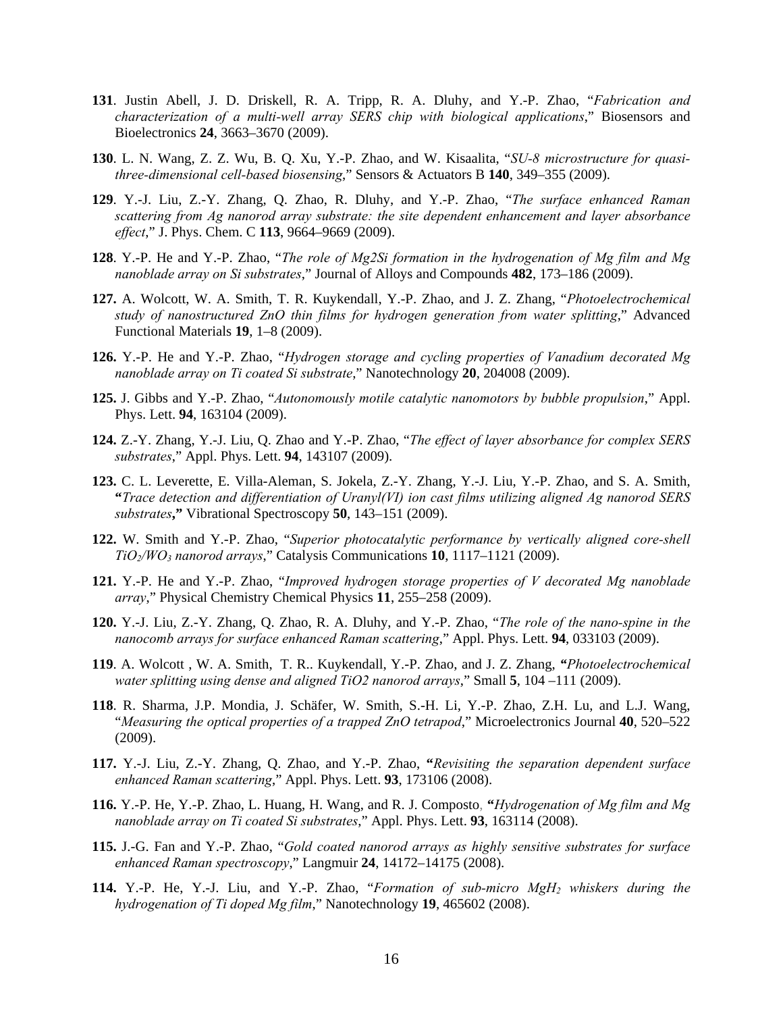- **131**. Justin Abell, J. D. Driskell, R. A. Tripp, R. A. Dluhy, and Y.-P. Zhao, "*Fabrication and characterization of a multi-well array SERS chip with biological applications*," Biosensors and Bioelectronics **24**, 3663–3670 (2009).
- **130**. L. N. Wang, Z. Z. Wu, B. Q. Xu, Y.-P. Zhao, and W. Kisaalita, "*SU-8 microstructure for quasithree-dimensional cell-based biosensing*," Sensors & Actuators B **140**, 349–355 (2009).
- **129**. Y.-J. Liu, Z.-Y. Zhang, Q. Zhao, R. Dluhy, and Y.-P. Zhao, "*The surface enhanced Raman scattering from Ag nanorod array substrate: the site dependent enhancement and layer absorbance effect*," J. Phys. Chem. C **113**, 9664–9669 (2009).
- **128**. Y.-P. He and Y.-P. Zhao, "*The role of Mg2Si formation in the hydrogenation of Mg film and Mg nanoblade array on Si substrates*," Journal of Alloys and Compounds **482**, 173–186 (2009).
- **127.** A. Wolcott, W. A. Smith, T. R. Kuykendall, Y.-P. Zhao, and J. Z. Zhang, "*Photoelectrochemical study of nanostructured ZnO thin films for hydrogen generation from water splitting*," Advanced Functional Materials **19**, 1–8 (2009).
- **126.** Y.-P. He and Y.-P. Zhao, "*Hydrogen storage and cycling properties of Vanadium decorated Mg nanoblade array on Ti coated Si substrate*," Nanotechnology **20**, 204008 (2009).
- **125.** J. Gibbs and Y.-P. Zhao, "*Autonomously motile catalytic nanomotors by bubble propulsion*," Appl. Phys. Lett. **94**, 163104 (2009).
- **124.** Z.-Y. Zhang, Y.-J. Liu, Q. Zhao and Y.-P. Zhao, "*The effect of layer absorbance for complex SERS substrates*," Appl. Phys. Lett. **94**, 143107 (2009).
- **123.** C. L. Leverette, E. Villa-Aleman, S. Jokela, Z.-Y. Zhang, Y.-J. Liu, Y.-P. Zhao, and S. A. Smith, **"***Trace detection and differentiation of Uranyl(VI) ion cast films utilizing aligned Ag nanorod SERS substrates***,"** Vibrational Spectroscopy **50**, 143–151 (2009).
- **122.** W. Smith and Y.-P. Zhao, "*Superior photocatalytic performance by vertically aligned core-shell TiO2/WO3 nanorod arrays*," Catalysis Communications **10**, 1117–1121 (2009).
- **121.** Y.-P. He and Y.-P. Zhao, "*Improved hydrogen storage properties of V decorated Mg nanoblade array*," Physical Chemistry Chemical Physics **11**, 255–258 (2009).
- **120.** Y.-J. Liu, Z.-Y. Zhang, Q. Zhao, R. A. Dluhy, and Y.-P. Zhao, "*The role of the nano-spine in the nanocomb arrays for surface enhanced Raman scattering*," Appl. Phys. Lett. **94**, 033103 (2009).
- **119**. A. Wolcott , W. A. Smith, T. R.. Kuykendall, Y.-P. Zhao, and J. Z. Zhang, *"Photoelectrochemical water splitting using dense and aligned TiO2 nanorod arrays*," Small **5**, 104 –111 (2009).
- **118**. R. Sharma, J.P. Mondia, J. Schäfer, W. Smith, S.-H. Li, Y.-P. Zhao, Z.H. Lu, and L.J. Wang, "*Measuring the optical properties of a trapped ZnO tetrapod*," Microelectronics Journal **40**, 520–522 (2009).
- **117.** Y.-J. Liu, Z.-Y. Zhang, Q. Zhao, and Y.-P. Zhao, **"***Revisiting the separation dependent surface enhanced Raman scattering*," Appl. Phys. Lett. **93**, 173106 (2008).
- **116.** Y.-P. He, Y.-P. Zhao, L. Huang, H. Wang, and R. J. Composto, **"***Hydrogenation of Mg film and Mg nanoblade array on Ti coated Si substrates*," Appl. Phys. Lett. **93**, 163114 (2008).
- **115.** J.-G. Fan and Y.-P. Zhao, "*Gold coated nanorod arrays as highly sensitive substrates for surface enhanced Raman spectroscopy*," Langmuir **24**, 14172–14175 (2008).
- **114.** Y.-P. He, Y.-J. Liu, and Y.-P. Zhao, "*Formation of sub-micro MgH2 whiskers during the hydrogenation of Ti doped Mg film*," Nanotechnology **19**, 465602 (2008).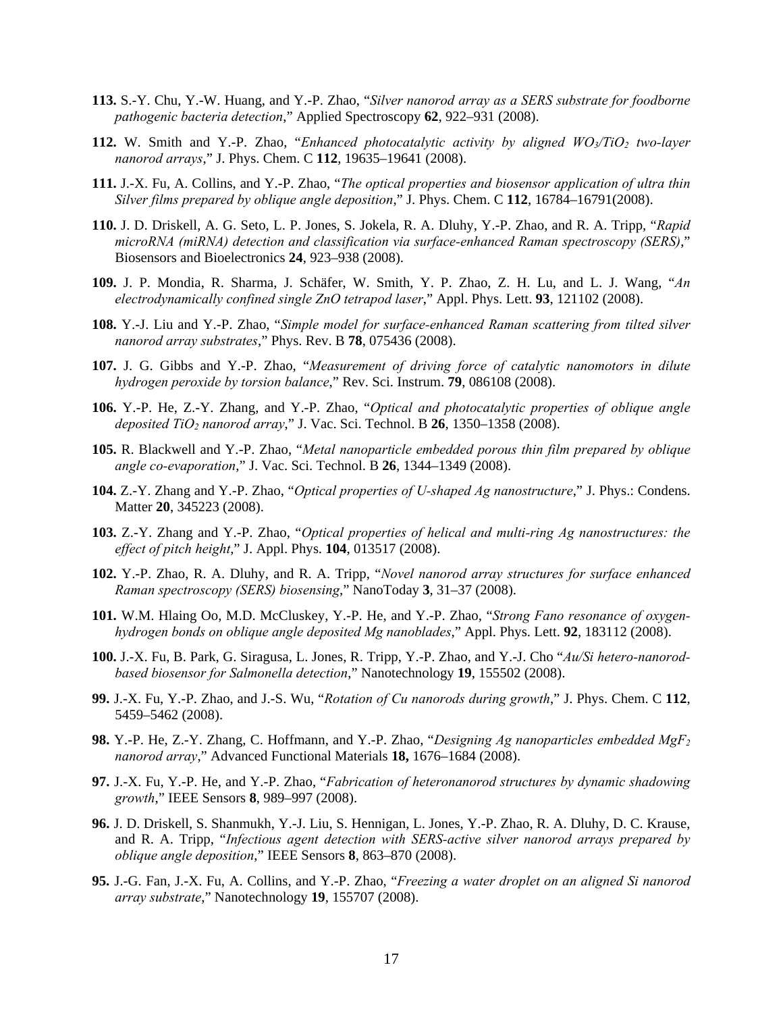- **113.** S.-Y. Chu, Y.-W. Huang, and Y.-P. Zhao, "*Silver nanorod array as a SERS substrate for foodborne pathogenic bacteria detection*," Applied Spectroscopy **62**, 922–931 (2008).
- **112.** W. Smith and Y.-P. Zhao, "*Enhanced photocatalytic activity by aligned WO<sub>3</sub>/TiO<sub>2</sub> two-layer nanorod arrays*," J. Phys. Chem. C **112**, 19635–19641 (2008).
- **111.** J.-X. Fu, A. Collins, and Y.-P. Zhao, "*The optical properties and biosensor application of ultra thin Silver films prepared by oblique angle deposition*," J. Phys. Chem. C **112**, 16784–16791(2008).
- **110.** J. D. Driskell, A. G. Seto, L. P. Jones, S. Jokela, R. A. Dluhy, Y.-P. Zhao, and R. A. Tripp, "*Rapid microRNA (miRNA) detection and classification via surface-enhanced Raman spectroscopy (SERS)*," Biosensors and Bioelectronics **24**, 923–938 (2008).
- **109.** J. P. Mondia, R. Sharma, J. Schäfer, W. Smith, Y. P. Zhao, Z. H. Lu, and L. J. Wang, "*An electrodynamically confined single ZnO tetrapod laser*," Appl. Phys. Lett. **93**, 121102 (2008).
- **108.** Y.-J. Liu and Y.-P. Zhao, "*Simple model for surface-enhanced Raman scattering from tilted silver nanorod array substrates*," Phys. Rev. B **78**, 075436 (2008).
- **107.** J. G. Gibbs and Y.-P. Zhao, "*Measurement of driving force of catalytic nanomotors in dilute hydrogen peroxide by torsion balance*," Rev. Sci. Instrum. **79**, 086108 (2008).
- **106.** Y.-P. He, Z.-Y. Zhang, and Y.-P. Zhao, "*Optical and photocatalytic properties of oblique angle deposited TiO2 nanorod array*," J. Vac. Sci. Technol. B **26**, 1350–1358 (2008).
- **105.** R. Blackwell and Y.-P. Zhao, "*Metal nanoparticle embedded porous thin film prepared by oblique angle co-evaporation*," J. Vac. Sci. Technol. B **26**, 1344–1349 (2008).
- **104.** Z.-Y. Zhang and Y.-P. Zhao, "*Optical properties of U-shaped Ag nanostructure*," J. Phys.: Condens. Matter **20**, 345223 (2008).
- **103.** Z.-Y. Zhang and Y.-P. Zhao, "*Optical properties of helical and multi-ring Ag nanostructures: the effect of pitch height*," J. Appl. Phys. **104**, 013517 (2008).
- **102.** Y.-P. Zhao, R. A. Dluhy, and R. A. Tripp, "*Novel nanorod array structures for surface enhanced Raman spectroscopy (SERS) biosensing*," NanoToday **3**, 31–37 (2008).
- **101.** W.M. Hlaing Oo, M.D. McCluskey, Y.-P. He, and Y.-P. Zhao, "*Strong Fano resonance of oxygenhydrogen bonds on oblique angle deposited Mg nanoblades*," Appl. Phys. Lett. **92**, 183112 (2008).
- **100.** J.-X. Fu, B. Park, G. Siragusa, L. Jones, R. Tripp, Y.-P. Zhao, and Y.-J. Cho "*Au/Si hetero-nanorodbased biosensor for Salmonella detection*," Nanotechnology **19**, 155502 (2008).
- **99.** J.-X. Fu, Y.-P. Zhao, and J.-S. Wu, "*Rotation of Cu nanorods during growth*," J. Phys. Chem. C **112**, 5459–5462 (2008).
- **98.** Y.-P. He, Z.-Y. Zhang, C. Hoffmann, and Y.-P. Zhao, "*Designing Ag nanoparticles embedded MgF2 nanorod array*," Advanced Functional Materials **18,** 1676–1684 (2008).
- **97.** J.-X. Fu, Y.-P. He, and Y.-P. Zhao, "*Fabrication of heteronanorod structures by dynamic shadowing growth*," IEEE Sensors **8**, 989–997 (2008).
- **96.** J. D. Driskell, S. Shanmukh, Y.-J. Liu, S. Hennigan, L. Jones, Y.-P. Zhao, R. A. Dluhy, D. C. Krause, and R. A. Tripp, "*Infectious agent detection with SERS-active silver nanorod arrays prepared by oblique angle deposition*," IEEE Sensors **8**, 863–870 (2008).
- **95.** J.-G. Fan, J.-X. Fu, A. Collins, and Y.-P. Zhao, "*Freezing a water droplet on an aligned Si nanorod array substrate*," Nanotechnology **19**, 155707 (2008).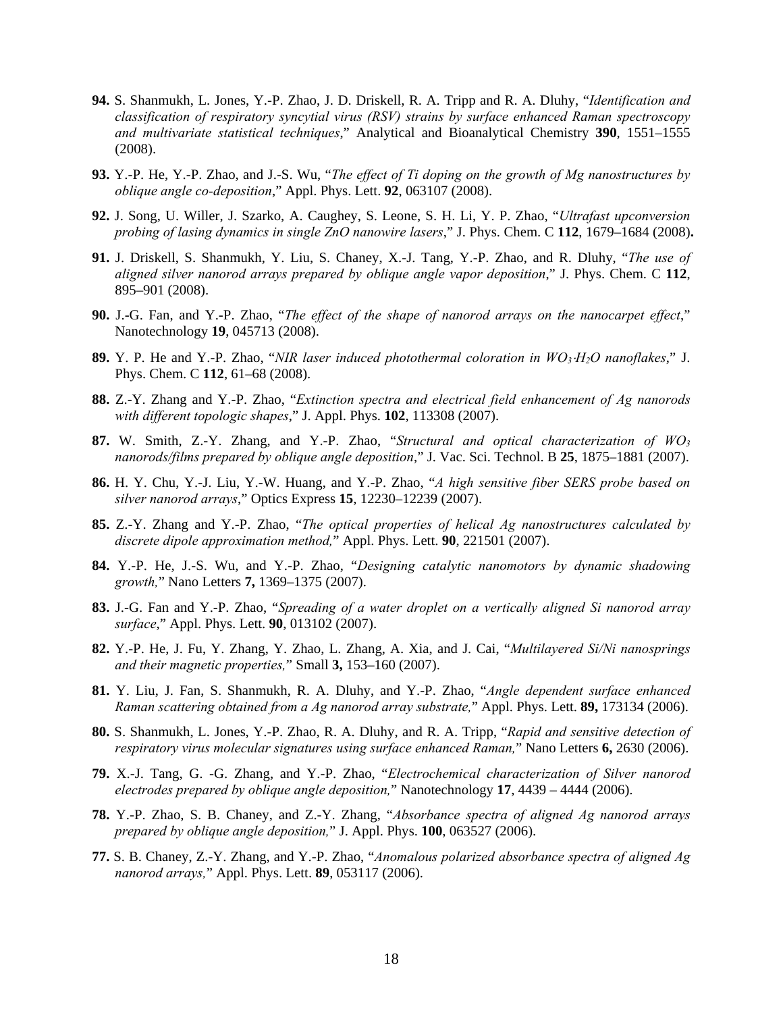- **94.** S. Shanmukh, L. Jones, Y.-P. Zhao, J. D. Driskell, R. A. Tripp and R. A. Dluhy, "*Identification and classification of respiratory syncytial virus (RSV) strains by surface enhanced Raman spectroscopy and multivariate statistical techniques*," Analytical and Bioanalytical Chemistry **390**, 1551–1555 (2008).
- **93.** Y.-P. He, Y.-P. Zhao, and J.-S. Wu, "*The effect of Ti doping on the growth of Mg nanostructures by oblique angle co-deposition*," Appl. Phys. Lett. **92**, 063107 (2008).
- **92.** J. Song, U. Willer, J. Szarko, A. Caughey, S. Leone, S. H. Li, Y. P. Zhao, "*Ultrafast upconversion probing of lasing dynamics in single ZnO nanowire lasers*," J. Phys. Chem. C **112**, 1679–1684 (2008)**.**
- **91.** J. Driskell, S. Shanmukh, Y. Liu, S. Chaney, X.-J. Tang, Y.-P. Zhao, and R. Dluhy, "*The use of aligned silver nanorod arrays prepared by oblique angle vapor deposition*," J. Phys. Chem. C **112**, 895–901 (2008).
- **90.** J.-G. Fan, and Y.-P. Zhao, "*The effect of the shape of nanorod arrays on the nanocarpet effect*," Nanotechnology **19**, 045713 (2008).
- **89.** Y. P. He and Y.-P. Zhao, "*NIR laser induced photothermal coloration in WO3H2O nanoflakes*," J. Phys. Chem. C **112**, 61–68 (2008).
- **88.** Z.-Y. Zhang and Y.-P. Zhao, "*Extinction spectra and electrical field enhancement of Ag nanorods with different topologic shapes*," J. Appl. Phys. **102**, 113308 (2007).
- **87.** W. Smith, Z.-Y. Zhang, and Y.-P. Zhao, "*Structural and optical characterization of WO3 nanorods/films prepared by oblique angle deposition*," J. Vac. Sci. Technol. B **25**, 1875–1881 (2007).
- **86.** H. Y. Chu, Y.-J. Liu, Y.-W. Huang, and Y.-P. Zhao, "*A high sensitive fiber SERS probe based on silver nanorod arrays*," Optics Express **15**, 12230–12239 (2007).
- **85.** Z.-Y. Zhang and Y.-P. Zhao, "*The optical properties of helical Ag nanostructures calculated by discrete dipole approximation method,*" Appl. Phys. Lett. **90**, 221501 (2007).
- **84.** Y.-P. He, J.-S. Wu, and Y.-P. Zhao, "*Designing catalytic nanomotors by dynamic shadowing growth,*" Nano Letters **7,** 1369–1375 (2007).
- **83.** J.-G. Fan and Y.-P. Zhao, "*Spreading of a water droplet on a vertically aligned Si nanorod array surface*," Appl. Phys. Lett. **90**, 013102 (2007).
- **82.** Y.-P. He, J. Fu, Y. Zhang, Y. Zhao, L. Zhang, A. Xia, and J. Cai, "*Multilayered Si/Ni nanosprings and their magnetic properties,*" Small **3,** 153–160 (2007).
- **81.** Y. Liu, J. Fan, S. Shanmukh, R. A. Dluhy, and Y.-P. Zhao, "*Angle dependent surface enhanced Raman scattering obtained from a Ag nanorod array substrate,*" Appl. Phys. Lett. **89,** 173134 (2006).
- **80.** S. Shanmukh, L. Jones, Y.-P. Zhao, R. A. Dluhy, and R. A. Tripp, "*Rapid and sensitive detection of respiratory virus molecular signatures using surface enhanced Raman,*" Nano Letters **6,** 2630 (2006).
- **79.** X.-J. Tang, G. -G. Zhang, and Y.-P. Zhao, "*Electrochemical characterization of Silver nanorod electrodes prepared by oblique angle deposition,*" Nanotechnology **17**, 4439 – 4444 (2006).
- **78.** Y.-P. Zhao, S. B. Chaney, and Z.-Y. Zhang, "*Absorbance spectra of aligned Ag nanorod arrays prepared by oblique angle deposition,*" J. Appl. Phys. **100**, 063527 (2006).
- **77.** S. B. Chaney, Z.-Y. Zhang, and Y.-P. Zhao, "*Anomalous polarized absorbance spectra of aligned Ag nanorod arrays,*" Appl. Phys. Lett. **89**, 053117 (2006).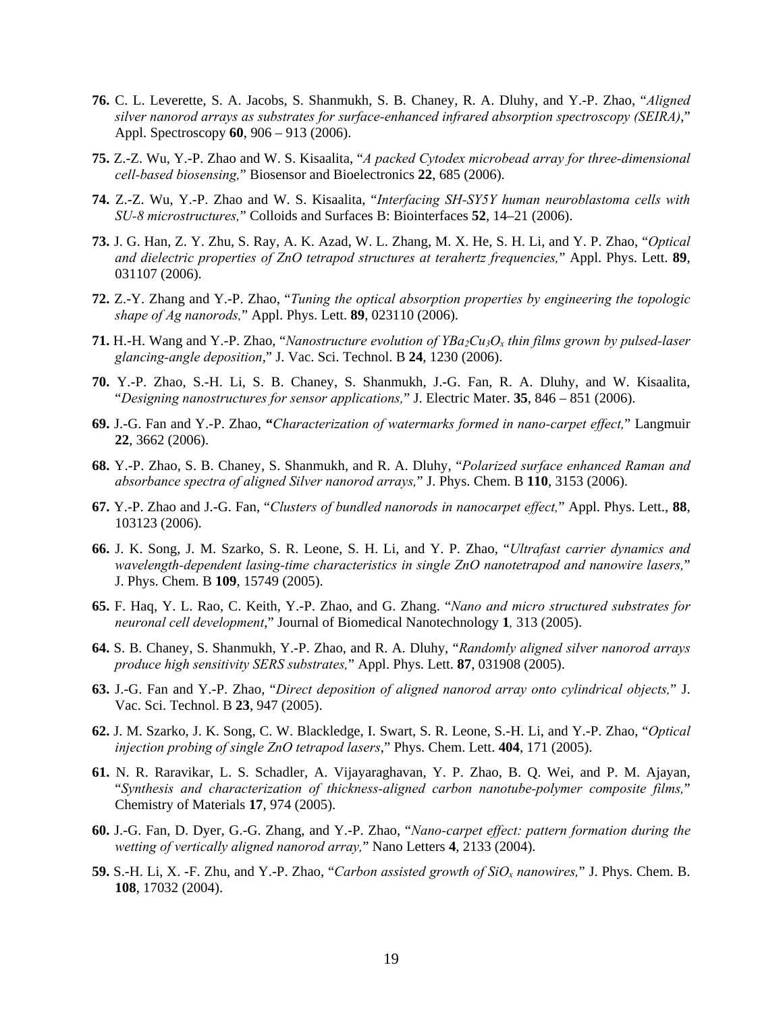- **76.** C. L. Leverette, S. A. Jacobs, S. Shanmukh, S. B. Chaney, R. A. Dluhy, and Y.-P. Zhao, "*Aligned silver nanorod arrays as substrates for surface-enhanced infrared absorption spectroscopy (SEIRA)*," Appl. Spectroscopy **60**, 906 – 913 (2006).
- **75.** Z.-Z. Wu, Y.-P. Zhao and W. S. Kisaalita, "*A packed Cytodex microbead array for three-dimensional cell-based biosensing,*" Biosensor and Bioelectronics **22**, 685 (2006).
- **74.** Z.-Z. Wu, Y.-P. Zhao and W. S. Kisaalita, "*Interfacing SH-SY5Y human neuroblastoma cells with SU-8 microstructures,*" Colloids and Surfaces B: Biointerfaces **52**, 14–21 (2006).
- **73.** J. G. Han, Z. Y. Zhu, S. Ray, A. K. Azad, W. L. Zhang, M. X. He, S. H. Li, and Y. P. Zhao, "*Optical and dielectric properties of ZnO tetrapod structures at terahertz frequencies,*" Appl. Phys. Lett. **89**, 031107 (2006).
- **72.** Z.-Y. Zhang and Y.-P. Zhao, "*Tuning the optical absorption properties by engineering the topologic shape of Ag nanorods,*" Appl. Phys. Lett. **89**, 023110 (2006).
- **71.** H.-H. Wang and Y.-P. Zhao, "*Nanostructure evolution of YBa2Cu3Ox thin films grown by pulsed-laser glancing-angle deposition*," J. Vac. Sci. Technol. B **24**, 1230 (2006).
- **70.** Y.-P. Zhao, S.-H. Li, S. B. Chaney, S. Shanmukh, J.-G. Fan, R. A. Dluhy, and W. Kisaalita, "*Designing nanostructures for sensor applications,*" J. Electric Mater. **35**, 846 – 851 (2006).
- **69.** J.-G. Fan and Y.-P. Zhao, **"***Characterization of watermarks formed in nano-carpet effect,*" Langmuir **22**, 3662 (2006).
- **68.** Y.-P. Zhao, S. B. Chaney, S. Shanmukh, and R. A. Dluhy, "*Polarized surface enhanced Raman and absorbance spectra of aligned Silver nanorod arrays,*" J. Phys. Chem. B **110**, 3153 (2006).
- **67.** Y.-P. Zhao and J.-G. Fan, "*Clusters of bundled nanorods in nanocarpet effect,*" Appl. Phys. Lett., **88**, 103123 (2006).
- **66.** J. K. Song, J. M. Szarko, S. R. Leone, S. H. Li, and Y. P. Zhao, "*Ultrafast carrier dynamics and wavelength-dependent lasing-time characteristics in single ZnO nanotetrapod and nanowire lasers,*" J. Phys. Chem. B **109**, 15749 (2005).
- **65.** F. Haq, Y. L. Rao, C. Keith, Y.-P. Zhao, and G. Zhang. "*Nano and micro structured substrates for neuronal cell development*," Journal of Biomedical Nanotechnology **1***,* 313 (2005).
- **64.** S. B. Chaney, S. Shanmukh, Y.-P. Zhao, and R. A. Dluhy, "*Randomly aligned silver nanorod arrays produce high sensitivity SERS substrates,*" Appl. Phys. Lett. **87**, 031908 (2005).
- **63.** J.-G. Fan and Y.-P. Zhao, "*Direct deposition of aligned nanorod array onto cylindrical objects,*" J. Vac. Sci. Technol. B **23**, 947 (2005).
- **62.** J. M. Szarko, J. K. Song, C. W. Blackledge, I. Swart, S. R. Leone, S.-H. Li, and Y.-P. Zhao, "*Optical injection probing of single ZnO tetrapod lasers*," Phys. Chem. Lett. **404**, 171 (2005).
- **61.** N. R. Raravikar, L. S. Schadler, A. Vijayaraghavan, Y. P. Zhao, B. Q. Wei, and P. M. Ajayan, "*Synthesis and characterization of thickness-aligned carbon nanotube-polymer composite films,*" Chemistry of Materials **17**, 974 (2005).
- **60.** J.-G. Fan, D. Dyer, G.-G. Zhang, and Y.-P. Zhao, "*Nano-carpet effect: pattern formation during the wetting of vertically aligned nanorod array,*" Nano Letters **4**, 2133 (2004).
- **59.** S.-H. Li, X. -F. Zhu, and Y.-P. Zhao, "*Carbon assisted growth of SiOx nanowires,*" J. Phys. Chem. B. **108**, 17032 (2004).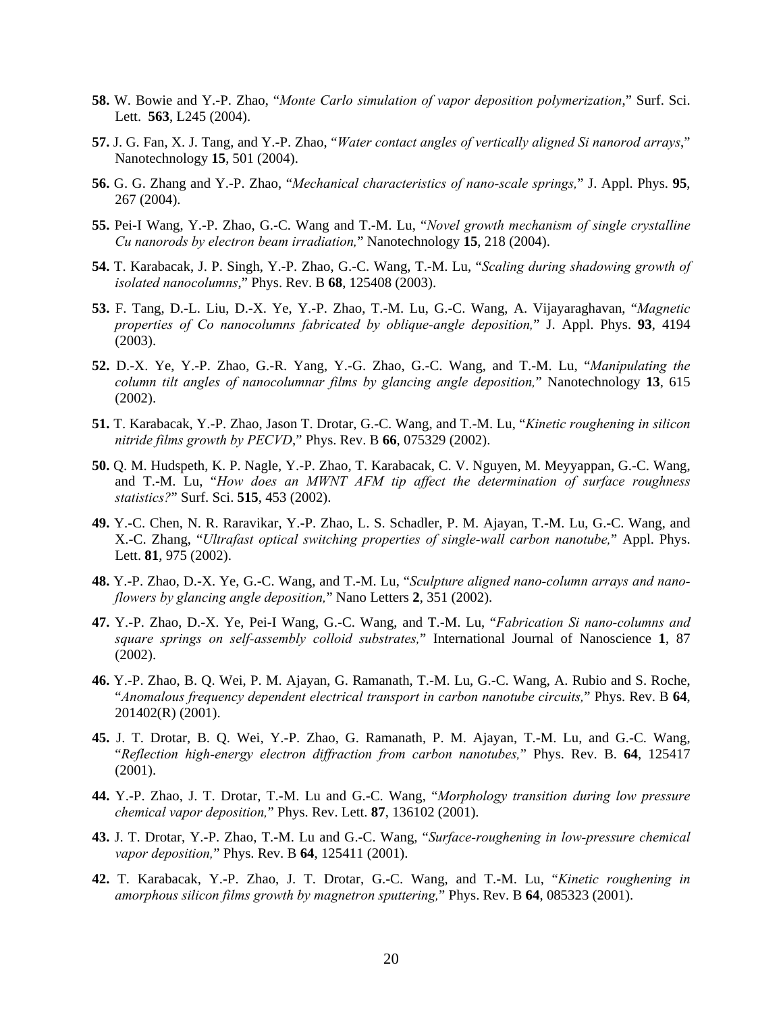- **58.** W. Bowie and Y.-P. Zhao, "*Monte Carlo simulation of vapor deposition polymerization*," Surf. Sci. Lett. **563**, L245 (2004).
- **57.** J. G. Fan, X. J. Tang, and Y.-P. Zhao, "*Water contact angles of vertically aligned Si nanorod arrays*," Nanotechnology **15**, 501 (2004).
- **56.** G. G. Zhang and Y.-P. Zhao, "*Mechanical characteristics of nano-scale springs,*" J. Appl. Phys. **95**, 267 (2004).
- **55.** Pei-I Wang, Y.-P. Zhao, G.-C. Wang and T.-M. Lu, "*Novel growth mechanism of single crystalline Cu nanorods by electron beam irradiation,*" Nanotechnology **15**, 218 (2004).
- **54.** T. Karabacak, J. P. Singh, Y.-P. Zhao, G.-C. Wang, T.-M. Lu, "*Scaling during shadowing growth of isolated nanocolumns*," Phys. Rev. B **68**, 125408 (2003).
- **53.** F. Tang, D.-L. Liu, D.-X. Ye, Y.-P. Zhao, T.-M. Lu, G.-C. Wang, A. Vijayaraghavan, "*Magnetic properties of Co nanocolumns fabricated by oblique-angle deposition,*" J. Appl. Phys. **93**, 4194 (2003).
- **52.** D.-X. Ye, Y.-P. Zhao, G.-R. Yang, Y.-G. Zhao, G.-C. Wang, and T.-M. Lu, "*Manipulating the column tilt angles of nanocolumnar films by glancing angle deposition,*" Nanotechnology **13**, 615 (2002).
- **51.** T. Karabacak, Y.-P. Zhao, Jason T. Drotar, G.-C. Wang, and T.-M. Lu, "*Kinetic roughening in silicon nitride films growth by PECVD*," Phys. Rev. B **66**, 075329 (2002).
- **50.** Q. M. Hudspeth, K. P. Nagle, Y.-P. Zhao, T. Karabacak, C. V. Nguyen, M. Meyyappan, G.-C. Wang, and T.-M. Lu, "*How does an MWNT AFM tip affect the determination of surface roughness statistics?*" Surf. Sci. **515**, 453 (2002).
- **49.** Y.-C. Chen, N. R. Raravikar, Y.-P. Zhao, L. S. Schadler, P. M. Ajayan, T.-M. Lu, G.-C. Wang, and X.-C. Zhang, "*Ultrafast optical switching properties of single-wall carbon nanotube,*" Appl. Phys. Lett. **81**, 975 (2002).
- **48.** Y.-P. Zhao, D.-X. Ye, G.-C. Wang, and T.-M. Lu, "*Sculpture aligned nano-column arrays and nanoflowers by glancing angle deposition,*" Nano Letters **2**, 351 (2002).
- **47.** Y.-P. Zhao, D.-X. Ye, Pei-I Wang, G.-C. Wang, and T.-M. Lu, "*Fabrication Si nano-columns and square springs on self-assembly colloid substrates,*" International Journal of Nanoscience **1**, 87 (2002).
- **46.** Y.-P. Zhao, B. Q. Wei, P. M. Ajayan, G. Ramanath, T.-M. Lu, G.-C. Wang, A. Rubio and S. Roche, "*Anomalous frequency dependent electrical transport in carbon nanotube circuits,*" Phys. Rev. B **64**, 201402(R) (2001).
- **45.** J. T. Drotar, B. Q. Wei, Y.-P. Zhao, G. Ramanath, P. M. Ajayan, T.-M. Lu, and G.-C. Wang, "*Reflection high-energy electron diffraction from carbon nanotubes,*" Phys. Rev. B. **64**, 125417 (2001).
- **44.** Y.-P. Zhao, J. T. Drotar, T.-M. Lu and G.-C. Wang, "*Morphology transition during low pressure chemical vapor deposition,*" Phys. Rev. Lett. **87**, 136102 (2001).
- **43.** J. T. Drotar, Y.-P. Zhao, T.-M. Lu and G.-C. Wang, "*Surface-roughening in low-pressure chemical vapor deposition,*" Phys. Rev. B **64**, 125411 (2001).
- **42.** T. Karabacak, Y.-P. Zhao, J. T. Drotar, G.-C. Wang, and T.-M. Lu, "*Kinetic roughening in amorphous silicon films growth by magnetron sputtering,*" Phys. Rev. B **64**, 085323 (2001).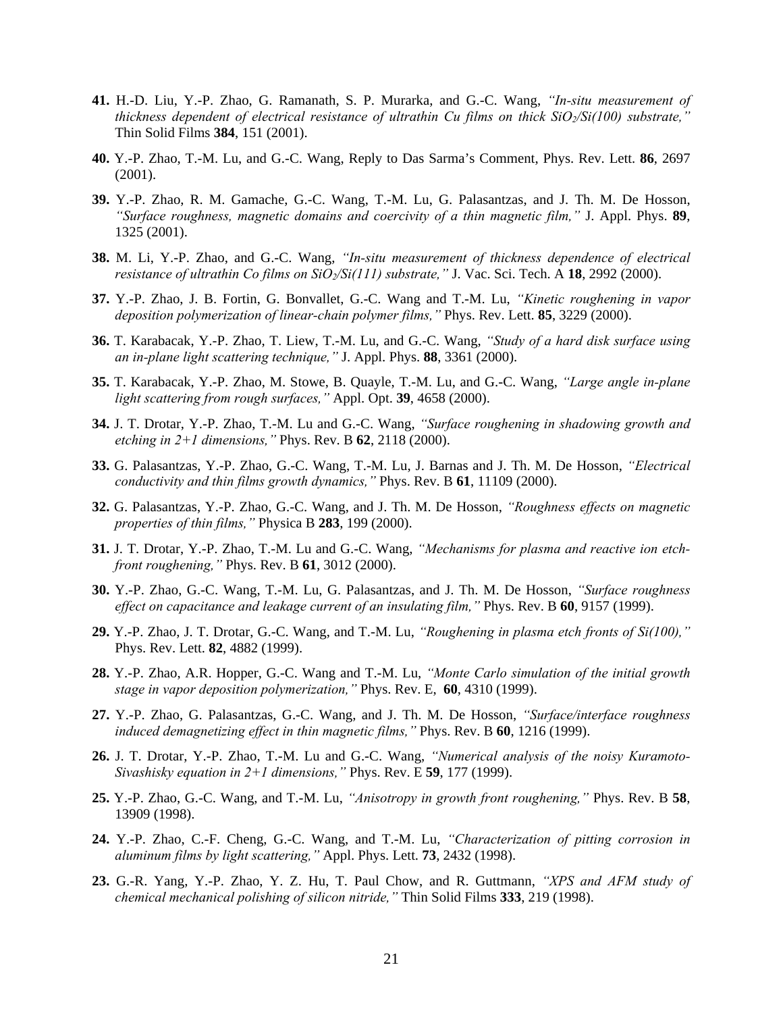- **41.** H.-D. Liu, Y.-P. Zhao, G. Ramanath, S. P. Murarka, and G.-C. Wang, *"In-situ measurement of thickness dependent of electrical resistance of ultrathin Cu films on thick SiO2/Si(100) substrate,"*  Thin Solid Films **384**, 151 (2001).
- **40.** Y.-P. Zhao, T.-M. Lu, and G.-C. Wang, Reply to Das Sarma's Comment, Phys. Rev. Lett. **86**, 2697 (2001).
- **39.** Y.-P. Zhao, R. M. Gamache, G.-C. Wang, T.-M. Lu, G. Palasantzas, and J. Th. M. De Hosson, *"Surface roughness, magnetic domains and coercivity of a thin magnetic film,"* J. Appl. Phys. **89**, 1325 (2001).
- **38.** M. Li, Y.-P. Zhao, and G.-C. Wang, *"In-situ measurement of thickness dependence of electrical resistance of ultrathin Co films on SiO2/Si(111) substrate,"* J. Vac. Sci. Tech. A **18**, 2992 (2000).
- **37.** Y.-P. Zhao, J. B. Fortin, G. Bonvallet, G.-C. Wang and T.-M. Lu, *"Kinetic roughening in vapor deposition polymerization of linear-chain polymer films,"* Phys. Rev. Lett. **85**, 3229 (2000).
- **36.** T. Karabacak, Y.-P. Zhao, T. Liew, T.-M. Lu, and G.-C. Wang, *"Study of a hard disk surface using an in-plane light scattering technique,"* J. Appl. Phys. **88**, 3361 (2000).
- **35.** T. Karabacak, Y.-P. Zhao, M. Stowe, B. Quayle, T.-M. Lu, and G.-C. Wang, *"Large angle in-plane light scattering from rough surfaces,"* Appl. Opt. **39**, 4658 (2000).
- **34.** J. T. Drotar, Y.-P. Zhao, T.-M. Lu and G.-C. Wang, *"Surface roughening in shadowing growth and etching in 2+1 dimensions,"* Phys. Rev. B **62**, 2118 (2000).
- **33.** G. Palasantzas, Y.-P. Zhao, G.-C. Wang, T.-M. Lu, J. Barnas and J. Th. M. De Hosson, *"Electrical conductivity and thin films growth dynamics,"* Phys. Rev. B **61**, 11109 (2000).
- **32.** G. Palasantzas, Y.-P. Zhao, G.-C. Wang, and J. Th. M. De Hosson, *"Roughness effects on magnetic properties of thin films,"* Physica B **283**, 199 (2000).
- **31.** J. T. Drotar, Y.-P. Zhao, T.-M. Lu and G.-C. Wang, *"Mechanisms for plasma and reactive ion etchfront roughening,"* Phys. Rev. B **61**, 3012 (2000).
- **30.** Y.-P. Zhao, G.-C. Wang, T.-M. Lu, G. Palasantzas, and J. Th. M. De Hosson, *"Surface roughness effect on capacitance and leakage current of an insulating film,"* Phys. Rev. B **60**, 9157 (1999).
- **29.** Y.-P. Zhao, J. T. Drotar, G.-C. Wang, and T.-M. Lu, *"Roughening in plasma etch fronts of Si(100),"*  Phys. Rev. Lett. **82**, 4882 (1999).
- **28.** Y.-P. Zhao, A.R. Hopper, G.-C. Wang and T.-M. Lu, *"Monte Carlo simulation of the initial growth stage in vapor deposition polymerization,"* Phys. Rev. E, **60**, 4310 (1999).
- **27.** Y.-P. Zhao, G. Palasantzas, G.-C. Wang, and J. Th. M. De Hosson, *"Surface/interface roughness induced demagnetizing effect in thin magnetic films,"* Phys. Rev. B **60**, 1216 (1999).
- **26.** J. T. Drotar, Y.-P. Zhao, T.-M. Lu and G.-C. Wang, *"Numerical analysis of the noisy Kuramoto-Sivashisky equation in 2+1 dimensions,"* Phys. Rev. E **59**, 177 (1999).
- **25.** Y.-P. Zhao, G.-C. Wang, and T.-M. Lu, *"Anisotropy in growth front roughening,"* Phys. Rev. B **58**, 13909 (1998).
- **24.** Y.-P. Zhao, C.-F. Cheng, G.-C. Wang, and T.-M. Lu, *"Characterization of pitting corrosion in aluminum films by light scattering,"* Appl. Phys. Lett. **73**, 2432 (1998).
- **23.** G.-R. Yang, Y.-P. Zhao, Y. Z. Hu, T. Paul Chow, and R. Guttmann, *"XPS and AFM study of chemical mechanical polishing of silicon nitride,"* Thin Solid Films **333**, 219 (1998).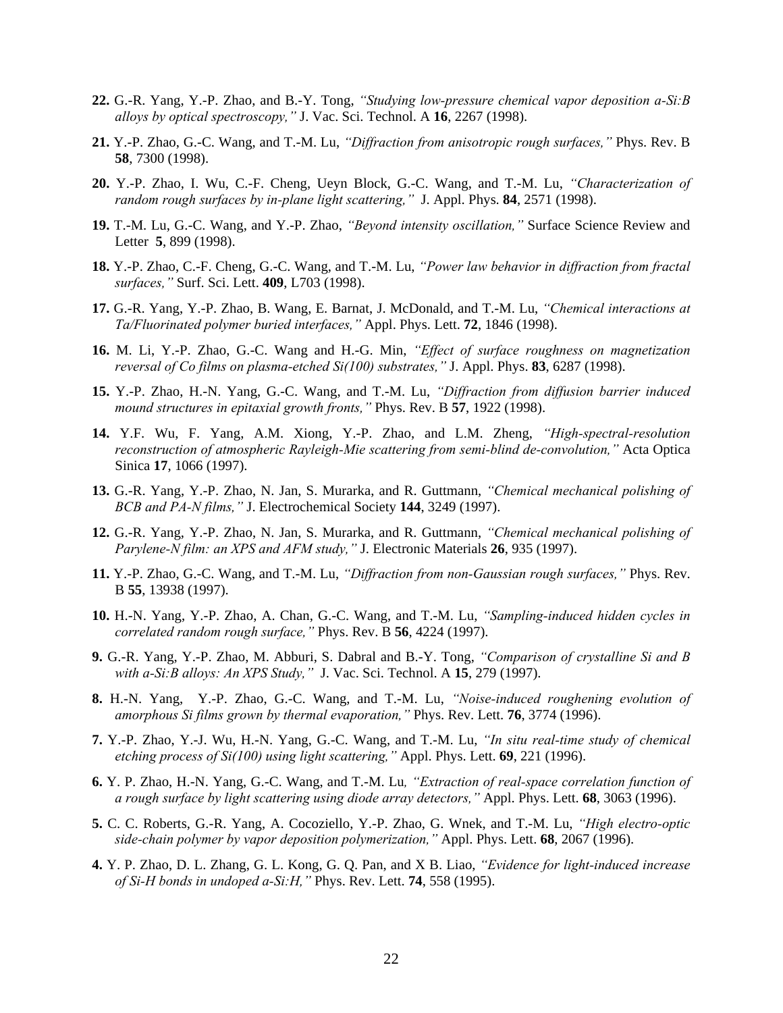- **22.** G.-R. Yang, Y.-P. Zhao, and B.-Y. Tong, *"Studying low-pressure chemical vapor deposition a-Si:B alloys by optical spectroscopy,"* J. Vac. Sci. Technol. A **16**, 2267 (1998).
- **21.** Y.-P. Zhao, G.-C. Wang, and T.-M. Lu, *"Diffraction from anisotropic rough surfaces,"* Phys. Rev. B **58**, 7300 (1998).
- **20.** Y.-P. Zhao, I. Wu, C.-F. Cheng, Ueyn Block, G.-C. Wang, and T.-M. Lu, *"Characterization of random rough surfaces by in-plane light scattering,"* J. Appl. Phys. **84**, 2571 (1998).
- **19.** T.-M. Lu, G.-C. Wang, and Y.-P. Zhao, *"Beyond intensity oscillation,"* Surface Science Review and Letter **5**, 899 (1998).
- **18.** Y.-P. Zhao, C.-F. Cheng, G.-C. Wang, and T.-M. Lu, *"Power law behavior in diffraction from fractal surfaces,"* Surf. Sci. Lett. **409**, L703 (1998).
- **17.** G.-R. Yang, Y.-P. Zhao, B. Wang, E. Barnat, J. McDonald, and T.-M. Lu, *"Chemical interactions at Ta/Fluorinated polymer buried interfaces,"* Appl. Phys. Lett. **72**, 1846 (1998).
- **16.** M. Li, Y.-P. Zhao, G.-C. Wang and H.-G. Min, *"Effect of surface roughness on magnetization reversal of Co films on plasma-etched Si(100) substrates,"* J. Appl. Phys. **83**, 6287 (1998).
- **15.** Y.-P. Zhao, H.-N. Yang, G.-C. Wang, and T.-M. Lu, *"Diffraction from diffusion barrier induced mound structures in epitaxial growth fronts,"* Phys. Rev. B **57**, 1922 (1998).
- **14.** Y.F. Wu, F. Yang, A.M. Xiong, Y.-P. Zhao, and L.M. Zheng, *"High-spectral-resolution reconstruction of atmospheric Rayleigh-Mie scattering from semi-blind de-convolution,"* Acta Optica Sinica **17**, 1066 (1997).
- **13.** G.-R. Yang, Y.-P. Zhao, N. Jan, S. Murarka, and R. Guttmann, *"Chemical mechanical polishing of BCB and PA-N films,"* J. Electrochemical Society **144**, 3249 (1997).
- **12.** G.-R. Yang, Y.-P. Zhao, N. Jan, S. Murarka, and R. Guttmann, *"Chemical mechanical polishing of Parylene-N film: an XPS and AFM study,"* J. Electronic Materials **26**, 935 (1997).
- **11.** Y.-P. Zhao, G.-C. Wang, and T.-M. Lu, *"Diffraction from non-Gaussian rough surfaces,"* Phys. Rev. B **55**, 13938 (1997).
- **10.** H.-N. Yang, Y.-P. Zhao, A. Chan, G.-C. Wang, and T.-M. Lu, *"Sampling-induced hidden cycles in correlated random rough surface,"* Phys. Rev. B **56**, 4224 (1997).
- **9.** G.-R. Yang, Y.-P. Zhao, M. Abburi, S. Dabral and B.-Y. Tong, *"Comparison of crystalline Si and B with a-Si:B alloys: An XPS Study,"* J. Vac. Sci. Technol. A **15**, 279 (1997).
- **8.** H.-N. Yang, Y.-P. Zhao, G.-C. Wang, and T.-M. Lu, *"Noise-induced roughening evolution of amorphous Si films grown by thermal evaporation,"* Phys. Rev. Lett. **76**, 3774 (1996).
- **7.** Y.-P. Zhao, Y.-J. Wu, H.-N. Yang, G.-C. Wang, and T.-M. Lu, *"In situ real-time study of chemical etching process of Si(100) using light scattering,"* Appl. Phys. Lett. **69**, 221 (1996).
- **6.** Y. P. Zhao, H.-N. Yang, G.-C. Wang, and T.-M. Lu*, "Extraction of real-space correlation function of a rough surface by light scattering using diode array detectors,"* Appl. Phys. Lett. **68**, 3063 (1996).
- **5.** C. C. Roberts, G.-R. Yang, A. Cocoziello, Y.-P. Zhao, G. Wnek, and T.-M. Lu, *"High electro-optic side-chain polymer by vapor deposition polymerization,"* Appl. Phys. Lett. **68**, 2067 (1996).
- **4.** Y. P. Zhao, D. L. Zhang, G. L. Kong, G. Q. Pan, and X B. Liao, *"Evidence for light-induced increase of Si-H bonds in undoped a-Si:H,"* Phys. Rev. Lett. **74**, 558 (1995).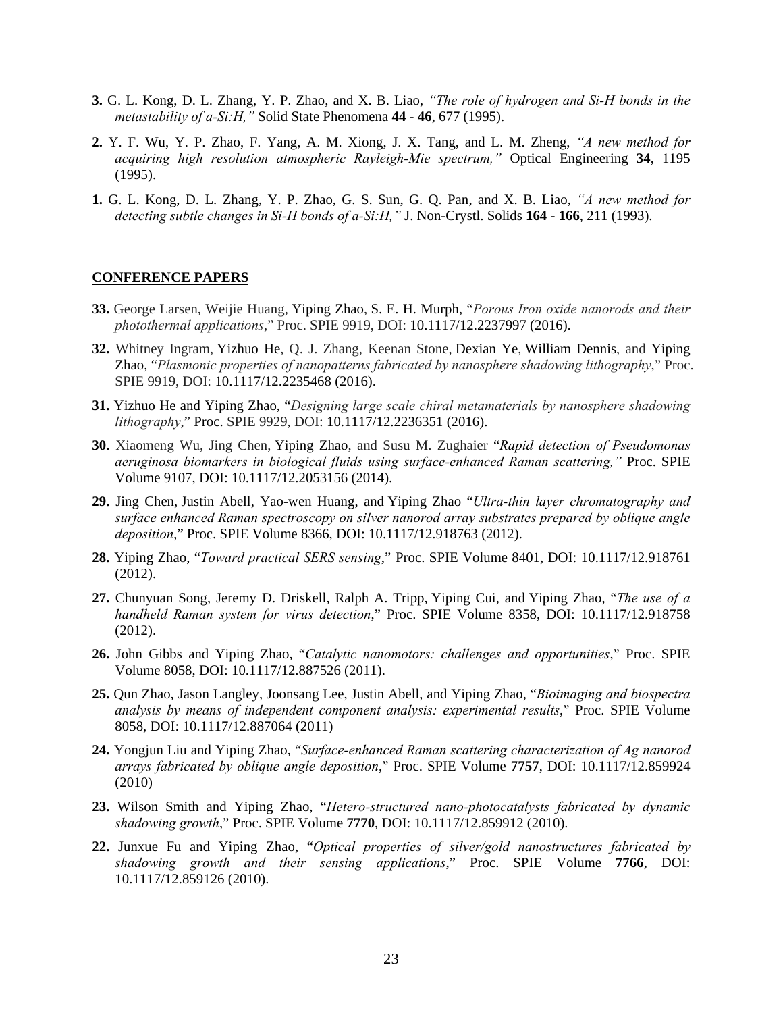- **3.** G. L. Kong, D. L. Zhang, Y. P. Zhao, and X. B. Liao, *"The role of hydrogen and Si-H bonds in the metastability of a-Si:H,"* Solid State Phenomena **44 - 46**, 677 (1995).
- **2.** Y. F. Wu, Y. P. Zhao, F. Yang, A. M. Xiong, J. X. Tang, and L. M. Zheng, *"A new method for acquiring high resolution atmospheric Rayleigh-Mie spectrum,"* Optical Engineering **34**, 1195 (1995).
- **1.** G. L. Kong, D. L. Zhang, Y. P. Zhao, G. S. Sun, G. Q. Pan, and X. B. Liao, *"A new method for detecting subtle changes in Si-H bonds of a-Si:H,"* J. Non-Crystl. Solids **164 - 166**, 211 (1993).

#### **CONFERENCE PAPERS**

- **33.** George Larsen, Weijie Huang, Yiping Zhao, S. E. H. Murph, "*Porous Iron oxide nanorods and their photothermal applications*," Proc. SPIE 9919, DOI: 10.1117/12.2237997 (2016).
- **32.** Whitney Ingram, Yizhuo He, Q. J. Zhang, Keenan Stone, Dexian Ye, William Dennis, and Yiping Zhao, "*Plasmonic properties of nanopatterns fabricated by nanosphere shadowing lithography*," Proc. SPIE 9919, DOI: 10.1117/12.2235468 (2016).
- **31.** Yizhuo He and Yiping Zhao, "*Designing large scale chiral metamaterials by nanosphere shadowing lithography*," Proc. SPIE 9929, DOI: 10.1117/12.2236351 (2016).
- **30.** Xiaomeng Wu, Jing Chen, Yiping Zhao, and Susu M. Zughaier "*Rapid detection of Pseudomonas aeruginosa biomarkers in biological fluids using surface-enhanced Raman scattering,"* Proc. SPIE Volume 9107, DOI: 10.1117/12.2053156 (2014).
- **29.** Jing Chen, Justin Abell, Yao-wen Huang, and Yiping Zhao "*Ultra-thin layer chromatography and surface enhanced Raman spectroscopy on silver nanorod array substrates prepared by oblique angle deposition*," Proc. SPIE Volume 8366, DOI: 10.1117/12.918763 (2012).
- **28.** Yiping Zhao, "*Toward practical SERS sensing*," Proc. SPIE Volume 8401, DOI: 10.1117/12.918761 (2012).
- **27.** Chunyuan Song, Jeremy D. Driskell, Ralph A. Tripp, Yiping Cui, and Yiping Zhao, "*The use of a handheld Raman system for virus detection*," Proc. SPIE Volume 8358, DOI: 10.1117/12.918758 (2012).
- **26.** John Gibbs and Yiping Zhao, "*Catalytic nanomotors: challenges and opportunities*," Proc. SPIE Volume 8058, DOI: 10.1117/12.887526 (2011).
- **25.** Qun Zhao, Jason Langley, Joonsang Lee, Justin Abell, and Yiping Zhao, "*Bioimaging and biospectra analysis by means of independent component analysis: experimental results*," Proc. SPIE Volume 8058, DOI: 10.1117/12.887064 (2011)
- **24.** Yongjun Liu and Yiping Zhao, "*Surface-enhanced Raman scattering characterization of Ag nanorod arrays fabricated by oblique angle deposition*," Proc. SPIE Volume **7757**, DOI: 10.1117/12.859924 (2010)
- **23.** Wilson Smith and Yiping Zhao, "*Hetero-structured nano-photocatalysts fabricated by dynamic shadowing growth*," Proc. SPIE Volume **7770**, DOI: 10.1117/12.859912 (2010).
- **22.** Junxue Fu and Yiping Zhao, "*Optical properties of silver/gold nanostructures fabricated by shadowing growth and their sensing applications*," Proc. SPIE Volume **7766**, DOI: 10.1117/12.859126 (2010).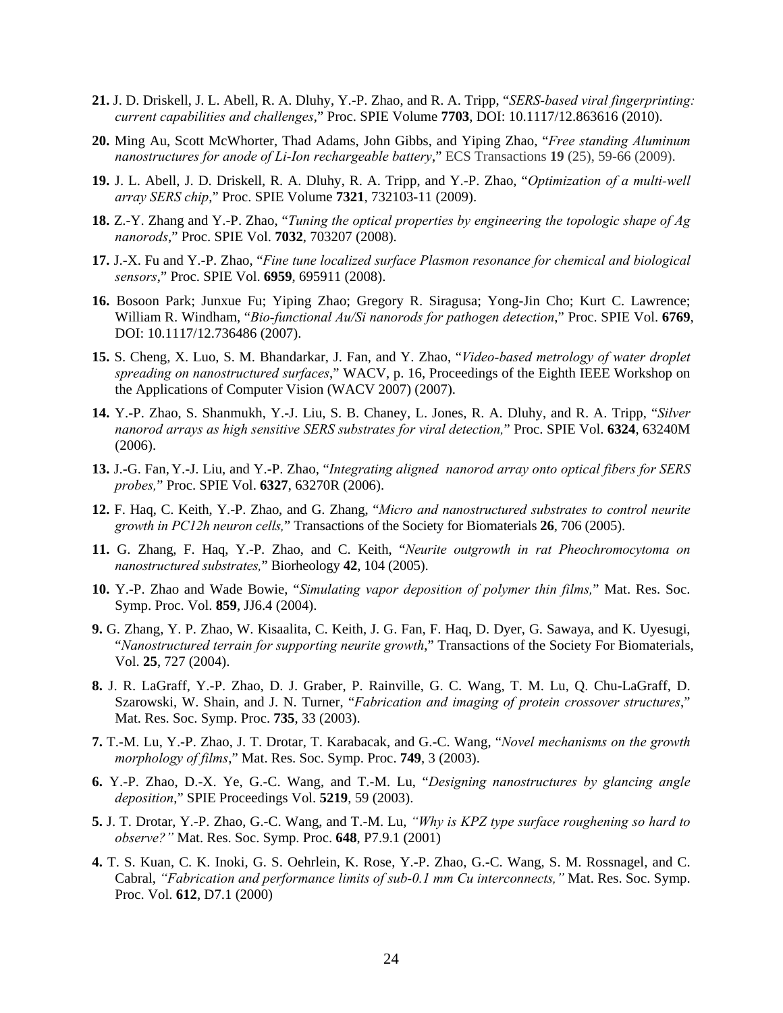- **21.** J. D. Driskell, J. L. Abell, R. A. Dluhy, Y.-P. Zhao, and R. A. Tripp, "*SERS-based viral fingerprinting: current capabilities and challenges*," Proc. SPIE Volume **7703**, DOI: 10.1117/12.863616 (2010).
- **20.** Ming Au, Scott McWhorter, Thad Adams, John Gibbs, and Yiping Zhao, "*Free standing Aluminum nanostructures for anode of Li-Ion rechargeable battery*," ECS Transactions **19** (25), 59-66 (2009).
- **19.** J. L. Abell, J. D. Driskell, R. A. Dluhy, R. A. Tripp, and Y.-P. Zhao, "*Optimization of a multi-well array SERS chip*," Proc. SPIE Volume **7321**, 732103-11 (2009).
- **18.** Z.-Y. Zhang and Y.-P. Zhao, "*Tuning the optical properties by engineering the topologic shape of Ag nanorods*," Proc. SPIE Vol. **7032**, 703207 (2008).
- **17.** J.-X. Fu and Y.-P. Zhao, "*Fine tune localized surface Plasmon resonance for chemical and biological sensors*," Proc. SPIE Vol. **6959**, 695911 (2008).
- **16.** Bosoon Park; Junxue Fu; Yiping Zhao; Gregory R. Siragusa; Yong-Jin Cho; Kurt C. Lawrence; William R. Windham, "*Bio-functional Au/Si nanorods for pathogen detection*," Proc. SPIE Vol. **6769**, DOI: 10.1117/12.736486 (2007).
- **15.** S. Cheng, X. Luo, S. M. Bhandarkar, J. Fan, and Y. Zhao, "*Video-based metrology of water droplet spreading on nanostructured surfaces*," WACV, p. 16, Proceedings of the Eighth IEEE Workshop on the Applications of Computer Vision (WACV 2007) (2007).
- **14.** Y.-P. Zhao, S. Shanmukh, Y.-J. Liu, S. B. Chaney, L. Jones, R. A. Dluhy, and R. A. Tripp, "*Silver nanorod arrays as high sensitive SERS substrates for viral detection,*" Proc. SPIE Vol. **6324**, 63240M (2006).
- **13.** J.-G. Fan, Y.-J. Liu, and Y.-P. Zhao, "*Integrating aligned nanorod array onto optical fibers for SERS probes,*" Proc. SPIE Vol. **6327**, 63270R (2006).
- **12.** F. Haq, C. Keith, Y.-P. Zhao, and G. Zhang, "*Micro and nanostructured substrates to control neurite growth in PC12h neuron cells,*" Transactions of the Society for Biomaterials **26**, 706 (2005).
- **11.** G. Zhang, F. Haq, Y.-P. Zhao, and C. Keith, "*Neurite outgrowth in rat Pheochromocytoma on nanostructured substrates,*" Biorheology **42**, 104 (2005).
- **10.** Y.-P. Zhao and Wade Bowie, "*Simulating vapor deposition of polymer thin films,*" Mat. Res. Soc. Symp. Proc. Vol. **859**, JJ6.4 (2004).
- **9.** G. Zhang, Y. P. Zhao, W. Kisaalita, C. Keith, J. G. Fan, F. Haq, D. Dyer, G. Sawaya, and K. Uyesugi, "*Nanostructured terrain for supporting neurite growth*," Transactions of the Society For Biomaterials, Vol. **25**, 727 (2004).
- **8.** J. R. LaGraff, Y.-P. Zhao, D. J. Graber, P. Rainville, G. C. Wang, T. M. Lu, Q. Chu-LaGraff, D. Szarowski, W. Shain, and J. N. Turner, "*Fabrication and imaging of protein crossover structures*," Mat. Res. Soc. Symp. Proc. **735**, 33 (2003).
- **7.** T.-M. Lu, Y.-P. Zhao, J. T. Drotar, T. Karabacak, and G.-C. Wang, "*Novel mechanisms on the growth morphology of films*," Mat. Res. Soc. Symp. Proc. **749**, 3 (2003).
- **6.** Y.-P. Zhao, D.-X. Ye, G.-C. Wang, and T.-M. Lu, "*Designing nanostructures by glancing angle deposition*," SPIE Proceedings Vol. **5219**, 59 (2003).
- **5.** J. T. Drotar, Y.-P. Zhao, G.-C. Wang, and T.-M. Lu, *"Why is KPZ type surface roughening so hard to observe?"* Mat. Res. Soc. Symp. Proc. **648**, P7.9.1 (2001)
- **4.** T. S. Kuan, C. K. Inoki, G. S. Oehrlein, K. Rose, Y.-P. Zhao, G.-C. Wang, S. M. Rossnagel, and C. Cabral, *"Fabrication and performance limits of sub-0.1 mm Cu interconnects,"* Mat. Res. Soc. Symp. Proc. Vol. **612**, D7.1 (2000)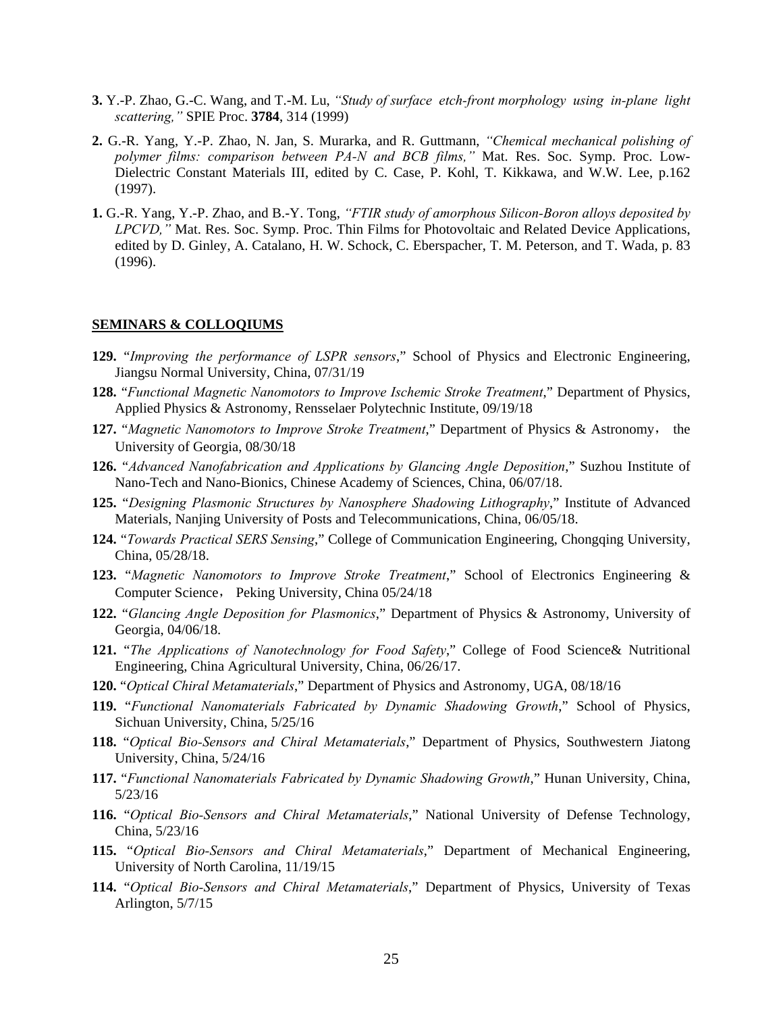- **3.** Y.-P. Zhao, G.-C. Wang, and T.-M. Lu, *"Study of surface etch-front morphology using in-plane light scattering,"* SPIE Proc. **3784**, 314 (1999)
- **2.** G.-R. Yang, Y.-P. Zhao, N. Jan, S. Murarka, and R. Guttmann, *"Chemical mechanical polishing of polymer films: comparison between PA-N and BCB films,"* Mat. Res. Soc. Symp. Proc. Low-Dielectric Constant Materials III, edited by C. Case, P. Kohl, T. Kikkawa, and W.W. Lee, p.162 (1997).
- **1.** G.-R. Yang, Y.-P. Zhao, and B.-Y. Tong, *"FTIR study of amorphous Silicon-Boron alloys deposited by LPCVD,"* Mat. Res. Soc. Symp. Proc. Thin Films for Photovoltaic and Related Device Applications, edited by D. Ginley, A. Catalano, H. W. Schock, C. Eberspacher, T. M. Peterson, and T. Wada, p. 83 (1996).

#### **SEMINARS & COLLOQIUMS**

- **129.** "*Improving the performance of LSPR sensors*," School of Physics and Electronic Engineering, Jiangsu Normal University, China, 07/31/19
- **128.** "*Functional Magnetic Nanomotors to Improve Ischemic Stroke Treatment*," Department of Physics, Applied Physics & Astronomy, Rensselaer Polytechnic Institute, 09/19/18
- **127.** "*Magnetic Nanomotors to Improve Stroke Treatment*," Department of Physics & Astronomy, the University of Georgia, 08/30/18
- **126.** "*Advanced Nanofabrication and Applications by Glancing Angle Deposition*," Suzhou Institute of Nano-Tech and Nano-Bionics, Chinese Academy of Sciences, China, 06/07/18.
- **125.** "*Designing Plasmonic Structures by Nanosphere Shadowing Lithography*," Institute of Advanced Materials, Nanjing University of Posts and Telecommunications, China, 06/05/18.
- **124.** "*Towards Practical SERS Sensing*," College of Communication Engineering, Chongqing University, China, 05/28/18.
- **123.** "*Magnetic Nanomotors to Improve Stroke Treatment*," School of Electronics Engineering & Computer Science, Peking University, China 05/24/18
- **122.** "*Glancing Angle Deposition for Plasmonics*," Department of Physics & Astronomy, University of Georgia, 04/06/18.
- **121.** "*The Applications of Nanotechnology for Food Safety*," College of Food Science& Nutritional Engineering, China Agricultural University, China, 06/26/17.
- **120.** "*Optical Chiral Metamaterials*," Department of Physics and Astronomy, UGA, 08/18/16
- **119.** "*Functional Nanomaterials Fabricated by Dynamic Shadowing Growth*," School of Physics, Sichuan University, China, 5/25/16
- **118.** "*Optical Bio-Sensors and Chiral Metamaterials*," Department of Physics, Southwestern Jiatong University, China, 5/24/16
- **117.** "*Functional Nanomaterials Fabricated by Dynamic Shadowing Growth*," Hunan University, China, 5/23/16
- **116.** "*Optical Bio-Sensors and Chiral Metamaterials*," National University of Defense Technology, China, 5/23/16
- **115.** "*Optical Bio-Sensors and Chiral Metamaterials*," Department of Mechanical Engineering, University of North Carolina, 11/19/15
- **114.** "*Optical Bio-Sensors and Chiral Metamaterials*," Department of Physics, University of Texas Arlington, 5/7/15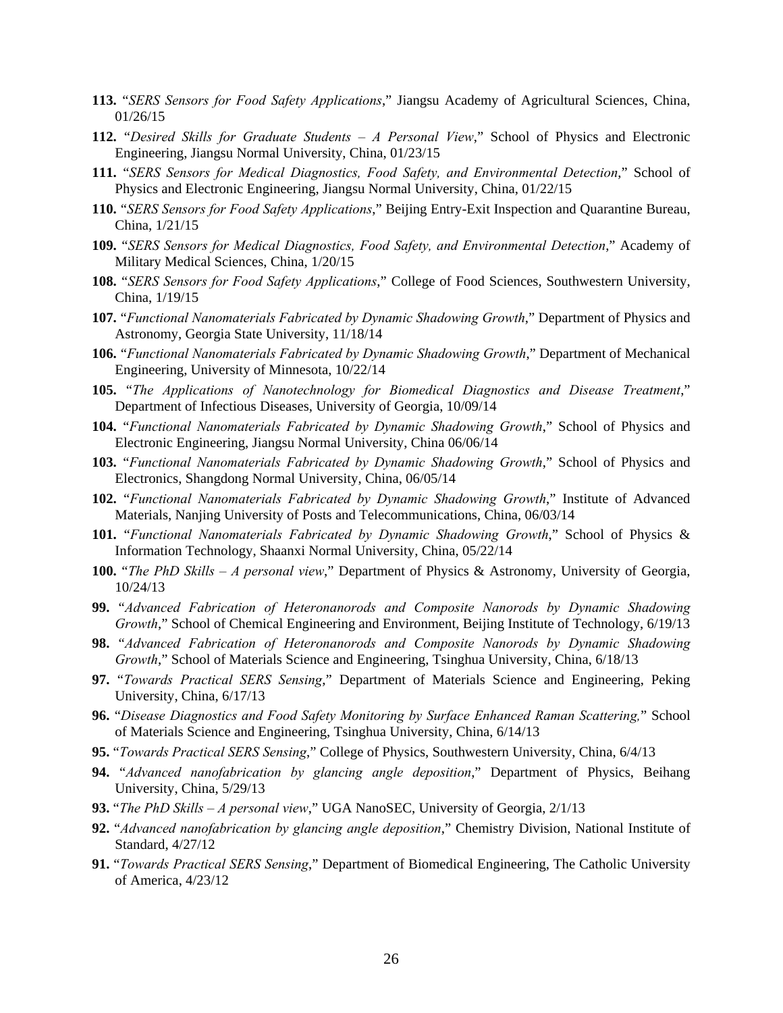- **113.** "*SERS Sensors for Food Safety Applications*," Jiangsu Academy of Agricultural Sciences, China, 01/26/15
- **112.** "*Desired Skills for Graduate Students A Personal View*," School of Physics and Electronic Engineering, Jiangsu Normal University, China, 01/23/15
- **111.** "*SERS Sensors for Medical Diagnostics, Food Safety, and Environmental Detection*," School of Physics and Electronic Engineering, Jiangsu Normal University, China, 01/22/15
- **110.** "*SERS Sensors for Food Safety Applications*," Beijing Entry-Exit Inspection and Quarantine Bureau, China, 1/21/15
- **109.** "*SERS Sensors for Medical Diagnostics, Food Safety, and Environmental Detection*," Academy of Military Medical Sciences, China, 1/20/15
- **108.** "*SERS Sensors for Food Safety Applications*," College of Food Sciences, Southwestern University, China, 1/19/15
- **107.** "*Functional Nanomaterials Fabricated by Dynamic Shadowing Growth*," Department of Physics and Astronomy, Georgia State University, 11/18/14
- **106.** "*Functional Nanomaterials Fabricated by Dynamic Shadowing Growth*," Department of Mechanical Engineering, University of Minnesota, 10/22/14
- **105.** "*The Applications of Nanotechnology for Biomedical Diagnostics and Disease Treatment*," Department of Infectious Diseases, University of Georgia, 10/09/14
- **104.** "*Functional Nanomaterials Fabricated by Dynamic Shadowing Growth*," School of Physics and Electronic Engineering, Jiangsu Normal University, China 06/06/14
- **103.** "*Functional Nanomaterials Fabricated by Dynamic Shadowing Growth*," School of Physics and Electronics, Shangdong Normal University, China, 06/05/14
- **102.** "*Functional Nanomaterials Fabricated by Dynamic Shadowing Growth*," Institute of Advanced Materials, Nanjing University of Posts and Telecommunications, China, 06/03/14
- **101.** "*Functional Nanomaterials Fabricated by Dynamic Shadowing Growth*," School of Physics & Information Technology, Shaanxi Normal University, China, 05/22/14
- **100.** "*The PhD Skills A personal view*," Department of Physics & Astronomy, University of Georgia, 10/24/13
- **99.** "*Advanced Fabrication of Heteronanorods and Composite Nanorods by Dynamic Shadowing Growth*," School of Chemical Engineering and Environment, Beijing Institute of Technology, 6/19/13
- **98.** "*Advanced Fabrication of Heteronanorods and Composite Nanorods by Dynamic Shadowing Growth*," School of Materials Science and Engineering, Tsinghua University, China, 6/18/13
- **97.** "*Towards Practical SERS Sensing*," Department of Materials Science and Engineering, Peking University, China, 6/17/13
- **96.** "*Disease Diagnostics and Food Safety Monitoring by Surface Enhanced Raman Scattering,*" School of Materials Science and Engineering, Tsinghua University, China, 6/14/13
- **95.** "*Towards Practical SERS Sensing*," College of Physics, Southwestern University, China, 6/4/13
- **94.** "*Advanced nanofabrication by glancing angle deposition*," Department of Physics, Beihang University, China, 5/29/13
- **93.** "*The PhD Skills A personal view*," UGA NanoSEC, University of Georgia, 2/1/13
- **92.** "*Advanced nanofabrication by glancing angle deposition*," Chemistry Division, National Institute of Standard, 4/27/12
- **91.** "*Towards Practical SERS Sensing*," Department of Biomedical Engineering, The Catholic University of America, 4/23/12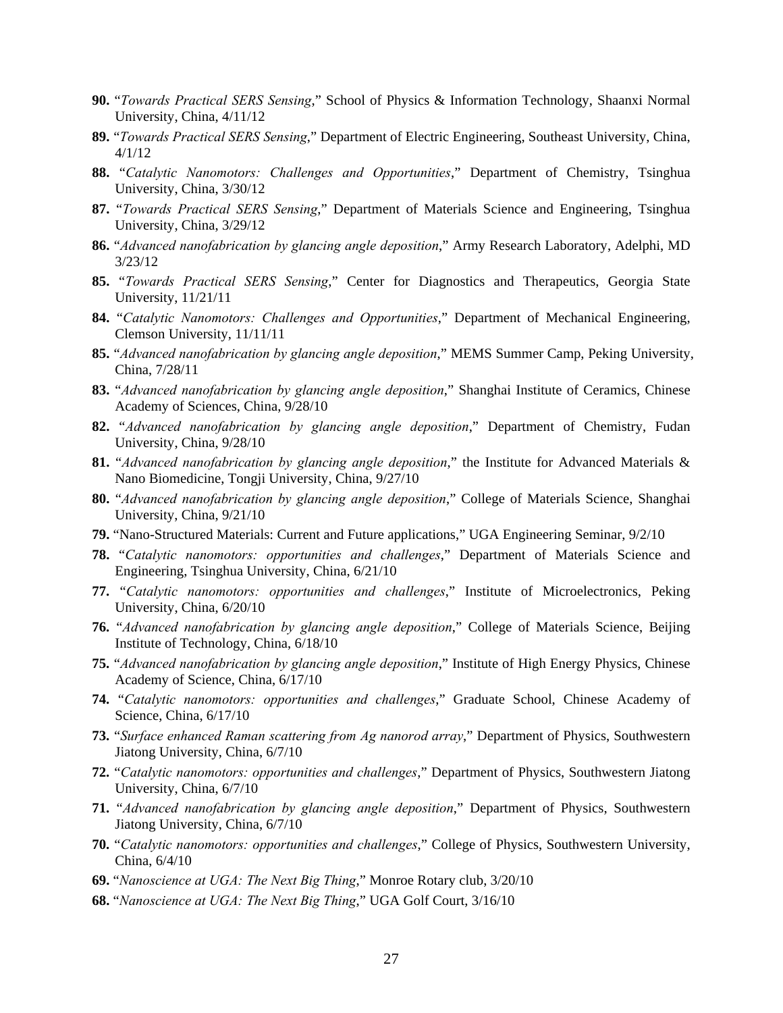- **90.** "*Towards Practical SERS Sensing*," School of Physics & Information Technology, Shaanxi Normal University, China, 4/11/12
- **89.** "*Towards Practical SERS Sensing*," Department of Electric Engineering, Southeast University, China, 4/1/12
- **88.** "*Catalytic Nanomotors: Challenges and Opportunities*," Department of Chemistry, Tsinghua University, China, 3/30/12
- **87.** "*Towards Practical SERS Sensing*," Department of Materials Science and Engineering, Tsinghua University, China, 3/29/12
- **86.** "*Advanced nanofabrication by glancing angle deposition*," Army Research Laboratory, Adelphi, MD 3/23/12
- **85.** "*Towards Practical SERS Sensing*," Center for Diagnostics and Therapeutics, Georgia State University, 11/21/11
- **84.** "*Catalytic Nanomotors: Challenges and Opportunities*," Department of Mechanical Engineering, Clemson University, 11/11/11
- **85.** "*Advanced nanofabrication by glancing angle deposition*," MEMS Summer Camp, Peking University, China, 7/28/11
- **83.** "*Advanced nanofabrication by glancing angle deposition*," Shanghai Institute of Ceramics, Chinese Academy of Sciences, China, 9/28/10
- **82.** "*Advanced nanofabrication by glancing angle deposition*," Department of Chemistry, Fudan University, China, 9/28/10
- **81.** "*Advanced nanofabrication by glancing angle deposition*," the Institute for Advanced Materials & Nano Biomedicine, Tongji University, China, 9/27/10
- **80.** "*Advanced nanofabrication by glancing angle deposition*," College of Materials Science, Shanghai University, China, 9/21/10
- **79.** "Nano-Structured Materials: Current and Future applications," UGA Engineering Seminar, 9/2/10
- **78.** "*Catalytic nanomotors: opportunities and challenges*," Department of Materials Science and Engineering, Tsinghua University, China, 6/21/10
- **77.** "*Catalytic nanomotors: opportunities and challenges*," Institute of Microelectronics, Peking University, China, 6/20/10
- **76.** "*Advanced nanofabrication by glancing angle deposition*," College of Materials Science, Beijing Institute of Technology, China, 6/18/10
- **75.** "*Advanced nanofabrication by glancing angle deposition*," Institute of High Energy Physics, Chinese Academy of Science, China, 6/17/10
- **74.** "*Catalytic nanomotors: opportunities and challenges*," Graduate School, Chinese Academy of Science, China, 6/17/10
- **73.** "*Surface enhanced Raman scattering from Ag nanorod array*," Department of Physics, Southwestern Jiatong University, China, 6/7/10
- **72.** "*Catalytic nanomotors: opportunities and challenges*," Department of Physics, Southwestern Jiatong University, China, 6/7/10
- **71.** "*Advanced nanofabrication by glancing angle deposition*," Department of Physics, Southwestern Jiatong University, China, 6/7/10
- **70.** "*Catalytic nanomotors: opportunities and challenges*," College of Physics, Southwestern University, China, 6/4/10
- **69.** "*Nanoscience at UGA: The Next Big Thing*," Monroe Rotary club, 3/20/10
- **68.** "*Nanoscience at UGA: The Next Big Thing*," UGA Golf Court, 3/16/10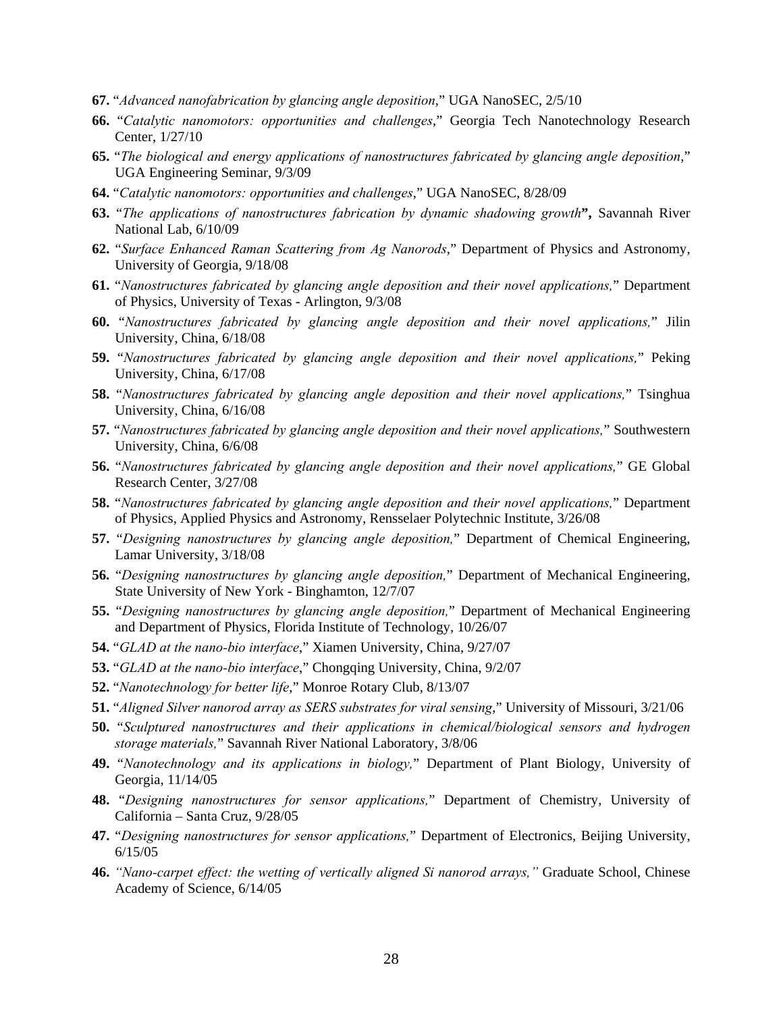- **67.** "*Advanced nanofabrication by glancing angle deposition*," UGA NanoSEC, 2/5/10
- **66.** "*Catalytic nanomotors: opportunities and challenges*," Georgia Tech Nanotechnology Research Center, 1/27/10
- **65.** "*The biological and energy applications of nanostructures fabricated by glancing angle deposition*," UGA Engineering Seminar, 9/3/09
- **64.** "*Catalytic nanomotors: opportunities and challenges*," UGA NanoSEC, 8/28/09
- **63.** "*The applications of nanostructures fabrication by dynamic shadowing growth***",** Savannah River National Lab, 6/10/09
- **62.** "*Surface Enhanced Raman Scattering from Ag Nanorods*," Department of Physics and Astronomy, University of Georgia, 9/18/08
- **61.** "*Nanostructures fabricated by glancing angle deposition and their novel applications,*" Department of Physics, University of Texas - Arlington, 9/3/08
- **60.** "*Nanostructures fabricated by glancing angle deposition and their novel applications,*" Jilin University, China, 6/18/08
- **59.** "*Nanostructures fabricated by glancing angle deposition and their novel applications,*" Peking University, China, 6/17/08
- **58.** "*Nanostructures fabricated by glancing angle deposition and their novel applications,*" Tsinghua University, China, 6/16/08
- **57.** "*Nanostructures fabricated by glancing angle deposition and their novel applications,*" Southwestern University, China, 6/6/08
- **56.** "*Nanostructures fabricated by glancing angle deposition and their novel applications,*" GE Global Research Center, 3/27/08
- **58.** "*Nanostructures fabricated by glancing angle deposition and their novel applications,*" Department of Physics, Applied Physics and Astronomy, Rensselaer Polytechnic Institute, 3/26/08
- **57.** "*Designing nanostructures by glancing angle deposition,*" Department of Chemical Engineering, Lamar University, 3/18/08
- **56.** "*Designing nanostructures by glancing angle deposition,*" Department of Mechanical Engineering, State University of New York - Binghamton, 12/7/07
- **55.** "*Designing nanostructures by glancing angle deposition,*" Department of Mechanical Engineering and Department of Physics, Florida Institute of Technology, 10/26/07
- **54.** "*GLAD at the nano-bio interface*," Xiamen University, China, 9/27/07
- **53.** "*GLAD at the nano-bio interface*," Chongqing University, China, 9/2/07
- **52.** "*Nanotechnology for better life*," Monroe Rotary Club, 8/13/07
- **51.** "*Aligned Silver nanorod array as SERS substrates for viral sensing*," University of Missouri, 3/21/06
- **50.** "*Sculptured nanostructures and their applications in chemical/biological sensors and hydrogen storage materials,*" Savannah River National Laboratory, 3/8/06
- **49.** "*Nanotechnology and its applications in biology,*" Department of Plant Biology, University of Georgia, 11/14/05
- **48.** "*Designing nanostructures for sensor applications,*" Department of Chemistry, University of California – Santa Cruz, 9/28/05
- **47.** "*Designing nanostructures for sensor applications,*" Department of Electronics, Beijing University, 6/15/05
- **46.** *"Nano-carpet effect: the wetting of vertically aligned Si nanorod arrays,"* Graduate School, Chinese Academy of Science, 6/14/05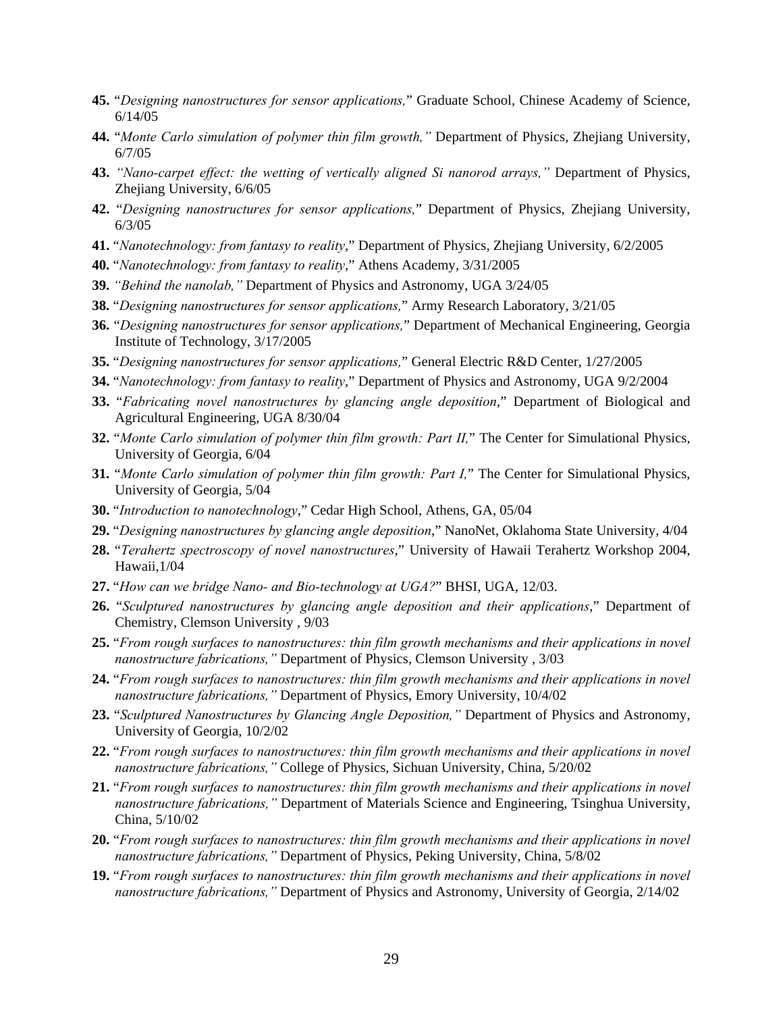- **45.** "*Designing nanostructures for sensor applications,*" Graduate School, Chinese Academy of Science, 6/14/05
- **44.** "*Monte Carlo simulation of polymer thin film growth,"* Department of Physics, Zhejiang University, 6/7/05
- **43.** *"Nano-carpet effect: the wetting of vertically aligned Si nanorod arrays,"* Department of Physics, Zhejiang University, 6/6/05
- **42.** "*Designing nanostructures for sensor applications,*" Department of Physics, Zhejiang University, 6/3/05
- **41.** "*Nanotechnology: from fantasy to reality*," Department of Physics, Zhejiang University, 6/2/2005
- **40.** "*Nanotechnology: from fantasy to reality*," Athens Academy, 3/31/2005
- **39.** *"Behind the nanolab,"* Department of Physics and Astronomy, UGA 3/24/05
- **38.** "*Designing nanostructures for sensor applications,*" Army Research Laboratory, 3/21/05
- **36.** "*Designing nanostructures for sensor applications,*" Department of Mechanical Engineering, Georgia Institute of Technology, 3/17/2005
- **35.** "*Designing nanostructures for sensor applications,*" General Electric R&D Center, 1/27/2005
- **34.** "*Nanotechnology: from fantasy to reality*," Department of Physics and Astronomy, UGA 9/2/2004
- **33.** "*Fabricating novel nanostructures by glancing angle deposition*," Department of Biological and Agricultural Engineering, UGA 8/30/04
- **32.** "*Monte Carlo simulation of polymer thin film growth: Part II,*" The Center for Simulational Physics, University of Georgia, 6/04
- **31.** "*Monte Carlo simulation of polymer thin film growth: Part I,*" The Center for Simulational Physics, University of Georgia, 5/04
- **30.** "*Introduction to nanotechnology*," Cedar High School, Athens, GA, 05/04
- **29.** "*Designing nanostructures by glancing angle deposition*," NanoNet, Oklahoma State University, 4/04
- **28.** "*Terahertz spectroscopy of novel nanostructures*," University of Hawaii Terahertz Workshop 2004, Hawaii,1/04
- **27.** "*How can we bridge Nano- and Bio-technology at UGA?*" BHSI, UGA, 12/03.
- **26.** "*Sculptured nanostructures by glancing angle deposition and their applications*," Department of Chemistry, Clemson University , 9/03
- **25.** "*From rough surfaces to nanostructures: thin film growth mechanisms and their applications in novel nanostructure fabrications,"* Department of Physics, Clemson University , 3/03
- **24.** "*From rough surfaces to nanostructures: thin film growth mechanisms and their applications in novel nanostructure fabrications,"* Department of Physics, Emory University, 10/4/02
- **23.** "*Sculptured Nanostructures by Glancing Angle Deposition,"* Department of Physics and Astronomy, University of Georgia, 10/2/02
- **22.** "*From rough surfaces to nanostructures: thin film growth mechanisms and their applications in novel nanostructure fabrications,"* College of Physics, Sichuan University, China, 5/20/02
- **21.** "*From rough surfaces to nanostructures: thin film growth mechanisms and their applications in novel nanostructure fabrications,"* Department of Materials Science and Engineering, Tsinghua University, China, 5/10/02
- **20.** "*From rough surfaces to nanostructures: thin film growth mechanisms and their applications in novel nanostructure fabrications,"* Department of Physics, Peking University, China, 5/8/02
- **19.** "*From rough surfaces to nanostructures: thin film growth mechanisms and their applications in novel nanostructure fabrications,"* Department of Physics and Astronomy, University of Georgia, 2/14/02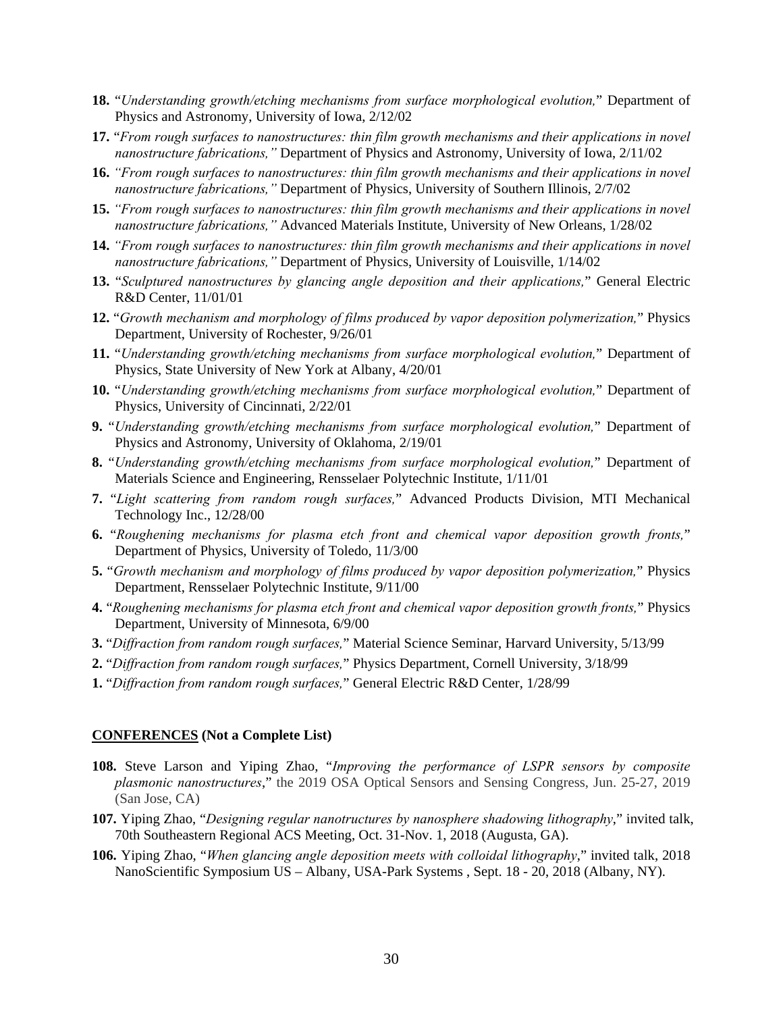- **18.** "*Understanding growth/etching mechanisms from surface morphological evolution,*" Department of Physics and Astronomy, University of Iowa, 2/12/02
- **17.** "*From rough surfaces to nanostructures: thin film growth mechanisms and their applications in novel nanostructure fabrications,"* Department of Physics and Astronomy, University of Iowa, 2/11/02
- **16.** *"From rough surfaces to nanostructures: thin film growth mechanisms and their applications in novel nanostructure fabrications,"* Department of Physics, University of Southern Illinois, 2/7/02
- **15.** *"From rough surfaces to nanostructures: thin film growth mechanisms and their applications in novel nanostructure fabrications,"* Advanced Materials Institute, University of New Orleans, 1/28/02
- **14.** *"From rough surfaces to nanostructures: thin film growth mechanisms and their applications in novel nanostructure fabrications,"* Department of Physics, University of Louisville, 1/14/02
- **13.** "*Sculptured nanostructures by glancing angle deposition and their applications,*" General Electric R&D Center, 11/01/01
- **12.** "*Growth mechanism and morphology of films produced by vapor deposition polymerization,*" Physics Department, University of Rochester, 9/26/01
- **11.** "*Understanding growth/etching mechanisms from surface morphological evolution,*" Department of Physics, State University of New York at Albany, 4/20/01
- **10.** "*Understanding growth/etching mechanisms from surface morphological evolution,*" Department of Physics, University of Cincinnati, 2/22/01
- **9.** "*Understanding growth/etching mechanisms from surface morphological evolution,*" Department of Physics and Astronomy, University of Oklahoma, 2/19/01
- **8.** "*Understanding growth/etching mechanisms from surface morphological evolution,*" Department of Materials Science and Engineering, Rensselaer Polytechnic Institute, 1/11/01
- **7.** "*Light scattering from random rough surfaces,*" Advanced Products Division, MTI Mechanical Technology Inc., 12/28/00
- **6.** "*Roughening mechanisms for plasma etch front and chemical vapor deposition growth fronts,*" Department of Physics, University of Toledo, 11/3/00
- **5.** "*Growth mechanism and morphology of films produced by vapor deposition polymerization,*" Physics Department, Rensselaer Polytechnic Institute, 9/11/00
- **4.** "*Roughening mechanisms for plasma etch front and chemical vapor deposition growth fronts,*" Physics Department, University of Minnesota, 6/9/00
- **3.** "*Diffraction from random rough surfaces,*" Material Science Seminar, Harvard University, 5/13/99
- **2.** "*Diffraction from random rough surfaces,*" Physics Department, Cornell University, 3/18/99
- **1.** "*Diffraction from random rough surfaces,*" General Electric R&D Center, 1/28/99

### **CONFERENCES (Not a Complete List)**

- **108.** Steve Larson and Yiping Zhao, "*Improving the performance of LSPR sensors by composite plasmonic nanostructures*," the 2019 OSA Optical Sensors and Sensing Congress, Jun. 25-27, 2019 (San Jose, CA)
- **107.** Yiping Zhao, "*Designing regular nanotructures by nanosphere shadowing lithography*," invited talk, 70th Southeastern Regional ACS Meeting, Oct. 31-Nov. 1, 2018 (Augusta, GA).
- **106.** Yiping Zhao, "*When glancing angle deposition meets with colloidal lithography*," invited talk, 2018 NanoScientific Symposium US – Albany, USA-Park Systems , Sept. 18 - 20, 2018 (Albany, NY).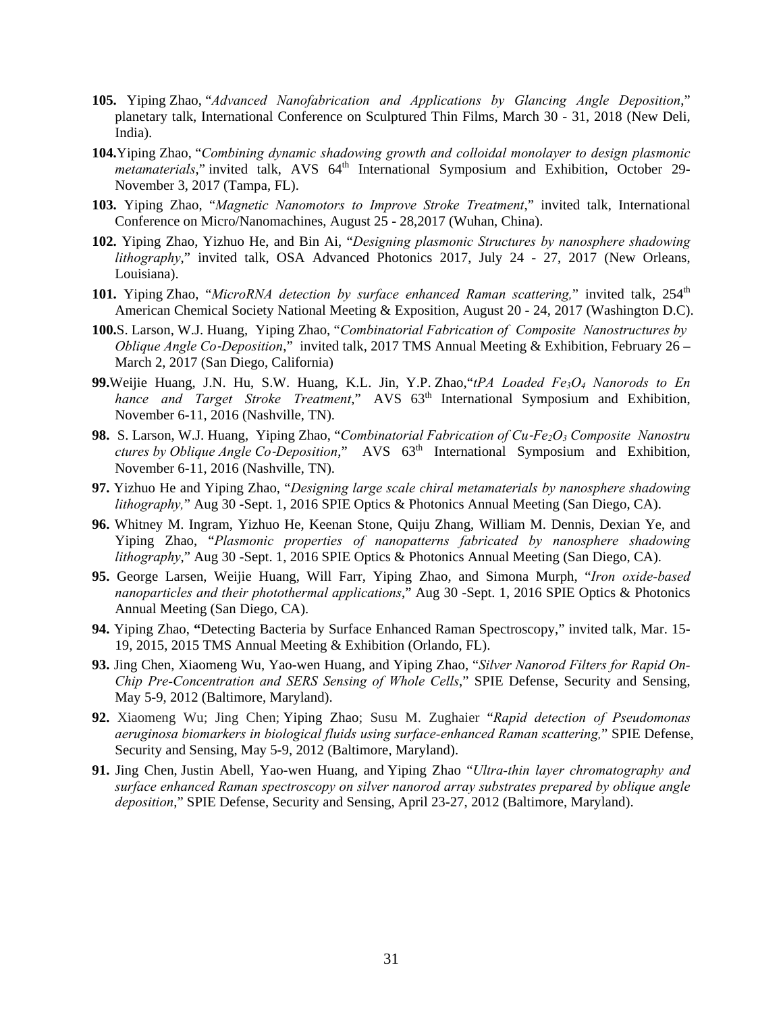- **105.** Yiping Zhao, "*Advanced Nanofabrication and Applications by Glancing Angle Deposition*," planetary talk, International Conference on Sculptured Thin Films, March 30 - 31, 2018 (New Deli, India).
- **104.**Yiping Zhao, "*Combining dynamic shadowing growth and colloidal monolayer to design plasmonic metamaterials*," invited talk, AVS 64<sup>th</sup> International Symposium and Exhibition, October 29-November 3, 2017 (Tampa, FL).
- **103.** Yiping Zhao, "*Magnetic Nanomotors to Improve Stroke Treatment*," invited talk, International Conference on Micro/Nanomachines, August 25 - 28,2017 (Wuhan, China).
- **102.** Yiping Zhao, Yizhuo He, and Bin Ai, "*Designing plasmonic Structures by nanosphere shadowing lithography*," invited talk, OSA Advanced Photonics 2017, July 24 - 27, 2017 (New Orleans, Louisiana).
- 101. Yiping Zhao, "MicroRNA detection by surface enhanced Raman scattering," invited talk, 254<sup>th</sup> American Chemical Society National Meeting & Exposition, August 20 - 24, 2017 (Washington D.C).
- **100.**S. Larson, W.J. Huang, Yiping Zhao, "*Combinatorial Fabrication of Composite Nanostructures by Oblique Angle Co*‐*Deposition*," invited talk, 2017 TMS Annual Meeting & Exhibition, February 26 – March 2, 2017 (San Diego, California)
- **99.**Weijie Huang, J.N. Hu, S.W. Huang, K.L. Jin, Y.P. Zhao,"*tPA Loaded Fe3O4 Nanorods to En hance and Target Stroke Treatment*," AVS  $63<sup>th</sup>$  International Symposium and Exhibition, November 6-11, 2016 (Nashville, TN).
- 98. S. Larson, W.J. Huang, Yiping Zhao, "*Combinatorial Fabrication of Cu-Fe<sub>2</sub>O<sub>3</sub> Composite Nanostru ctures by Oblique Angle Co*‐*Deposition*," AVS 63th International Symposium and Exhibition, November 6-11, 2016 (Nashville, TN).
- **97.** Yizhuo He and Yiping Zhao, "*Designing large scale chiral metamaterials by nanosphere shadowing lithography,*" Aug 30 -Sept. 1, 2016 SPIE Optics & Photonics Annual Meeting (San Diego, CA).
- **96.** Whitney M. Ingram, Yizhuo He, Keenan Stone, Quiju Zhang, William M. Dennis, Dexian Ye, and Yiping Zhao, "*Plasmonic properties of nanopatterns fabricated by nanosphere shadowing lithography*," Aug 30 -Sept. 1, 2016 SPIE Optics & Photonics Annual Meeting (San Diego, CA).
- **95.** George Larsen, Weijie Huang, Will Farr, Yiping Zhao, and Simona Murph, "*Iron oxide-based nanoparticles and their photothermal applications*," Aug 30 -Sept. 1, 2016 SPIE Optics & Photonics Annual Meeting (San Diego, CA).
- **94.** Yiping Zhao, **"**Detecting Bacteria by Surface Enhanced Raman Spectroscopy," invited talk, Mar. 15- 19, 2015, 2015 TMS Annual Meeting & Exhibition (Orlando, FL).
- **93.** Jing Chen, Xiaomeng Wu, Yao-wen Huang, and Yiping Zhao, "*Silver Nanorod Filters for Rapid On-Chip Pre-Concentration and SERS Sensing of Whole Cells*," SPIE Defense, Security and Sensing, May 5-9, 2012 (Baltimore, Maryland).
- **92.** Xiaomeng Wu; Jing Chen; Yiping Zhao; Susu M. Zughaier "*Rapid detection of Pseudomonas aeruginosa biomarkers in biological fluids using surface-enhanced Raman scattering,*" SPIE Defense, Security and Sensing, May 5-9, 2012 (Baltimore, Maryland).
- **91.** Jing Chen, Justin Abell, Yao-wen Huang, and Yiping Zhao "*Ultra-thin layer chromatography and surface enhanced Raman spectroscopy on silver nanorod array substrates prepared by oblique angle deposition*," SPIE Defense, Security and Sensing, April 23-27, 2012 (Baltimore, Maryland).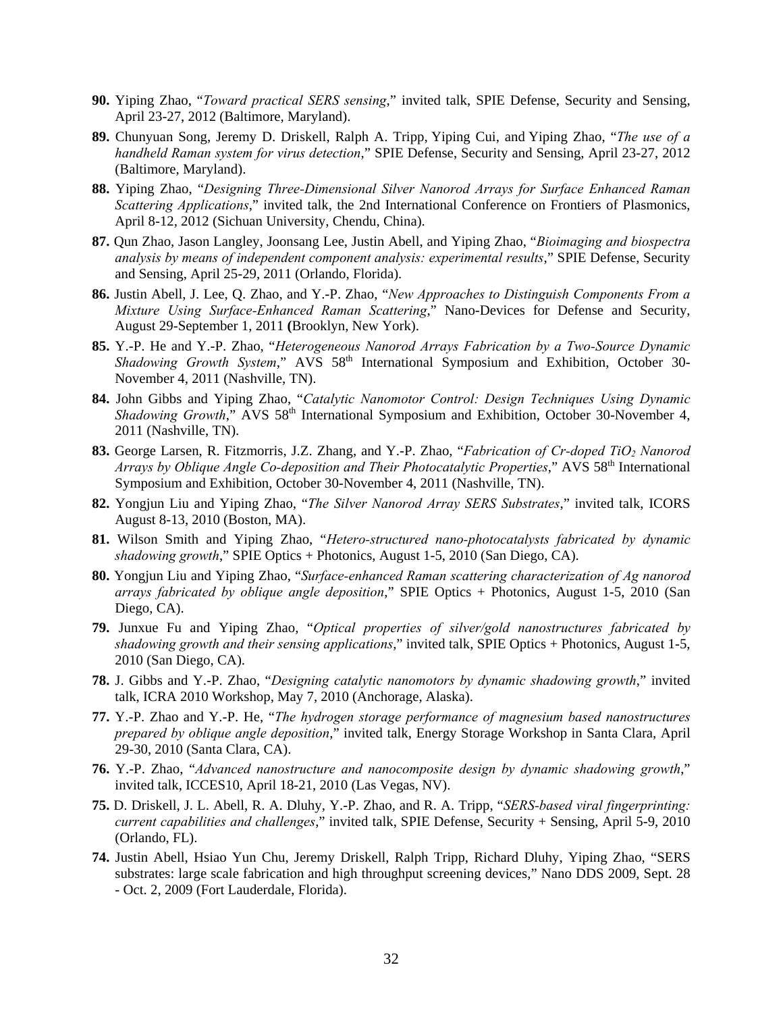- **90.** Yiping Zhao, "*Toward practical SERS sensing*," invited talk, SPIE Defense, Security and Sensing, April 23-27, 2012 (Baltimore, Maryland).
- **89.** Chunyuan Song, Jeremy D. Driskell, Ralph A. Tripp, Yiping Cui, and Yiping Zhao, "*The use of a handheld Raman system for virus detection*," SPIE Defense, Security and Sensing, April 23-27, 2012 (Baltimore, Maryland).
- **88.** Yiping Zhao, "*Designing Three-Dimensional Silver Nanorod Arrays for Surface Enhanced Raman Scattering Applications*," invited talk, the 2nd International Conference on Frontiers of Plasmonics, April 8-12, 2012 (Sichuan University, Chendu, China).
- **87.** Qun Zhao, Jason Langley, Joonsang Lee, Justin Abell, and Yiping Zhao, "*Bioimaging and biospectra analysis by means of independent component analysis: experimental results*," SPIE Defense, Security and Sensing, April 25-29, 2011 (Orlando, Florida).
- **86.** Justin Abell, J. Lee, Q. Zhao, and Y.-P. Zhao, "*New Approaches to Distinguish Components From a Mixture Using Surface-Enhanced Raman Scattering*," Nano-Devices for Defense and Security, August 29-September 1, 2011 **(**Brooklyn, New York).
- **85.** Y.-P. He and Y.-P. Zhao, "*Heterogeneous Nanorod Arrays Fabrication by a Two-Source Dynamic Shadowing Growth System*," AVS 58th International Symposium and Exhibition, October 30- November 4, 2011 (Nashville, TN).
- **84.** John Gibbs and Yiping Zhao, "*Catalytic Nanomotor Control: Design Techniques Using Dynamic Shadowing Growth*," AVS 58<sup>th</sup> International Symposium and Exhibition, October 30-November 4, 2011 (Nashville, TN).
- **83.** George Larsen, R. Fitzmorris, J.Z. Zhang, and Y.-P. Zhao, "*Fabrication of Cr-doped TiO2 Nanorod Arrays by Oblique Angle Co-deposition and Their Photocatalytic Properties*," AVS 58<sup>th</sup> International Symposium and Exhibition, October 30-November 4, 2011 (Nashville, TN).
- **82.** Yongjun Liu and Yiping Zhao, "*The Silver Nanorod Array SERS Substrates*," invited talk, ICORS August 8-13, 2010 (Boston, MA).
- **81.** Wilson Smith and Yiping Zhao, "*Hetero-structured nano-photocatalysts fabricated by dynamic shadowing growth*," SPIE Optics + Photonics, August 1-5, 2010 (San Diego, CA).
- **80.** Yongjun Liu and Yiping Zhao, "*Surface-enhanced Raman scattering characterization of Ag nanorod arrays fabricated by oblique angle deposition*," SPIE Optics + Photonics, August 1-5, 2010 (San Diego, CA).
- **79.** Junxue Fu and Yiping Zhao, "*Optical properties of silver/gold nanostructures fabricated by shadowing growth and their sensing applications*," invited talk, SPIE Optics + Photonics, August 1-5, 2010 (San Diego, CA).
- **78.** J. Gibbs and Y.-P. Zhao, "*Designing catalytic nanomotors by dynamic shadowing growth*," invited talk, ICRA 2010 Workshop, May 7, 2010 (Anchorage, Alaska).
- **77.** Y.-P. Zhao and Y.-P. He, "*The hydrogen storage performance of magnesium based nanostructures prepared by oblique angle deposition*," invited talk, Energy Storage Workshop in Santa Clara, April 29-30, 2010 (Santa Clara, CA).
- **76.** Y.-P. Zhao, "*Advanced nanostructure and nanocomposite design by dynamic shadowing growth*," invited talk, ICCES10, April 18-21, 2010 (Las Vegas, NV).
- **75.** D. Driskell, J. L. Abell, R. A. Dluhy, Y.-P. Zhao, and R. A. Tripp, "*SERS-based viral fingerprinting: current capabilities and challenges*," invited talk, SPIE Defense, Security + Sensing, April 5-9, 2010 (Orlando, FL).
- **74.** Justin Abell, Hsiao Yun Chu, Jeremy Driskell, Ralph Tripp, Richard Dluhy, Yiping Zhao, "SERS substrates: large scale fabrication and high throughput screening devices," Nano DDS 2009, Sept. 28 - Oct. 2, 2009 (Fort Lauderdale, Florida).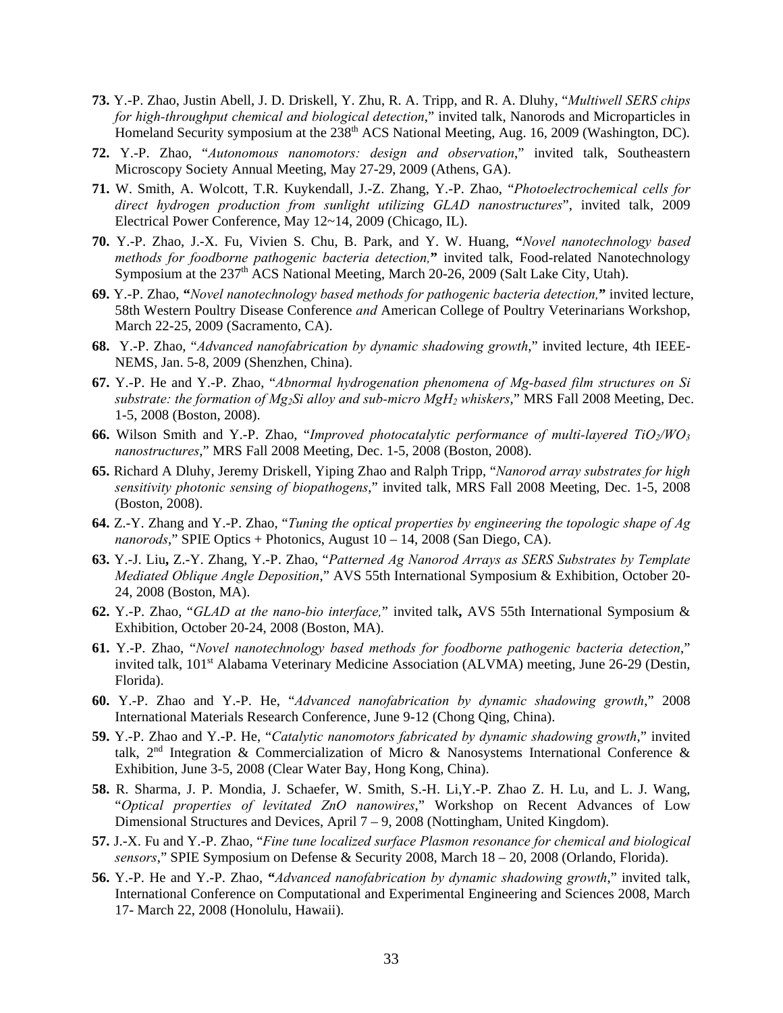- **73.** Y.-P. Zhao, Justin Abell, J. D. Driskell, Y. Zhu, R. A. Tripp, and R. A. Dluhy, "*Multiwell SERS chips for high-throughput chemical and biological detection*," invited talk, Nanorods and Microparticles in Homeland Security symposium at the 238<sup>th</sup> ACS National Meeting, Aug. 16, 2009 (Washington, DC).
- **72.** Y.-P. Zhao, "*Autonomous nanomotors: design and observation*," invited talk, Southeastern Microscopy Society Annual Meeting, May 27-29, 2009 (Athens, GA).
- **71.** W. Smith, A. Wolcott, T.R. Kuykendall, J.-Z. Zhang, Y.-P. Zhao, "*Photoelectrochemical cells for direct hydrogen production from sunlight utilizing GLAD nanostructures*", invited talk, 2009 Electrical Power Conference, May 12~14, 2009 (Chicago, IL).
- **70.** Y.-P. Zhao, J.-X. Fu, Vivien S. Chu, B. Park, and Y. W. Huang, **"***Novel nanotechnology based*  methods for foodborne pathogenic bacteria detection," invited talk, Food-related Nanotechnology Symposium at the  $237<sup>th</sup>$  ACS National Meeting, March 20-26, 2009 (Salt Lake City, Utah).
- **69.** Y.-P. Zhao, **"***Novel nanotechnology based methods for pathogenic bacteria detection,***"** invited lecture, 58th Western Poultry Disease Conference *and* American College of Poultry Veterinarians Workshop, March 22-25, 2009 (Sacramento, CA).
- **68.** Y.-P. Zhao, "*Advanced nanofabrication by dynamic shadowing growth*," invited lecture, 4th IEEE-NEMS, Jan. 5-8, 2009 (Shenzhen, China).
- **67.** Y.-P. He and Y.-P. Zhao, "*Abnormal hydrogenation phenomena of Mg-based film structures on Si substrate: the formation of Mg2Si alloy and sub-micro MgH2 whiskers*," MRS Fall 2008 Meeting, Dec. 1-5, 2008 (Boston, 2008).
- **66.** Wilson Smith and Y.-P. Zhao, "*Improved photocatalytic performance of multi-layered TiO<sub>2</sub>/WO<sub>3</sub> nanostructures*," MRS Fall 2008 Meeting, Dec. 1-5, 2008 (Boston, 2008).
- **65.** Richard A Dluhy, Jeremy Driskell, Yiping Zhao and Ralph Tripp, "*Nanorod array substrates for high sensitivity photonic sensing of biopathogens*," invited talk, MRS Fall 2008 Meeting, Dec. 1-5, 2008 (Boston, 2008).
- **64.** Z.-Y. Zhang and Y.-P. Zhao, "*Tuning the optical properties by engineering the topologic shape of Ag nanorods*," SPIE Optics + Photonics, August 10 – 14, 2008 (San Diego, CA).
- **63.** Y.-J. Liu**,** Z.-Y. Zhang, Y.-P. Zhao, "*Patterned Ag Nanorod Arrays as SERS Substrates by Template Mediated Oblique Angle Deposition*," AVS 55th International Symposium & Exhibition, October 20- 24, 2008 (Boston, MA).
- **62.** Y.-P. Zhao, "*GLAD at the nano-bio interface,*" invited talk**,** AVS 55th International Symposium & Exhibition, October 20-24, 2008 (Boston, MA).
- **61.** Y.-P. Zhao, "*Novel nanotechnology based methods for foodborne pathogenic bacteria detection*," invited talk, 101<sup>st</sup> Alabama Veterinary Medicine Association (ALVMA) meeting, June 26-29 (Destin, Florida).
- **60.** Y.-P. Zhao and Y.-P. He, "*Advanced nanofabrication by dynamic shadowing growth*," 2008 International Materials Research Conference, June 9-12 (Chong Qing, China).
- **59.** Y.-P. Zhao and Y.-P. He, "*Catalytic nanomotors fabricated by dynamic shadowing growth*," invited talk,  $2<sup>nd</sup>$  Integration & Commercialization of Micro & Nanosystems International Conference & Exhibition, June 3-5, 2008 (Clear Water Bay, Hong Kong, China).
- **58.** R. Sharma, J. P. Mondia, J. Schaefer, W. Smith, S.-H. Li,Y.-P. Zhao Z. H. Lu, and L. J. Wang, "*Optical properties of levitated ZnO nanowires*," Workshop on Recent Advances of Low Dimensional Structures and Devices, April 7 – 9, 2008 (Nottingham, United Kingdom).
- **57.** J.-X. Fu and Y.-P. Zhao, "*Fine tune localized surface Plasmon resonance for chemical and biological sensors*," SPIE Symposium on Defense & Security 2008, March 18 – 20, 2008 (Orlando, Florida).
- **56.** Y.-P. He and Y.-P. Zhao, **"***Advanced nanofabrication by dynamic shadowing growth*," invited talk, International Conference on Computational and Experimental Engineering and Sciences 2008, March 17- March 22, 2008 (Honolulu, Hawaii).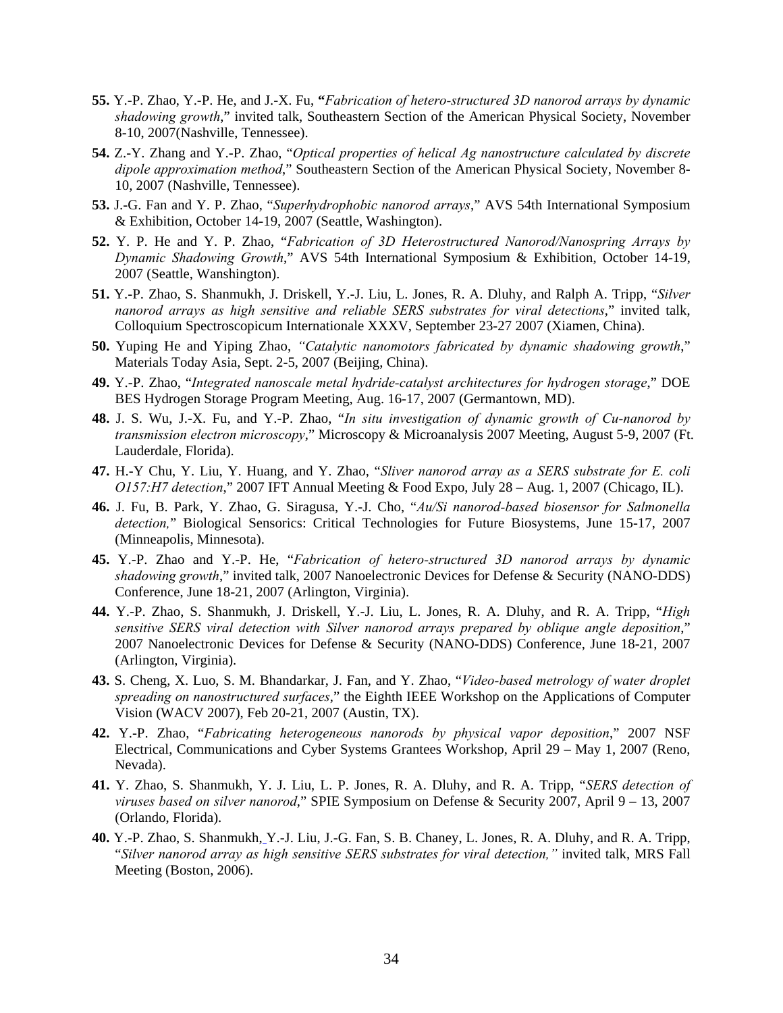- **55.** Y.-P. Zhao, Y.-P. He, and J.-X. Fu, **"***Fabrication of hetero-structured 3D nanorod arrays by dynamic shadowing growth*," invited talk, Southeastern Section of the American Physical Society, November 8-10, 2007(Nashville, Tennessee).
- **54.** Z.-Y. Zhang and Y.-P. Zhao, "*Optical properties of helical Ag nanostructure calculated by discrete dipole approximation method*," Southeastern Section of the American Physical Society, November 8- 10, 2007 (Nashville, Tennessee).
- **53.** J.-G. Fan and Y. P. Zhao, "*Superhydrophobic nanorod arrays*," AVS 54th International Symposium & Exhibition, October 14-19, 2007 (Seattle, Washington).
- **52.** Y. P. He and Y. P. Zhao, "*Fabrication of 3D Heterostructured Nanorod/Nanospring Arrays by Dynamic Shadowing Growth*," AVS 54th International Symposium & Exhibition, October 14-19, 2007 (Seattle, Wanshington).
- **51.** Y.-P. Zhao, S. Shanmukh, J. Driskell, Y.-J. Liu, L. Jones, R. A. Dluhy, and Ralph A. Tripp, "*Silver nanorod arrays as high sensitive and reliable SERS substrates for viral detections*," invited talk, Colloquium Spectroscopicum Internationale XXXV, September 23-27 2007 (Xiamen, China).
- **50.** Yuping He and Yiping Zhao, *"Catalytic nanomotors fabricated by dynamic shadowing growth*," Materials Today Asia, Sept. 2-5, 2007 (Beijing, China).
- **49.** Y.-P. Zhao, "*Integrated nanoscale metal hydride-catalyst architectures for hydrogen storage*," DOE BES Hydrogen Storage Program Meeting, Aug. 16-17, 2007 (Germantown, MD).
- **48.** J. S. Wu, J.-X. Fu, and Y.-P. Zhao, "*In situ investigation of dynamic growth of Cu-nanorod by transmission electron microscopy*," Microscopy & Microanalysis 2007 Meeting, August 5-9, 2007 (Ft. Lauderdale, Florida).
- **47.** H.-Y Chu, Y. Liu, Y. Huang, and Y. Zhao, "*Sliver nanorod array as a SERS substrate for E. coli O157:H7 detection*," 2007 IFT Annual Meeting & Food Expo, July 28 – Aug. 1, 2007 (Chicago, IL).
- **46.** J. Fu, B. Park, Y. Zhao, G. Siragusa, Y.-J. Cho, "*Au/Si nanorod-based biosensor for Salmonella detection,*" Biological Sensorics: Critical Technologies for Future Biosystems, June 15-17, 2007 (Minneapolis, Minnesota).
- **45.** Y.-P. Zhao and Y.-P. He, "*Fabrication of hetero-structured 3D nanorod arrays by dynamic shadowing growth*," invited talk, 2007 Nanoelectronic Devices for Defense & Security (NANO-DDS) Conference, June 18-21, 2007 (Arlington, Virginia).
- **44.** Y.-P. Zhao, S. Shanmukh, J. Driskell, Y.-J. Liu, L. Jones, R. A. Dluhy, and R. A. Tripp, "*High sensitive SERS viral detection with Silver nanorod arrays prepared by oblique angle deposition*," 2007 Nanoelectronic Devices for Defense & Security (NANO-DDS) Conference, June 18-21, 2007 (Arlington, Virginia).
- **43.** S. Cheng, X. Luo, S. M. Bhandarkar, J. Fan, and Y. Zhao, "*Video-based metrology of water droplet spreading on nanostructured surfaces*," the Eighth IEEE Workshop on the Applications of Computer Vision (WACV 2007), Feb 20-21, 2007 (Austin, TX).
- **42.** Y.-P. Zhao, "*Fabricating heterogeneous nanorods by physical vapor deposition*," 2007 NSF Electrical, Communications and Cyber Systems Grantees Workshop, April 29 – May 1, 2007 (Reno, Nevada).
- **41.** Y. Zhao, S. Shanmukh, Y. J. Liu, L. P. Jones, R. A. Dluhy, and R. A. Tripp, "*SERS detection of viruses based on silver nanorod*," SPIE Symposium on Defense & Security 2007, April 9 – 13, 2007 (Orlando, Florida).
- **40.** Y.-P. Zhao, S. Shanmukh, Y.-J. Liu, J.-G. Fan, S. B. Chaney, L. Jones, R. A. Dluhy, and R. A. Tripp, "*Silver nanorod array as high sensitive SERS substrates for viral detection,"* invited talk, MRS Fall Meeting (Boston, 2006).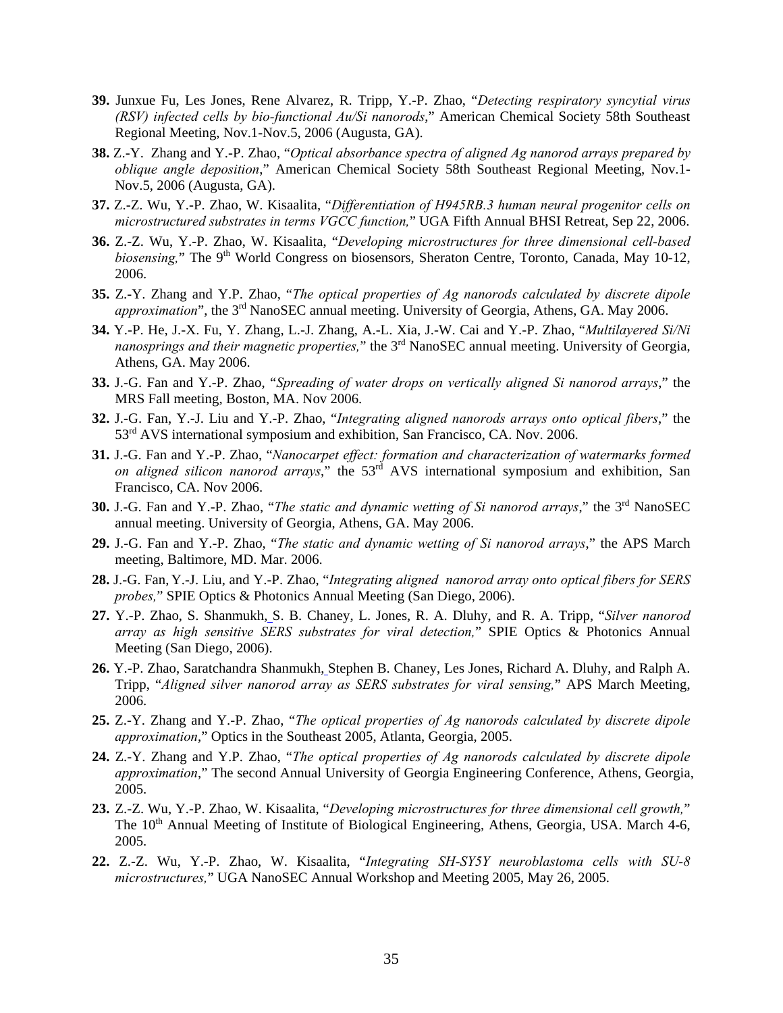- **39.** Junxue Fu, Les Jones, Rene Alvarez, R. Tripp, Y.-P. Zhao, "*Detecting respiratory syncytial virus (RSV) infected cells by bio-functional Au/Si nanorods*," American Chemical Society 58th Southeast Regional Meeting, Nov.1-Nov.5, 2006 (Augusta, GA).
- **38.** Z.-Y. Zhang and Y.-P. Zhao, "*Optical absorbance spectra of aligned Ag nanorod arrays prepared by oblique angle deposition*," American Chemical Society 58th Southeast Regional Meeting, Nov.1- Nov.5, 2006 (Augusta, GA).
- **37.** Z.-Z. Wu, Y.-P. Zhao, W. Kisaalita, "*Differentiation of H945RB.3 human neural progenitor cells on microstructured substrates in terms VGCC function,*" UGA Fifth Annual BHSI Retreat, Sep 22, 2006.
- **36.** Z.-Z. Wu, Y.-P. Zhao, W. Kisaalita, "*Developing microstructures for three dimensional cell-based biosensing*," The 9<sup>th</sup> World Congress on biosensors, Sheraton Centre, Toronto, Canada, May 10-12, 2006.
- **35.** Z.-Y. Zhang and Y.P. Zhao, "*The optical properties of Ag nanorods calculated by discrete dipole approximation*", the 3<sup>rd</sup> NanoSEC annual meeting. University of Georgia, Athens, GA. May 2006.
- **34.** Y.-P. He, J.-X. Fu, Y. Zhang, L.-J. Zhang, A.-L. Xia, J.-W. Cai and Y.-P. Zhao, "*Multilayered Si/Ni nanosprings and their magnetic properties,*" the 3rd NanoSEC annual meeting. University of Georgia, Athens, GA. May 2006.
- **33.** J.-G. Fan and Y.-P. Zhao, "*Spreading of water drops on vertically aligned Si nanorod arrays*," the MRS Fall meeting, Boston, MA. Nov 2006.
- **32.** J.-G. Fan, Y.-J. Liu and Y.-P. Zhao, "*Integrating aligned nanorods arrays onto optical fibers*," the 53<sup>rd</sup> AVS international symposium and exhibition, San Francisco, CA. Nov. 2006.
- **31.** J.-G. Fan and Y.-P. Zhao, "*Nanocarpet effect: formation and characterization of watermarks formed on aligned silicon nanorod arrays*," the 53rd AVS international symposium and exhibition, San Francisco, CA. Nov 2006.
- **30.** J.-G. Fan and Y.-P. Zhao, "*The static and dynamic wetting of Si nanorod arrays*," the 3rd NanoSEC annual meeting. University of Georgia, Athens, GA. May 2006.
- **29.** J.-G. Fan and Y.-P. Zhao, "*The static and dynamic wetting of Si nanorod arrays*," the APS March meeting, Baltimore, MD. Mar. 2006.
- **28.** J.-G. Fan, Y.-J. Liu, and Y.-P. Zhao, "*Integrating aligned nanorod array onto optical fibers for SERS probes,*" SPIE Optics & Photonics Annual Meeting (San Diego, 2006).
- **27.** Y.-P. Zhao, S. Shanmukh, S. B. Chaney, L. Jones, R. A. Dluhy, and R. A. Tripp, "*Silver nanorod array as high sensitive SERS substrates for viral detection,*" SPIE Optics & Photonics Annual Meeting (San Diego, 2006).
- **26.** Y.-P. Zhao, Saratchandra Shanmukh, Stephen B. Chaney, Les Jones, Richard A. Dluhy, and Ralph A. Tripp, "*Aligned silver nanorod array as SERS substrates for viral sensing,*" APS March Meeting, 2006.
- **25.** Z.-Y. Zhang and Y.-P. Zhao, "*The optical properties of Ag nanorods calculated by discrete dipole approximation*," Optics in the Southeast 2005, Atlanta, Georgia, 2005.
- **24.** Z.-Y. Zhang and Y.P. Zhao, "*The optical properties of Ag nanorods calculated by discrete dipole approximation*," The second Annual University of Georgia Engineering Conference, Athens, Georgia, 2005.
- **23.** Z.-Z. Wu, Y.-P. Zhao, W. Kisaalita, "*Developing microstructures for three dimensional cell growth,*" The  $10<sup>th</sup>$  Annual Meeting of Institute of Biological Engineering, Athens, Georgia, USA. March 4-6, 2005.
- **22.** Z.-Z. Wu, Y.-P. Zhao, W. Kisaalita, "*Integrating SH-SY5Y neuroblastoma cells with SU-8 microstructures,*" UGA NanoSEC Annual Workshop and Meeting 2005, May 26, 2005.